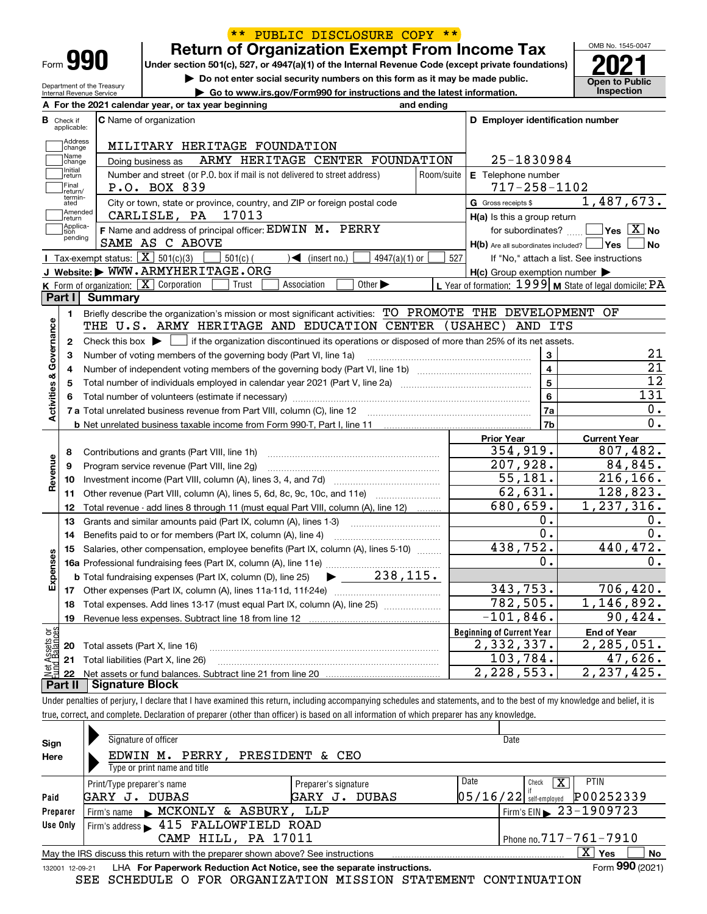| Form |  |
|------|--|

# \*\* PUBLIC DISCLOSURE COPY \*\*

**Return of Organization Exempt From Income Tax**

Under section 501(c), 527, or 4947(a)(1) of the Internal Revenue Code (except private foundations) **2021** 

**| Do not enter social security numbers on this form as it may be made public. | Go to www.irs.gov/Form990 for instructions and the latest information. Inspection**

OMB No. 1545-0047 **Open to Public** 

| Department of the Treasury      |
|---------------------------------|
| <b>Internal Revenue Service</b> |

|                         |                            | A For the 2021 calendar year, or tax year beginning                                                                                         | and ending     |                                                         |                                                                 |
|-------------------------|----------------------------|---------------------------------------------------------------------------------------------------------------------------------------------|----------------|---------------------------------------------------------|-----------------------------------------------------------------|
| В                       | Check if<br>applicable:    | <b>C</b> Name of organization                                                                                                               |                | D Employer identification number                        |                                                                 |
|                         | Address<br>change          | MILITARY HERITAGE FOUNDATION                                                                                                                |                |                                                         |                                                                 |
|                         | Name<br>change             | ARMY HERITAGE CENTER FOUNDATION<br>Doing business as                                                                                        |                | 25-1830984                                              |                                                                 |
|                         | Initial<br>return          | Number and street (or P.O. box if mail is not delivered to street address)                                                                  | Room/suite     | E Telephone number                                      |                                                                 |
|                         | Final                      | P.O. BOX 839                                                                                                                                |                | $717 - 258 - 1102$                                      |                                                                 |
|                         | return/<br>termin-<br>ated | City or town, state or province, country, and ZIP or foreign postal code                                                                    |                | G Gross receipts \$                                     | 1,487,673.                                                      |
|                         | Amended                    | 17013<br>CARLISLE, PA                                                                                                                       |                | $H(a)$ is this a group return                           |                                                                 |
|                         | return<br>Applica-         | F Name and address of principal officer: EDWIN M. PERRY                                                                                     |                | for subordinates?                                       | $\sqrt{}$ Yes $\sqrt{}$ X $\sqrt{}$ No                          |
|                         | tion<br>pending            | SAME AS C ABOVE                                                                                                                             |                | $H(b)$ Are all subordinates included? $\Box$ Yes $\Box$ | <b>No</b>                                                       |
|                         |                            | <b>I</b> Tax-exempt status: $\boxed{\mathbf{X}}$ 501(c)(3)<br>$501(c)$ (<br>$\sqrt{\frac{1}{1}}$ (insert no.)<br>$4947(a)(1)$ or            | 527            |                                                         | If "No," attach a list. See instructions                        |
|                         |                            | J Website: WWW.ARMYHERITAGE.ORG                                                                                                             |                | $H(c)$ Group exemption number $\blacktriangleright$     |                                                                 |
|                         |                            | <b>K</b> Form of organization: $\boxed{\mathbf{X}}$ Corporation<br>Other $\blacktriangleright$<br>Trust<br>Association                      |                |                                                         | L Year of formation: $1999 \vert$ M State of legal domicile: PA |
|                         | Part I                     | <b>Summary</b>                                                                                                                              |                |                                                         |                                                                 |
|                         |                            | Briefly describe the organization's mission or most significant activities: TO PROMOTE THE DEVELOPMENT OF                                   |                |                                                         |                                                                 |
|                         | 1.                         | THE U.S. ARMY HERITAGE AND EDUCATION CENTER (USAHEC) AND ITS                                                                                |                |                                                         |                                                                 |
|                         |                            |                                                                                                                                             |                |                                                         |                                                                 |
|                         | $\mathbf{2}$               | Check this box $\blacktriangleright$ $\Box$ if the organization discontinued its operations or disposed of more than 25% of its net assets. |                |                                                         |                                                                 |
|                         | з                          | Number of voting members of the governing body (Part VI, line 1a)                                                                           |                | 3                                                       | 21<br>$\overline{21}$                                           |
|                         | 4                          |                                                                                                                                             |                | $\overline{\mathbf{4}}$                                 | $\overline{12}$                                                 |
|                         | 5                          |                                                                                                                                             | $\overline{5}$ |                                                         |                                                                 |
|                         | 6                          |                                                                                                                                             | 6              | 131                                                     |                                                                 |
| Activities & Governance |                            | 7 a Total unrelated business revenue from Part VIII, column (C), line 12 [11] [12] [11] [12] [11] [11] [12] [1                              |                | 7a                                                      | 0.                                                              |
|                         |                            |                                                                                                                                             |                | 7b                                                      | $\overline{0}$ .                                                |
|                         |                            |                                                                                                                                             |                | <b>Prior Year</b>                                       | <b>Current Year</b>                                             |
|                         | 8                          | Contributions and grants (Part VIII, line 1h)                                                                                               |                | 354,919.                                                | 807,482.                                                        |
| Revenue                 | 9                          | Program service revenue (Part VIII, line 2g)                                                                                                |                | 207,928.                                                | 84,845.                                                         |
|                         | 10                         |                                                                                                                                             |                | $\overline{55,181}$ .                                   | 216, 166.                                                       |
|                         | 11                         | Other revenue (Part VIII, column (A), lines 5, 6d, 8c, 9c, 10c, and 11e)                                                                    |                | 62,631.                                                 | 128,823.                                                        |
|                         | 12                         | Total revenue - add lines 8 through 11 (must equal Part VIII, column (A), line 12)                                                          |                | 680,659.                                                | 1,237,316.                                                      |
|                         | 13                         | Grants and similar amounts paid (Part IX, column (A), lines 1-3)                                                                            |                | о.                                                      | 0.                                                              |
|                         | 14                         | Benefits paid to or for members (Part IX, column (A), line 4)                                                                               |                | О.                                                      | 0.                                                              |
|                         | 15                         | Salaries, other compensation, employee benefits (Part IX, column (A), lines 5-10)                                                           |                | 438, 752.                                               | 440,472.                                                        |
|                         |                            |                                                                                                                                             |                | 0.                                                      | 0.                                                              |
| Expenses                |                            | $\blacktriangleright$ 238, 115.<br><b>b</b> Total fundraising expenses (Part IX, column (D), line 25)                                       |                |                                                         |                                                                 |
|                         |                            |                                                                                                                                             |                | 343,753.                                                | 706,420.                                                        |
|                         | 18                         | Total expenses. Add lines 13-17 (must equal Part IX, column (A), line 25)                                                                   |                | 782,505.                                                | 1,146,892.                                                      |
|                         | 19                         |                                                                                                                                             |                | $-101,846$ .                                            | 90,424.                                                         |
| äğ                      |                            |                                                                                                                                             |                | <b>Beginning of Current Year</b>                        | <b>End of Year</b>                                              |
|                         |                            | 20 Total assets (Part X, line 16)                                                                                                           |                | $\overline{2}$ , 332, 337.                              | 2, 285, 051.                                                    |
| Assets                  |                            | 21 Total liabilities (Part X, line 26)                                                                                                      |                | 103,784.                                                | 47,626.                                                         |
|                         | 22                         |                                                                                                                                             |                | 2, 228, 553.                                            | 2, 237, 425.                                                    |
|                         |                            | <b>Signature Block</b>                                                                                                                      |                |                                                         |                                                                 |

true, correct, and complete. Declaration of preparer (other than officer) is based on all information of which preparer has any knowledge.

| Sign<br>Here | Signature of officer<br>PERRY,<br>м.<br>EDWIN<br>Type or print name and title                                | PRESIDENT & CEO         |                              | Date                                   |  |  |  |
|--------------|--------------------------------------------------------------------------------------------------------------|-------------------------|------------------------------|----------------------------------------|--|--|--|
|              | Print/Type preparer's name                                                                                   | Preparer's signature    | Date                         | PTIN<br>x<br>Check                     |  |  |  |
| Paid         | GARY J.<br>DUBAS                                                                                             | <b>DUBAS</b><br>GARY J. |                              | P00252339<br>$05/16/22$ self-employed  |  |  |  |
| Preparer     | Firm's name MCKONLY & ASBURY,                                                                                | LLP                     |                              | Firm's EIN $\triangleright$ 23-1909723 |  |  |  |
| Use Only     | Firm's address 1415 FALLOWFIELD ROAD                                                                         |                         |                              |                                        |  |  |  |
|              | CAMP HILL, PA 17011                                                                                          |                         | Phone no. $717 - 761 - 7910$ |                                        |  |  |  |
|              | X <br>No<br>Yes<br>May the IRS discuss this return with the preparer shown above? See instructions           |                         |                              |                                        |  |  |  |
|              | Form 990 (2021)<br>LHA For Paperwork Reduction Act Notice, see the separate instructions.<br>132001 12-09-21 |                         |                              |                                        |  |  |  |

SEE SCHEDULE O FOR ORGANIZATION MISSION STATEMENT CONTINUATION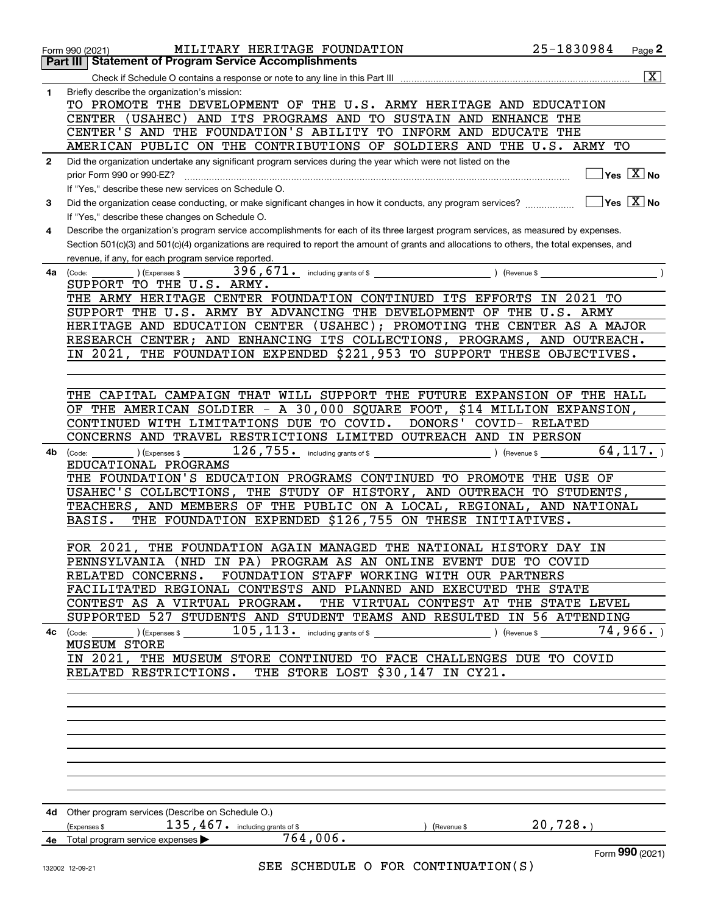|              | MILITARY HERITAGE FOUNDATION<br>Form 990 (2021)                                                                                              | 25-1830984           | Page 2                  |
|--------------|----------------------------------------------------------------------------------------------------------------------------------------------|----------------------|-------------------------|
|              | <b>Statement of Program Service Accomplishments</b><br>Part III                                                                              |                      |                         |
|              | Check if Schedule O contains a response or note to any line in this Part III                                                                 |                      | $\overline{\mathbf{x}}$ |
| 1            | Briefly describe the organization's mission:<br>TO PROMOTE THE DEVELOPMENT OF THE U.S. ARMY HERITAGE AND EDUCATION                           |                      |                         |
|              | (USAHEC) AND ITS PROGRAMS AND TO SUSTAIN AND ENHANCE<br><b>CENTER</b>                                                                        | THE                  |                         |
|              | CENTER'S AND THE FOUNDATION'S ABILITY TO INFORM AND EDUCATE THE                                                                              |                      |                         |
|              | AMERICAN PUBLIC ON THE CONTRIBUTIONS OF SOLDIERS AND THE U.S. ARMY TO                                                                        |                      |                         |
| $\mathbf{2}$ | Did the organization undertake any significant program services during the year which were not listed on the                                 |                      |                         |
|              | prior Form 990 or 990-EZ?                                                                                                                    |                      | $Yes \ \boxed{X}$ No    |
|              | If "Yes," describe these new services on Schedule O.                                                                                         |                      |                         |
| З.           | Did the organization cease conducting, or make significant changes in how it conducts, any program services?                                 |                      | $ Yes X $ No            |
|              | If "Yes," describe these changes on Schedule O.                                                                                              |                      |                         |
| 4            | Describe the organization's program service accomplishments for each of its three largest program services, as measured by expenses.         |                      |                         |
|              | Section 501(c)(3) and 501(c)(4) organizations are required to report the amount of grants and allocations to others, the total expenses, and |                      |                         |
| 4a           | revenue, if any, for each program service reported.<br>$396,671$ $\cdot$ including grants of \$<br>(Expenses \$<br>(Code:                    | ) (Revenue \$        |                         |
|              | SUPPORT TO THE U.S. ARMY.                                                                                                                    |                      |                         |
|              | THE ARMY HERITAGE CENTER FOUNDATION CONTINUED ITS EFFORTS                                                                                    | 2021<br>IN<br>TО     |                         |
|              | SUPPORT THE U.S. ARMY BY ADVANCING THE DEVELOPMENT OF THE U.S. ARMY                                                                          |                      |                         |
|              | HERITAGE AND EDUCATION CENTER (USAHEC); PROMOTING THE CENTER AS A MAJOR                                                                      |                      |                         |
|              | RESEARCH CENTER; AND ENHANCING ITS COLLECTIONS, PROGRAMS, AND OUTREACH.                                                                      |                      |                         |
|              | THE FOUNDATION EXPENDED \$221,953 TO SUPPORT THESE OBJECTIVES.<br>IN 2021,                                                                   |                      |                         |
|              |                                                                                                                                              |                      |                         |
|              | THE CAPITAL CAMPAIGN THAT WILL SUPPORT THE FUTURE EXPANSION OF THE HALL                                                                      |                      |                         |
|              | OF THE AMERICAN SOLDIER - A 30,000 SQUARE FOOT, \$14 MILLION EXPANSION,                                                                      |                      |                         |
|              | CONTINUED WITH LIMITATIONS DUE TO COVID.<br>DONORS'                                                                                          | COVID- RELATED       |                         |
|              | CONCERNS AND TRAVEL RESTRICTIONS LIMITED OUTREACH AND IN PERSON                                                                              |                      |                         |
| 4b           | $126$ , $755$ . including grants of \$<br>(Expenses \$<br>(Code:                                                                             | $\angle$ (Revenue \$ | $\sqrt{64,117}$ .       |
|              | EDUCATIONAL PROGRAMS                                                                                                                         |                      |                         |
|              | THE FOUNDATION'S EDUCATION PROGRAMS CONTINUED TO PROMOTE THE USE OF                                                                          |                      |                         |
|              | USAHEC'S COLLECTIONS, THE STUDY OF HISTORY, AND OUTREACH TO STUDENTS,                                                                        |                      |                         |
|              | TEACHERS, AND MEMBERS OF THE PUBLIC ON A LOCAL, REGIONAL, AND NATIONAL<br>THE FOUNDATION EXPENDED \$126,755 ON THESE INITIATIVES.<br>BASIS.  |                      |                         |
|              |                                                                                                                                              |                      |                         |
|              | FOR 2021,<br>THE FOUNDATION AGAIN MANAGED THE NATIONAL HISTORY DAY IN                                                                        |                      |                         |
|              | PENNSYLVANIA (NHD IN PA) PROGRAM AS AN ONLINE EVENT DUE TO COVID                                                                             |                      |                         |
|              | FOUNDATION STAFF WORKING WITH OUR PARTNERS<br>RELATED CONCERNS.                                                                              |                      |                         |
|              | FACILITATED REGIONAL CONTESTS AND PLANNED AND EXECUTED THE STATE                                                                             |                      |                         |
|              | CONTEST AS A VIRTUAL PROGRAM.<br>THE VIRTUAL CONTEST AT THE STATE LEVEL                                                                      |                      |                         |
|              | SUPPORTED 527 STUDENTS AND STUDENT TEAMS AND RESULTED IN 56 ATTENDING                                                                        |                      |                         |
|              | $(105, 113 \cdot$ including grants of \$<br>4c (Code: __<br><b>MUSEUM STORE</b>                                                              | ) (Revenue \$        | 74,966.                 |
|              | IN 2021, THE MUSEUM STORE CONTINUED TO FACE CHALLENGES DUE TO COVID                                                                          |                      |                         |
|              | THE STORE LOST \$30,147 IN CY21.<br>RELATED RESTRICTIONS.                                                                                    |                      |                         |
|              |                                                                                                                                              |                      |                         |
|              |                                                                                                                                              |                      |                         |
|              |                                                                                                                                              |                      |                         |
|              |                                                                                                                                              |                      |                         |
|              |                                                                                                                                              |                      |                         |
|              |                                                                                                                                              |                      |                         |
|              |                                                                                                                                              |                      |                         |
|              |                                                                                                                                              |                      |                         |
|              | 4d Other program services (Describe on Schedule O.)                                                                                          |                      |                         |
|              | 135, 467. including grants of \$<br>(Expenses \$<br>) (Revenue \$                                                                            | 20,728.              |                         |
|              | 764,006.<br>4e Total program service expenses                                                                                                |                      |                         |
|              |                                                                                                                                              |                      | Form 990 (2021)         |
|              | SEE SCHEDULE O FOR CONTINUATION(S)<br>132002 12-09-21                                                                                        |                      |                         |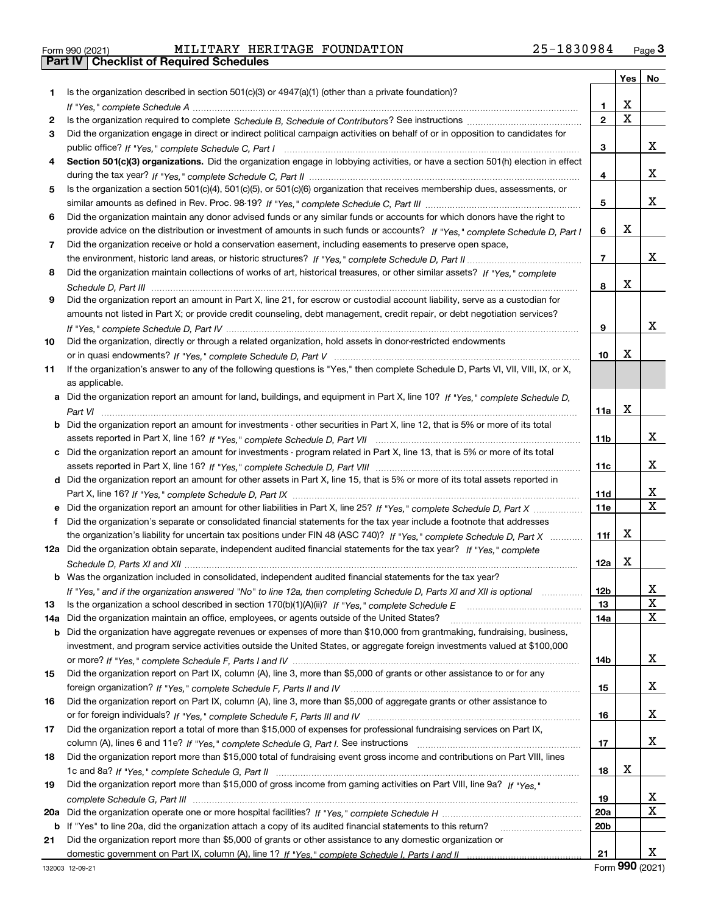|  | Form 990 (2021) |
|--|-----------------|

# Form 990 (2021) MILITARY HERITAGE FOUNDATION 25-1830984 <sub>Page</sub> 3<br>**Part IV | Checklist of Required Schedules**

|     |                                                                                                                                       |                 | Yes | No     |
|-----|---------------------------------------------------------------------------------------------------------------------------------------|-----------------|-----|--------|
| 1.  | Is the organization described in section $501(c)(3)$ or $4947(a)(1)$ (other than a private foundation)?                               |                 |     |        |
|     |                                                                                                                                       | 1               | x   |        |
| 2   |                                                                                                                                       | $\mathbf{2}$    | X   |        |
| 3   | Did the organization engage in direct or indirect political campaign activities on behalf of or in opposition to candidates for       |                 |     |        |
|     |                                                                                                                                       | 3               |     | X.     |
| 4   | Section 501(c)(3) organizations. Did the organization engage in lobbying activities, or have a section 501(h) election in effect      |                 |     |        |
|     |                                                                                                                                       | 4               |     | X.     |
| 5   | Is the organization a section 501(c)(4), 501(c)(5), or 501(c)(6) organization that receives membership dues, assessments, or          |                 |     |        |
|     |                                                                                                                                       | 5               |     | X.     |
| 6   | Did the organization maintain any donor advised funds or any similar funds or accounts for which donors have the right to             |                 |     |        |
|     | provide advice on the distribution or investment of amounts in such funds or accounts? If "Yes," complete Schedule D, Part I          | 6               | X.  |        |
| 7   | Did the organization receive or hold a conservation easement, including easements to preserve open space,                             |                 |     |        |
|     |                                                                                                                                       | $\overline{7}$  |     | х      |
| 8   | Did the organization maintain collections of works of art, historical treasures, or other similar assets? If "Yes," complete          |                 |     |        |
|     |                                                                                                                                       | 8               | х   |        |
| 9   | Did the organization report an amount in Part X, line 21, for escrow or custodial account liability, serve as a custodian for         |                 |     |        |
|     | amounts not listed in Part X; or provide credit counseling, debt management, credit repair, or debt negotiation services?             |                 |     |        |
|     |                                                                                                                                       | 9               |     | х      |
| 10  | Did the organization, directly or through a related organization, hold assets in donor-restricted endowments                          |                 |     |        |
|     |                                                                                                                                       | 10              | х   |        |
| 11  | If the organization's answer to any of the following questions is "Yes," then complete Schedule D, Parts VI, VII, VIII, IX, or X,     |                 |     |        |
|     | as applicable.                                                                                                                        |                 |     |        |
|     | a Did the organization report an amount for land, buildings, and equipment in Part X, line 10? If "Yes," complete Schedule D,         |                 |     |        |
|     |                                                                                                                                       | 11a             | х   |        |
|     | <b>b</b> Did the organization report an amount for investments - other securities in Part X, line 12, that is 5% or more of its total |                 |     |        |
|     |                                                                                                                                       | 11 <sub>b</sub> |     | x      |
|     | c Did the organization report an amount for investments - program related in Part X, line 13, that is 5% or more of its total         |                 |     |        |
|     |                                                                                                                                       | 11c             |     | X      |
|     | d Did the organization report an amount for other assets in Part X, line 15, that is 5% or more of its total assets reported in       |                 |     |        |
|     |                                                                                                                                       | 11d             |     | x<br>X |
|     | e Did the organization report an amount for other liabilities in Part X, line 25? If "Yes," complete Schedule D, Part X               | <b>11e</b>      |     |        |
| f   | Did the organization's separate or consolidated financial statements for the tax year include a footnote that addresses               |                 |     |        |
|     | the organization's liability for uncertain tax positions under FIN 48 (ASC 740)? If "Yes," complete Schedule D, Part X                | 11f             | x   |        |
|     | 12a Did the organization obtain separate, independent audited financial statements for the tax year? If "Yes," complete               |                 | x   |        |
|     |                                                                                                                                       | 12a             |     |        |
|     | <b>b</b> Was the organization included in consolidated, independent audited financial statements for the tax year?                    |                 |     |        |
|     | If "Yes," and if the organization answered "No" to line 12a, then completing Schedule D, Parts XI and XII is optional                 | 12 <sub>b</sub> |     | X      |
| 13  |                                                                                                                                       | 13              |     | x      |
| 14a | Did the organization maintain an office, employees, or agents outside of the United States?                                           | 14a             |     |        |
| b   | Did the organization have aggregate revenues or expenses of more than \$10,000 from grantmaking, fundraising, business,               |                 |     |        |
|     | investment, and program service activities outside the United States, or aggregate foreign investments valued at \$100,000            | 14b             |     | x      |
| 15  | Did the organization report on Part IX, column (A), line 3, more than \$5,000 of grants or other assistance to or for any             |                 |     |        |
|     |                                                                                                                                       | 15              |     | x      |
| 16  | Did the organization report on Part IX, column (A), line 3, more than \$5,000 of aggregate grants or other assistance to              |                 |     |        |
|     |                                                                                                                                       | 16              |     | x      |
| 17  | Did the organization report a total of more than \$15,000 of expenses for professional fundraising services on Part IX,               |                 |     |        |
|     |                                                                                                                                       | 17              |     | x      |
| 18  | Did the organization report more than \$15,000 total of fundraising event gross income and contributions on Part VIII, lines          |                 |     |        |
|     |                                                                                                                                       | 18              | х   |        |
| 19  | Did the organization report more than \$15,000 of gross income from gaming activities on Part VIII, line 9a? If "Yes."                |                 |     |        |
|     |                                                                                                                                       | 19              |     | X      |
| 20a |                                                                                                                                       | 20a             |     | x      |
|     | b If "Yes" to line 20a, did the organization attach a copy of its audited financial statements to this return?                        | 20 <sub>b</sub> |     |        |
| 21  | Did the organization report more than \$5,000 of grants or other assistance to any domestic organization or                           |                 |     |        |
|     |                                                                                                                                       | 21              |     | x      |

Form (2021) **990**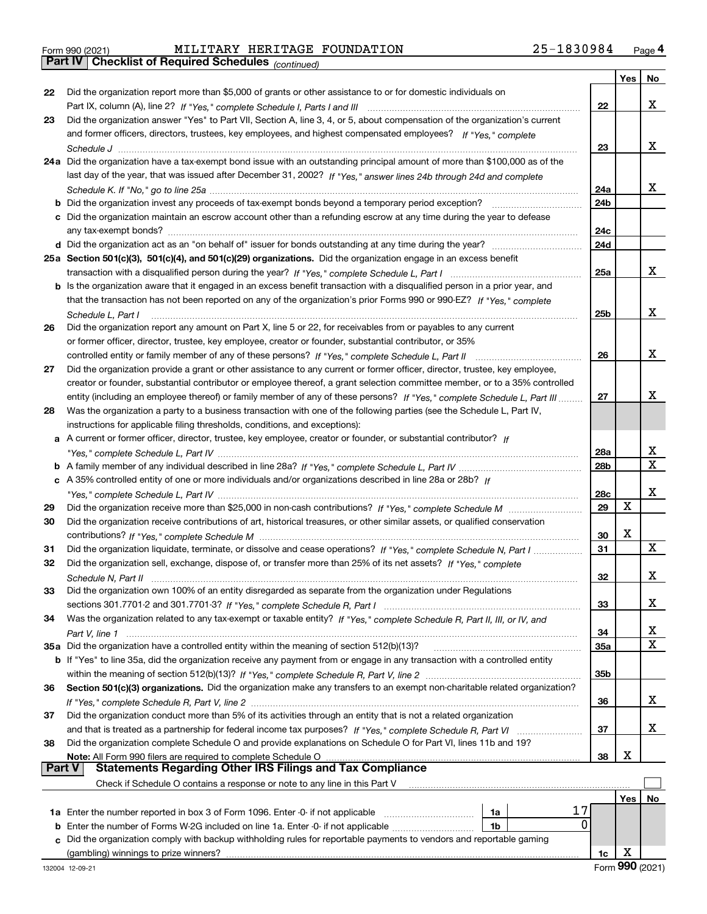|  | Form 990 (2021) |
|--|-----------------|
|  |                 |

# Form 990 (2021) MILITARY HERITAGE FOUNDATION 25-1830984 <sub>Page</sub> 4<br>**Part IV | Checklist of Required Schedules** <sub>(continued)</sub>

*(continued)*

|               |                                                                                                                                    |                        | Yes | No |
|---------------|------------------------------------------------------------------------------------------------------------------------------------|------------------------|-----|----|
| 22            | Did the organization report more than \$5,000 of grants or other assistance to or for domestic individuals on                      |                        |     |    |
|               |                                                                                                                                    | 22                     |     | х  |
| 23            | Did the organization answer "Yes" to Part VII, Section A, line 3, 4, or 5, about compensation of the organization's current        |                        |     |    |
|               | and former officers, directors, trustees, key employees, and highest compensated employees? If "Yes," complete                     |                        |     |    |
|               |                                                                                                                                    | 23                     |     | х  |
|               | 24a Did the organization have a tax-exempt bond issue with an outstanding principal amount of more than \$100,000 as of the        |                        |     |    |
|               | last day of the year, that was issued after December 31, 2002? If "Yes," answer lines 24b through 24d and complete                 |                        |     |    |
|               |                                                                                                                                    | 24a                    |     | х  |
|               | b Did the organization invest any proceeds of tax-exempt bonds beyond a temporary period exception?                                | 24 <sub>b</sub>        |     |    |
|               | c Did the organization maintain an escrow account other than a refunding escrow at any time during the year to defease             |                        |     |    |
|               |                                                                                                                                    | 24c                    |     |    |
|               |                                                                                                                                    | 24d                    |     |    |
|               | 25a Section 501(c)(3), 501(c)(4), and 501(c)(29) organizations. Did the organization engage in an excess benefit                   |                        |     |    |
|               |                                                                                                                                    | 25a                    |     | х  |
|               | b Is the organization aware that it engaged in an excess benefit transaction with a disqualified person in a prior year, and       |                        |     |    |
|               | that the transaction has not been reported on any of the organization's prior Forms 990 or 990-EZ? If "Yes." complete              |                        |     |    |
|               | Schedule L, Part I                                                                                                                 | 25 <sub>b</sub>        |     | х  |
| 26            | Did the organization report any amount on Part X, line 5 or 22, for receivables from or payables to any current                    |                        |     |    |
|               | or former officer, director, trustee, key employee, creator or founder, substantial contributor, or 35%                            |                        |     |    |
|               | controlled entity or family member of any of these persons? If "Yes," complete Schedule L, Part II                                 | 26                     |     | х  |
| 27            | Did the organization provide a grant or other assistance to any current or former officer, director, trustee, key employee,        |                        |     |    |
|               | creator or founder, substantial contributor or employee thereof, a grant selection committee member, or to a 35% controlled        |                        |     |    |
|               | entity (including an employee thereof) or family member of any of these persons? If "Yes," complete Schedule L, Part III           | 27                     |     | x  |
| 28            | Was the organization a party to a business transaction with one of the following parties (see the Schedule L, Part IV,             |                        |     |    |
|               | instructions for applicable filing thresholds, conditions, and exceptions):                                                        |                        |     |    |
|               | a A current or former officer, director, trustee, key employee, creator or founder, or substantial contributor? If                 |                        |     | x  |
|               |                                                                                                                                    | 28a<br>28 <sub>b</sub> |     | X  |
|               | c A 35% controlled entity of one or more individuals and/or organizations described in line 28a or 28b? If                         |                        |     |    |
|               |                                                                                                                                    | 28c                    |     | х  |
| 29            |                                                                                                                                    | 29                     | х   |    |
| 30            | Did the organization receive contributions of art, historical treasures, or other similar assets, or qualified conservation        |                        |     |    |
|               |                                                                                                                                    | 30                     | x   |    |
| 31            | Did the organization liquidate, terminate, or dissolve and cease operations? If "Yes," complete Schedule N, Part I                 | 31                     |     | x  |
| 32            | Did the organization sell, exchange, dispose of, or transfer more than 25% of its net assets? If "Yes," complete                   |                        |     |    |
|               |                                                                                                                                    | 32                     |     | x  |
| 33            | Did the organization own 100% of an entity disregarded as separate from the organization under Regulations                         |                        |     |    |
|               |                                                                                                                                    | 33                     |     | X  |
| 34            | Was the organization related to any tax-exempt or taxable entity? If "Yes," complete Schedule R, Part II, III, or IV, and          |                        |     |    |
|               |                                                                                                                                    | 34                     |     | x  |
|               | 35a Did the organization have a controlled entity within the meaning of section 512(b)(13)?                                        | 35a                    |     | x  |
|               | <b>b</b> If "Yes" to line 35a, did the organization receive any payment from or engage in any transaction with a controlled entity |                        |     |    |
|               |                                                                                                                                    | 35 <sub>b</sub>        |     |    |
| 36            | Section 501(c)(3) organizations. Did the organization make any transfers to an exempt non-charitable related organization?         |                        |     |    |
|               |                                                                                                                                    | 36                     |     | x  |
| 37            | Did the organization conduct more than 5% of its activities through an entity that is not a related organization                   |                        |     |    |
|               |                                                                                                                                    | 37                     |     | x  |
| 38            | Did the organization complete Schedule O and provide explanations on Schedule O for Part VI, lines 11b and 19?                     |                        |     |    |
|               | Note: All Form 990 filers are required to complete Schedule O                                                                      | 38                     | х   |    |
| <b>Part V</b> | <b>Statements Regarding Other IRS Filings and Tax Compliance</b>                                                                   |                        |     |    |
|               | Check if Schedule O contains a response or note to any line in this Part V                                                         |                        |     |    |
|               |                                                                                                                                    |                        | Yes | No |
|               | 17<br>1a Enter the number reported in box 3 of Form 1096. Enter -0- if not applicable<br>1a                                        |                        |     |    |
| b             | 0<br>Enter the number of Forms W-2G included on line 1a. Enter -0- if not applicable <i>manumumum</i><br>1b                        |                        |     |    |
|               | Did the organization comply with backup withholding rules for reportable payments to vendors and reportable gaming                 |                        |     |    |
|               |                                                                                                                                    | 1c                     | х   |    |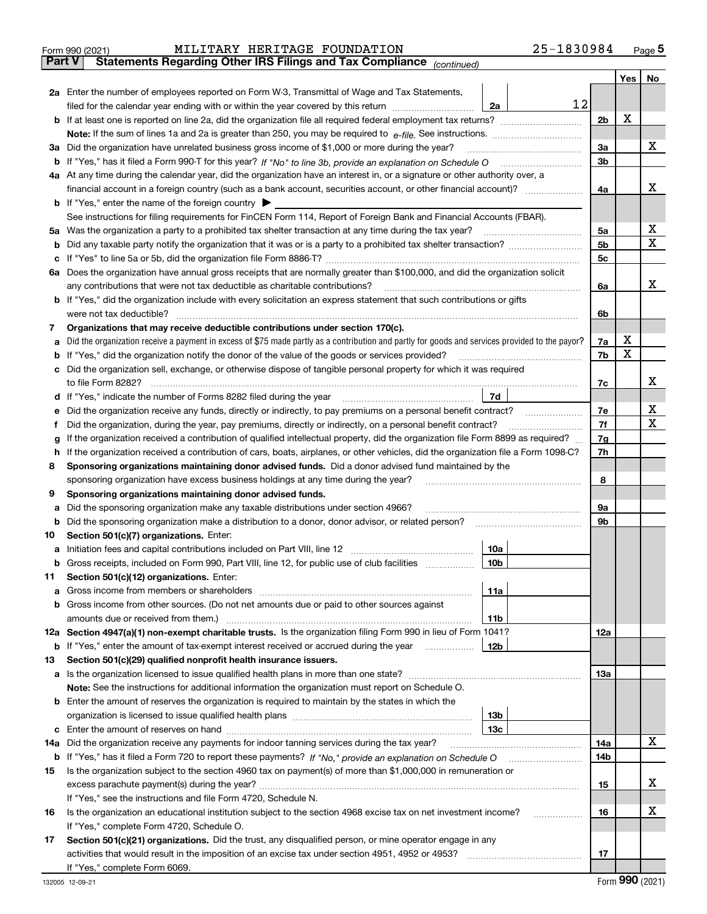|        | 25-1830984<br>MILITARY HERITAGE FOUNDATION<br>Form 990 (2021)                                                                                                                                                                         |                |     | $_{\text{Page}}$ 5 |
|--------|---------------------------------------------------------------------------------------------------------------------------------------------------------------------------------------------------------------------------------------|----------------|-----|--------------------|
| Part V | Statements Regarding Other IRS Filings and Tax Compliance (continued)                                                                                                                                                                 |                |     |                    |
|        |                                                                                                                                                                                                                                       |                | Yes | No                 |
|        | 2a Enter the number of employees reported on Form W-3, Transmittal of Wage and Tax Statements,                                                                                                                                        |                |     |                    |
|        | 12<br>filed for the calendar year ending with or within the year covered by this return<br>2a                                                                                                                                         |                |     |                    |
|        |                                                                                                                                                                                                                                       | 2 <sub>b</sub> | х   |                    |
|        |                                                                                                                                                                                                                                       |                |     |                    |
| За     | Did the organization have unrelated business gross income of \$1,000 or more during the year?                                                                                                                                         | 3a             |     | х                  |
| b      |                                                                                                                                                                                                                                       | 3 <sub>b</sub> |     |                    |
|        | 4a At any time during the calendar year, did the organization have an interest in, or a signature or other authority over, a                                                                                                          |                |     |                    |
|        |                                                                                                                                                                                                                                       |                |     | x                  |
|        |                                                                                                                                                                                                                                       | 4a             |     |                    |
|        | <b>b</b> If "Yes," enter the name of the foreign country $\blacktriangleright$                                                                                                                                                        |                |     |                    |
|        | See instructions for filing requirements for FinCEN Form 114, Report of Foreign Bank and Financial Accounts (FBAR).                                                                                                                   |                |     |                    |
| 5a     | Was the organization a party to a prohibited tax shelter transaction at any time during the tax year?                                                                                                                                 | 5a             |     | х                  |
| b      |                                                                                                                                                                                                                                       | 5 <sub>b</sub> |     | X                  |
| с      |                                                                                                                                                                                                                                       | 5c             |     |                    |
|        | 6a Does the organization have annual gross receipts that are normally greater than \$100,000, and did the organization solicit                                                                                                        |                |     |                    |
|        |                                                                                                                                                                                                                                       | 6a             |     | x                  |
|        | b If "Yes," did the organization include with every solicitation an express statement that such contributions or gifts                                                                                                                |                |     |                    |
|        | were not tax deductible?                                                                                                                                                                                                              | 6b             |     |                    |
| 7      | Organizations that may receive deductible contributions under section 170(c).                                                                                                                                                         |                |     |                    |
| a      | Did the organization receive a payment in excess of \$75 made partly as a contribution and partly for goods and services provided to the payor?                                                                                       | 7a             | x   |                    |
| b      | If "Yes," did the organization notify the donor of the value of the goods or services provided?                                                                                                                                       | 7b             | X   |                    |
|        | Did the organization sell, exchange, or otherwise dispose of tangible personal property for which it was required                                                                                                                     |                |     |                    |
|        |                                                                                                                                                                                                                                       | 7c             |     | x                  |
| d      | 7d<br>If "Yes," indicate the number of Forms 8282 filed during the year manufactured in the numerous control of Forms and The New York and The New York and The New York and The New York and The New York and The New York and The   |                |     |                    |
| е      | Did the organization receive any funds, directly or indirectly, to pay premiums on a personal benefit contract?                                                                                                                       | 7e             |     | х                  |
| f      | Did the organization, during the year, pay premiums, directly or indirectly, on a personal benefit contract?                                                                                                                          | 7f             |     | X                  |
| g      | If the organization received a contribution of qualified intellectual property, did the organization file Form 8899 as required?                                                                                                      | 7g             |     |                    |
| h      | If the organization received a contribution of cars, boats, airplanes, or other vehicles, did the organization file a Form 1098-C?                                                                                                    | 7h             |     |                    |
| 8      | Sponsoring organizations maintaining donor advised funds. Did a donor advised fund maintained by the                                                                                                                                  |                |     |                    |
|        | sponsoring organization have excess business holdings at any time during the year?                                                                                                                                                    | 8              |     |                    |
| 9      | Sponsoring organizations maintaining donor advised funds.                                                                                                                                                                             |                |     |                    |
| a      | Did the sponsoring organization make any taxable distributions under section 4966?                                                                                                                                                    | 9а             |     |                    |
| b      | Did the sponsoring organization make a distribution to a donor, donor advisor, or related person?                                                                                                                                     | 9b             |     |                    |
| 10     | Section 501(c)(7) organizations. Enter:                                                                                                                                                                                               |                |     |                    |
|        | 10a<br>a Initiation fees and capital contributions included on Part VIII, line 12 [111] [11] [12] [11] [12] [11] [12] [11] [12] [11] [12] [11] [12] [11] [12] [11] [12] [11] [12] [11] [12] [11] [12] [11] [12] [11] [12] [11] [12] [ |                |     |                    |
|        | 10b<br>Gross receipts, included on Form 990, Part VIII, line 12, for public use of club facilities                                                                                                                                    |                |     |                    |
| 11     | Section 501(c)(12) organizations. Enter:                                                                                                                                                                                              |                |     |                    |
| а      | 11a<br>Gross income from members or shareholders                                                                                                                                                                                      |                |     |                    |
|        | Gross income from other sources. (Do not net amounts due or paid to other sources against                                                                                                                                             |                |     |                    |
| b      | 11 <sub>b</sub>                                                                                                                                                                                                                       |                |     |                    |
|        | amounts due or received from them.)<br>12a Section 4947(a)(1) non-exempt charitable trusts. Is the organization filing Form 990 in lieu of Form 1041?                                                                                 |                |     |                    |
|        |                                                                                                                                                                                                                                       | <b>12a</b>     |     |                    |
|        | <b>b</b> If "Yes," enter the amount of tax-exempt interest received or accrued during the year<br>12 <sub>b</sub>                                                                                                                     |                |     |                    |
| 13     | Section 501(c)(29) qualified nonprofit health insurance issuers.                                                                                                                                                                      |                |     |                    |
|        | a Is the organization licensed to issue qualified health plans in more than one state?                                                                                                                                                | 13a            |     |                    |
|        | Note: See the instructions for additional information the organization must report on Schedule O.                                                                                                                                     |                |     |                    |
|        | <b>b</b> Enter the amount of reserves the organization is required to maintain by the states in which the                                                                                                                             |                |     |                    |
|        | 13 <sub>b</sub>                                                                                                                                                                                                                       |                |     |                    |
| c      | 13 <sub>c</sub>                                                                                                                                                                                                                       |                |     |                    |
| 14a    | Did the organization receive any payments for indoor tanning services during the tax year?                                                                                                                                            | 14a            |     | x                  |
|        |                                                                                                                                                                                                                                       | 14b            |     |                    |
| 15     | Is the organization subject to the section 4960 tax on payment(s) of more than \$1,000,000 in remuneration or                                                                                                                         |                |     |                    |
|        |                                                                                                                                                                                                                                       | 15             |     | х                  |
|        | If "Yes," see the instructions and file Form 4720, Schedule N.                                                                                                                                                                        |                |     |                    |
| 16     | Is the organization an educational institution subject to the section 4968 excise tax on net investment income?                                                                                                                       | 16             |     | х                  |
|        | If "Yes," complete Form 4720, Schedule O.                                                                                                                                                                                             |                |     |                    |
| 17     | Section 501(c)(21) organizations. Did the trust, any disqualified person, or mine operator engage in any                                                                                                                              |                |     |                    |
|        | activities that would result in the imposition of an excise tax under section 4951, 4952 or 4953?                                                                                                                                     | 17             |     |                    |
|        | If "Yes," complete Form 6069.                                                                                                                                                                                                         |                |     |                    |

 $\overline{\phantom{a}}$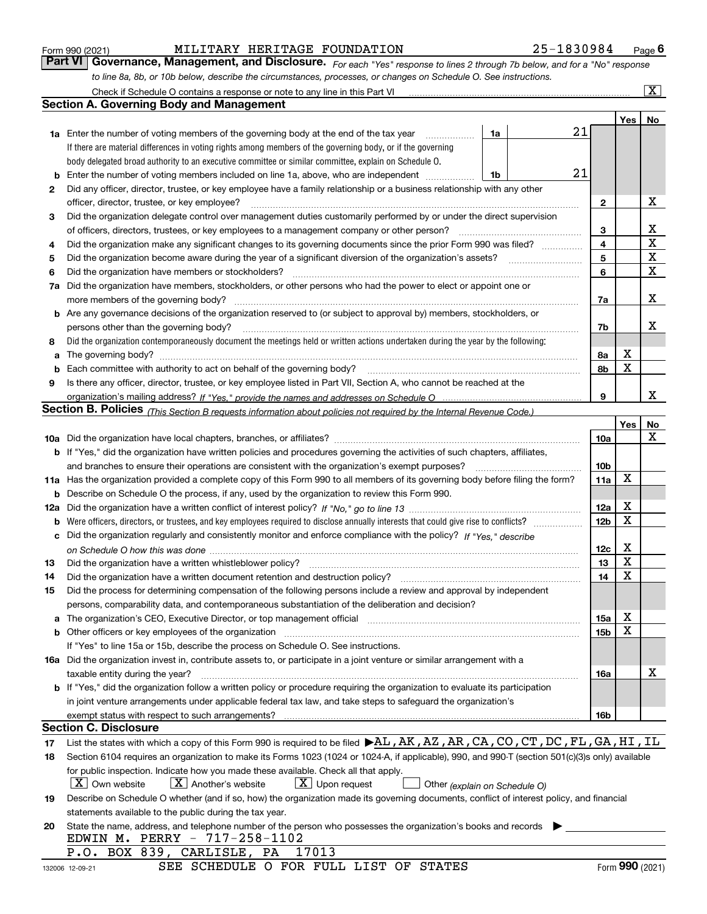|  | Form 990 (2021) |
|--|-----------------|
|  |                 |

| Form 990 (2021) |                                                                                                                  | MILITARY HERITAGE FOUNDATION | 25-1830984                                                                                                                     | $P_{\text{aqe}}$ 6 |
|-----------------|------------------------------------------------------------------------------------------------------------------|------------------------------|--------------------------------------------------------------------------------------------------------------------------------|--------------------|
|                 |                                                                                                                  |                              | Part VI   Governance, Management, and Disclosure. For each "Yes" response to lines 2 through 7b below, and for a "No" response |                    |
|                 | to line 8a, 8b, or 10b below, describe the circumstances, processes, or changes on Schedule O. See instructions. |                              |                                                                                                                                |                    |

|     | Check if Schedule O contains a response or note to any line in this Part VI                                                                                                                                                                                                                                                    |    |    |                |     | $\overline{\mathbf{x}}$ |  |  |  |
|-----|--------------------------------------------------------------------------------------------------------------------------------------------------------------------------------------------------------------------------------------------------------------------------------------------------------------------------------|----|----|----------------|-----|-------------------------|--|--|--|
|     | <b>Section A. Governing Body and Management</b>                                                                                                                                                                                                                                                                                |    |    |                |     |                         |  |  |  |
|     |                                                                                                                                                                                                                                                                                                                                |    |    |                | Yes | No                      |  |  |  |
|     | <b>1a</b> Enter the number of voting members of the governing body at the end of the tax year<br>and a construction of the construction of the construction of the construction of the construction of the construction of the construction of the construction of the construction of the construction of the construction of | 1a | 21 |                |     |                         |  |  |  |
|     | If there are material differences in voting rights among members of the governing body, or if the governing                                                                                                                                                                                                                    |    |    |                |     |                         |  |  |  |
|     | body delegated broad authority to an executive committee or similar committee, explain on Schedule O.                                                                                                                                                                                                                          |    |    |                |     |                         |  |  |  |
| b   | Enter the number of voting members included on line 1a, above, who are independent                                                                                                                                                                                                                                             | 1b | 21 |                |     |                         |  |  |  |
| 2   | Did any officer, director, trustee, or key employee have a family relationship or a business relationship with any other                                                                                                                                                                                                       |    |    |                |     |                         |  |  |  |
|     | officer, director, trustee, or key employee?                                                                                                                                                                                                                                                                                   |    |    | $\mathbf{2}$   |     | X                       |  |  |  |
| 3   | Did the organization delegate control over management duties customarily performed by or under the direct supervision                                                                                                                                                                                                          |    |    |                |     |                         |  |  |  |
|     | of officers, directors, trustees, or key employees to a management company or other person?                                                                                                                                                                                                                                    |    |    | 3              |     | х                       |  |  |  |
| 4   | Did the organization make any significant changes to its governing documents since the prior Form 990 was filed?                                                                                                                                                                                                               |    |    | $\overline{4}$ |     | X                       |  |  |  |
| 5   |                                                                                                                                                                                                                                                                                                                                |    |    | 5              |     | $\mathbf X$             |  |  |  |
| 6   | Did the organization have members or stockholders?                                                                                                                                                                                                                                                                             |    |    | 6              |     | $\mathbf X$             |  |  |  |
| 7a  | Did the organization have members, stockholders, or other persons who had the power to elect or appoint one or                                                                                                                                                                                                                 |    |    |                |     |                         |  |  |  |
|     | more members of the governing body?                                                                                                                                                                                                                                                                                            |    |    | 7a             |     | х                       |  |  |  |
|     | <b>b</b> Are any governance decisions of the organization reserved to (or subject to approval by) members, stockholders, or                                                                                                                                                                                                    |    |    |                |     |                         |  |  |  |
|     | persons other than the governing body?                                                                                                                                                                                                                                                                                         |    |    | 7b             |     | х                       |  |  |  |
| 8   | Did the organization contemporaneously document the meetings held or written actions undertaken during the year by the following:                                                                                                                                                                                              |    |    |                |     |                         |  |  |  |
| a   |                                                                                                                                                                                                                                                                                                                                |    |    | 8a             | X   |                         |  |  |  |
| b   | Each committee with authority to act on behalf of the governing body?                                                                                                                                                                                                                                                          |    |    | 8b             | X   |                         |  |  |  |
| 9   | Is there any officer, director, trustee, or key employee listed in Part VII, Section A, who cannot be reached at the                                                                                                                                                                                                           |    |    |                |     |                         |  |  |  |
|     |                                                                                                                                                                                                                                                                                                                                |    |    | 9              |     | x                       |  |  |  |
|     | <b>Section B. Policies</b> (This Section B requests information about policies not required by the Internal Revenue Code.)                                                                                                                                                                                                     |    |    |                |     |                         |  |  |  |
|     |                                                                                                                                                                                                                                                                                                                                |    |    |                | Yes | No                      |  |  |  |
|     |                                                                                                                                                                                                                                                                                                                                |    |    | 10a            |     | X                       |  |  |  |
|     | <b>b</b> If "Yes," did the organization have written policies and procedures governing the activities of such chapters, affiliates,                                                                                                                                                                                            |    |    |                |     |                         |  |  |  |
|     | and branches to ensure their operations are consistent with the organization's exempt purposes?                                                                                                                                                                                                                                |    |    | 10b            |     |                         |  |  |  |
| 11a | Has the organization provided a complete copy of this Form 990 to all members of its governing body before filing the form?                                                                                                                                                                                                    |    |    | 11a            | X   |                         |  |  |  |
| b   | Describe on Schedule O the process, if any, used by the organization to review this Form 990.                                                                                                                                                                                                                                  |    |    |                |     |                         |  |  |  |
| 12a |                                                                                                                                                                                                                                                                                                                                |    |    |                |     |                         |  |  |  |
| b   |                                                                                                                                                                                                                                                                                                                                |    |    | 12b            | X   |                         |  |  |  |
| с   | Did the organization regularly and consistently monitor and enforce compliance with the policy? If "Yes." describe                                                                                                                                                                                                             |    |    |                |     |                         |  |  |  |
|     |                                                                                                                                                                                                                                                                                                                                |    |    | 12c            | X   |                         |  |  |  |
| 13  | Did the organization have a written whistleblower policy?                                                                                                                                                                                                                                                                      |    |    | 13             | X   |                         |  |  |  |
| 14  | Did the organization have a written document retention and destruction policy?                                                                                                                                                                                                                                                 |    |    | 14             | X   |                         |  |  |  |
| 15  | Did the process for determining compensation of the following persons include a review and approval by independent                                                                                                                                                                                                             |    |    |                |     |                         |  |  |  |
|     | persons, comparability data, and contemporaneous substantiation of the deliberation and decision?                                                                                                                                                                                                                              |    |    |                |     |                         |  |  |  |
| а   | The organization's CEO, Executive Director, or top management official manufactured content of the organization's CEO, Executive Director, or top management official                                                                                                                                                          |    |    | 15a            | Χ   |                         |  |  |  |
|     | <b>b</b> Other officers or key employees of the organization                                                                                                                                                                                                                                                                   |    |    | 15b            | X   |                         |  |  |  |
|     | If "Yes" to line 15a or 15b, describe the process on Schedule O. See instructions.                                                                                                                                                                                                                                             |    |    |                |     |                         |  |  |  |
|     | 16a Did the organization invest in, contribute assets to, or participate in a joint venture or similar arrangement with a                                                                                                                                                                                                      |    |    |                |     |                         |  |  |  |
|     | taxable entity during the year?                                                                                                                                                                                                                                                                                                |    |    | 16a            |     | x                       |  |  |  |
|     | b If "Yes," did the organization follow a written policy or procedure requiring the organization to evaluate its participation                                                                                                                                                                                                 |    |    |                |     |                         |  |  |  |
|     | in joint venture arrangements under applicable federal tax law, and take steps to safeguard the organization's                                                                                                                                                                                                                 |    |    |                |     |                         |  |  |  |
|     | exempt status with respect to such arrangements?                                                                                                                                                                                                                                                                               |    |    | 16b            |     |                         |  |  |  |
|     | <b>Section C. Disclosure</b>                                                                                                                                                                                                                                                                                                   |    |    |                |     |                         |  |  |  |
| 17  | List the states with which a copy of this Form 990 is required to be filed $\blacktriangleright$ AL, AK, AZ, AR, CA, CO, CT, DC, FL, GA, HI, IL                                                                                                                                                                                |    |    |                |     |                         |  |  |  |
| 18  | Section 6104 requires an organization to make its Forms 1023 (1024 or 1024-A, if applicable), 990, and 990-T (section 501(c)(3)s only) available                                                                                                                                                                               |    |    |                |     |                         |  |  |  |
|     | for public inspection. Indicate how you made these available. Check all that apply.                                                                                                                                                                                                                                            |    |    |                |     |                         |  |  |  |
|     | $X$ Own website<br>$X$ Another's website<br>$X$ Upon request<br>Other (explain on Schedule O)                                                                                                                                                                                                                                  |    |    |                |     |                         |  |  |  |
| 19  | Describe on Schedule O whether (and if so, how) the organization made its governing documents, conflict of interest policy, and financial                                                                                                                                                                                      |    |    |                |     |                         |  |  |  |
|     | statements available to the public during the tax year.                                                                                                                                                                                                                                                                        |    |    |                |     |                         |  |  |  |
| 20  | State the name, address, and telephone number of the person who possesses the organization's books and records                                                                                                                                                                                                                 |    |    |                |     |                         |  |  |  |
|     | EDWIN M. PERRY - 717-258-1102<br>17013<br>P.O. BOX 839, CARLISLE, PA                                                                                                                                                                                                                                                           |    |    |                |     |                         |  |  |  |
|     | SEE SCHEDULE O FOR FULL LIST OF STATES                                                                                                                                                                                                                                                                                         |    |    |                |     | Form 990 (2021)         |  |  |  |
|     | 132006 12-09-21                                                                                                                                                                                                                                                                                                                |    |    |                |     |                         |  |  |  |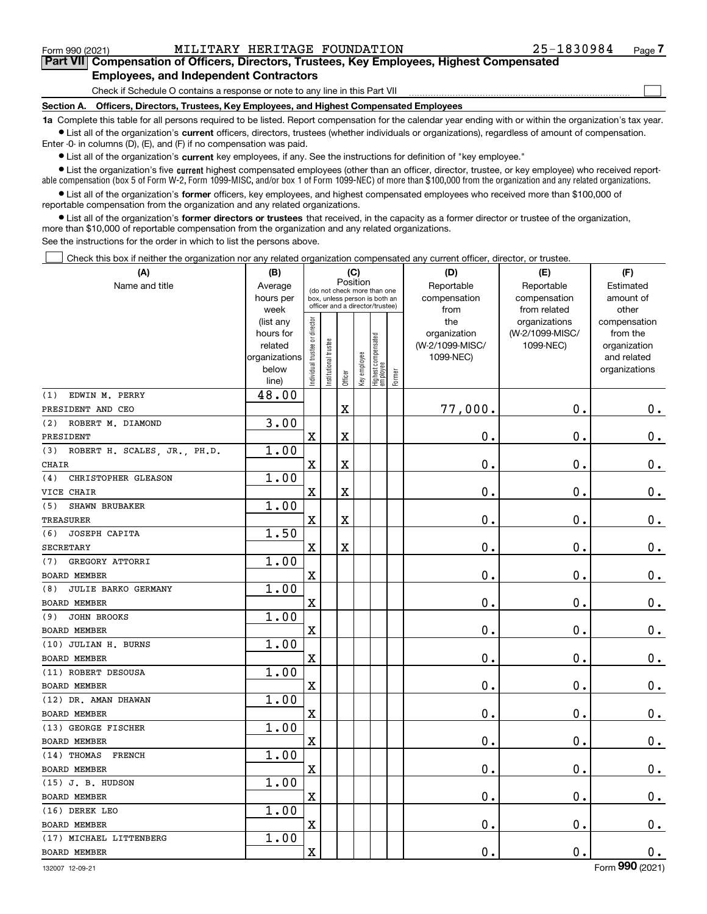$\mathcal{L}^{\text{max}}$ 

# **7Part VII Compensation of Officers, Directors, Trustees, Key Employees, Highest Compensated Employees, and Independent Contractors**

Check if Schedule O contains a response or note to any line in this Part VII

**Section A. Officers, Directors, Trustees, Key Employees, and Highest Compensated Employees**

**1a**  Complete this table for all persons required to be listed. Report compensation for the calendar year ending with or within the organization's tax year. **•** List all of the organization's current officers, directors, trustees (whether individuals or organizations), regardless of amount of compensation.

Enter -0- in columns (D), (E), and (F) if no compensation was paid.

 $\bullet$  List all of the organization's  $\sf current$  key employees, if any. See the instructions for definition of "key employee."

**•** List the organization's five current highest compensated employees (other than an officer, director, trustee, or key employee) who received reportable compensation (box 5 of Form W-2, Form 1099-MISC, and/or box 1 of Form 1099-NEC) of more than \$100,000 from the organization and any related organizations.

**•** List all of the organization's former officers, key employees, and highest compensated employees who received more than \$100,000 of reportable compensation from the organization and any related organizations.

**former directors or trustees**  ¥ List all of the organization's that received, in the capacity as a former director or trustee of the organization, more than \$10,000 of reportable compensation from the organization and any related organizations.

See the instructions for the order in which to list the persons above.

Check this box if neither the organization nor any related organization compensated any current officer, director, or trustee.  $\mathcal{L}^{\text{max}}$ 

| (A)                                 | (B)               |                                         |                                                                  |         | (C)          |                                   |        | (D)             | (E)                           | (F)                   |
|-------------------------------------|-------------------|-----------------------------------------|------------------------------------------------------------------|---------|--------------|-----------------------------------|--------|-----------------|-------------------------------|-----------------------|
| Name and title                      | Average           | Position<br>(do not check more than one |                                                                  |         |              |                                   |        | Reportable      | Reportable                    | Estimated             |
|                                     | hours per         |                                         | box, unless person is both an<br>officer and a director/trustee) |         |              |                                   |        | compensation    | compensation                  | amount of             |
|                                     | week<br>(list any |                                         |                                                                  |         |              |                                   |        | from<br>the     | from related<br>organizations | other<br>compensation |
|                                     | hours for         |                                         |                                                                  |         |              |                                   |        | organization    | (W-2/1099-MISC/               | from the              |
|                                     | related           |                                         |                                                                  |         |              |                                   |        | (W-2/1099-MISC/ | 1099-NEC)                     | organization          |
|                                     | organizations     |                                         |                                                                  |         |              |                                   |        | 1099-NEC)       |                               | and related           |
|                                     | below             | Individual trustee or director          | In stitutional trustee                                           |         | Key employee | Highest compensated<br>  employee | Former |                 |                               | organizations         |
|                                     | line)             |                                         |                                                                  | Officer |              |                                   |        |                 |                               |                       |
| EDWIN M. PERRY<br>(1)               | 48.00             |                                         |                                                                  |         |              |                                   |        |                 |                               |                       |
| PRESIDENT AND CEO                   |                   |                                         |                                                                  | X       |              |                                   |        | 77,000.         | 0.                            | $0_{.}$               |
| ROBERT M. DIAMOND<br>(2)            | 3.00              |                                         |                                                                  |         |              |                                   |        |                 |                               |                       |
| PRESIDENT                           |                   | $\mathbf X$                             |                                                                  | X       |              |                                   |        | 0.              | 0.                            | $0_{.}$               |
| (3)<br>ROBERT H. SCALES, JR., PH.D. | 1.00              |                                         |                                                                  |         |              |                                   |        |                 |                               |                       |
| <b>CHAIR</b>                        |                   | $\mathbf X$                             |                                                                  | X       |              |                                   |        | $\mathbf 0$ .   | $\mathbf 0$ .                 | $\mathbf 0$ .         |
| CHRISTOPHER GLEASON<br>(4)          | 1.00              |                                         |                                                                  |         |              |                                   |        |                 |                               |                       |
| VICE CHAIR                          |                   | $\mathbf X$                             |                                                                  | X       |              |                                   |        | $\mathbf 0$ .   | 0.                            | $\mathbf 0$ .         |
| SHAWN BRUBAKER<br>(5)               | 1.00              |                                         |                                                                  |         |              |                                   |        |                 |                               |                       |
| <b>TREASURER</b>                    |                   | $\mathbf X$                             |                                                                  | X       |              |                                   |        | $\mathbf 0$ .   | 0.                            | $0_{.}$               |
| (6)<br>JOSEPH CAPITA                | 1.50              |                                         |                                                                  |         |              |                                   |        |                 |                               |                       |
| <b>SECRETARY</b>                    |                   | $\mathbf X$                             |                                                                  | X       |              |                                   |        | $\mathbf 0$ .   | 0.                            | $0_{.}$               |
| GREGORY ATTORRI<br>(7)              | 1.00              |                                         |                                                                  |         |              |                                   |        |                 |                               |                       |
| <b>BOARD MEMBER</b>                 |                   | $\mathbf X$                             |                                                                  |         |              |                                   |        | 0.              | 0.                            | $0_{.}$               |
| JULIE BARKO GERMANY<br>(8)          | 1.00              |                                         |                                                                  |         |              |                                   |        |                 |                               |                       |
| <b>BOARD MEMBER</b>                 |                   | $\mathbf X$                             |                                                                  |         |              |                                   |        | $\mathbf 0$ .   | 0.                            | $\mathbf 0$ .         |
| <b>JOHN BROOKS</b><br>(9)           | 1.00              |                                         |                                                                  |         |              |                                   |        |                 |                               |                       |
| <b>BOARD MEMBER</b>                 |                   | $\mathbf x$                             |                                                                  |         |              |                                   |        | $\mathbf 0$ .   | $\mathbf 0$ .                 | $0_{.}$               |
| (10) JULIAN H. BURNS                | 1.00              |                                         |                                                                  |         |              |                                   |        |                 |                               |                       |
| <b>BOARD MEMBER</b>                 |                   | X                                       |                                                                  |         |              |                                   |        | $\mathbf 0$ .   | $\mathbf 0$ .                 | $\mathbf 0$ .         |
| (11) ROBERT DESOUSA                 | 1.00              |                                         |                                                                  |         |              |                                   |        |                 |                               |                       |
| <b>BOARD MEMBER</b>                 |                   | $\mathbf X$                             |                                                                  |         |              |                                   |        | $\mathbf 0$ .   | $\mathbf 0$ .                 | 0.                    |
| (12) DR. AMAN DHAWAN                | 1.00              |                                         |                                                                  |         |              |                                   |        |                 |                               |                       |
| <b>BOARD MEMBER</b>                 |                   | $\mathbf X$                             |                                                                  |         |              |                                   |        | $\mathbf 0$ .   | $\mathbf 0$ .                 | $\mathbf 0$ .         |
| (13) GEORGE FISCHER                 | 1.00              |                                         |                                                                  |         |              |                                   |        |                 |                               |                       |
| <b>BOARD MEMBER</b>                 |                   | $\mathbf X$                             |                                                                  |         |              |                                   |        | $\mathbf 0$ .   | $\mathbf 0$ .                 | $\mathbf 0$ .         |
| (14) THOMAS<br><b>FRENCH</b>        | 1.00              |                                         |                                                                  |         |              |                                   |        |                 |                               |                       |
| <b>BOARD MEMBER</b>                 |                   | $\mathbf X$                             |                                                                  |         |              |                                   |        | 0.              | 0.                            | $\mathbf 0$ .         |
| $(15)$ J. B. HUDSON                 | 1.00              |                                         |                                                                  |         |              |                                   |        |                 |                               |                       |
| <b>BOARD MEMBER</b>                 |                   | $\mathbf X$                             |                                                                  |         |              |                                   |        | $\mathbf 0$ .   | 0.                            | $0_{.}$               |
| (16) DEREK LEO                      | 1.00              |                                         |                                                                  |         |              |                                   |        |                 |                               |                       |
| <b>BOARD MEMBER</b>                 |                   | $\mathbf X$                             |                                                                  |         |              |                                   |        | $\mathbf 0$ .   | 0.                            | $\mathbf 0$ .         |
| (17) MICHAEL LITTENBERG             | 1.00              |                                         |                                                                  |         |              |                                   |        |                 |                               |                       |
| <b>BOARD MEMBER</b>                 |                   | $\mathbf X$                             |                                                                  |         |              |                                   |        | $\mathbf 0$ .   | 0.                            | $\mathbf 0$ .         |
|                                     |                   |                                         |                                                                  |         |              |                                   |        |                 |                               |                       |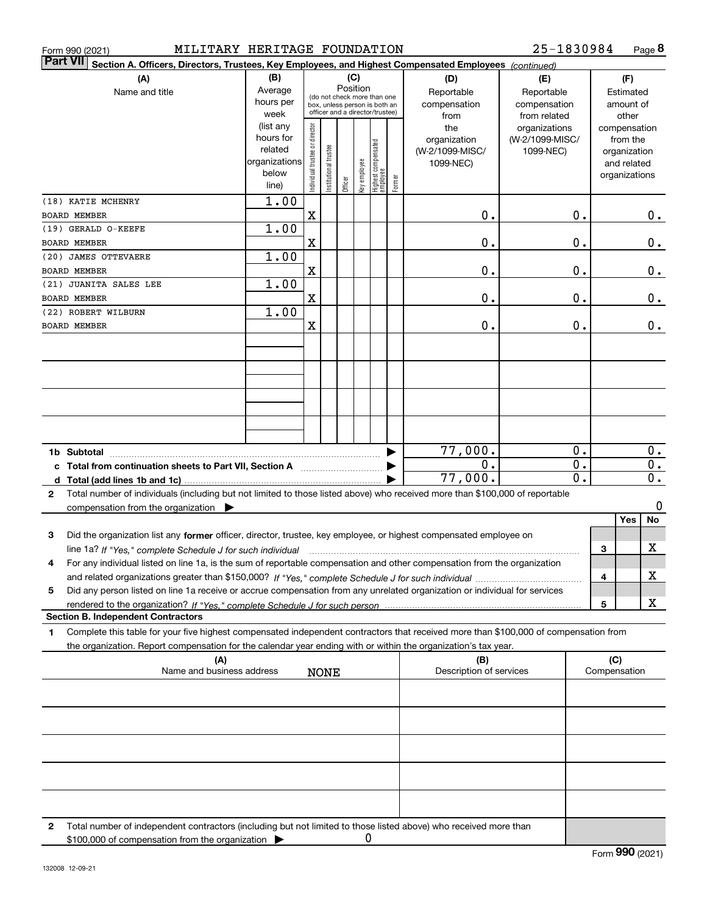|   | MILITARY HERITAGE FOUNDATION<br>Form 990 (2021)                                                                                                                                          |                                                                      |                                |                       |                                                                                                             |     |                                                 |        |                                                             | 25-1830984                                    |                  |     | Page 8                                                                            |                  |
|---|------------------------------------------------------------------------------------------------------------------------------------------------------------------------------------------|----------------------------------------------------------------------|--------------------------------|-----------------------|-------------------------------------------------------------------------------------------------------------|-----|-------------------------------------------------|--------|-------------------------------------------------------------|-----------------------------------------------|------------------|-----|-----------------------------------------------------------------------------------|------------------|
|   | Part VII <br>Section A. Officers, Directors, Trustees, Key Employees, and Highest Compensated Employees (continued)                                                                      |                                                                      |                                |                       |                                                                                                             |     |                                                 |        |                                                             |                                               |                  |     |                                                                                   |                  |
|   | (A)                                                                                                                                                                                      | (B)                                                                  |                                |                       |                                                                                                             | (C) |                                                 |        | (D)                                                         | (E)                                           |                  |     | (F)                                                                               |                  |
|   | Name and title                                                                                                                                                                           | Average<br>hours per<br>week                                         |                                |                       | Position<br>(do not check more than one<br>box, unless person is both an<br>officer and a director/trustee) |     |                                                 |        | Reportable<br>compensation                                  | Reportable<br>compensation<br>from related    |                  |     | Estimated<br>amount of                                                            |                  |
|   |                                                                                                                                                                                          | (list any<br>hours for<br>related<br>organizations<br>below<br>line) | Individual trustee or director | Institutional trustee | Officer                                                                                                     |     | key employee<br>Highest compensated<br>employee | Former | from<br>the<br>organization<br>(W-2/1099-MISC/<br>1099-NEC) | organizations<br>(W-2/1099-MISC/<br>1099-NEC) |                  |     | other<br>compensation<br>from the<br>organization<br>and related<br>organizations |                  |
|   | (18) KATIE MCHENRY                                                                                                                                                                       | 1.00                                                                 |                                |                       |                                                                                                             |     |                                                 |        |                                                             |                                               |                  |     |                                                                                   |                  |
|   | <b>BOARD MEMBER</b>                                                                                                                                                                      |                                                                      | X                              |                       |                                                                                                             |     |                                                 |        | 0.                                                          | 0.                                            |                  |     |                                                                                   | 0.               |
|   | (19) GERALD O-KEEFE                                                                                                                                                                      | 1.00                                                                 |                                |                       |                                                                                                             |     |                                                 |        |                                                             |                                               |                  |     |                                                                                   |                  |
|   | BOARD MEMBER                                                                                                                                                                             |                                                                      | Χ                              |                       |                                                                                                             |     |                                                 |        | 0.                                                          | Ο.                                            |                  |     |                                                                                   | 0.               |
|   | (20) JAMES OTTEVAERE                                                                                                                                                                     | 1.00                                                                 |                                |                       |                                                                                                             |     |                                                 |        |                                                             |                                               |                  |     |                                                                                   |                  |
|   | BOARD MEMBER<br>(21) JUANITA SALES LEE                                                                                                                                                   | 1.00                                                                 | Χ                              |                       |                                                                                                             |     |                                                 |        | 0.                                                          | 0.                                            |                  |     |                                                                                   | 0.               |
|   | BOARD MEMBER                                                                                                                                                                             |                                                                      | Χ                              |                       |                                                                                                             |     |                                                 |        | 0.                                                          | 0.                                            |                  |     |                                                                                   | 0.               |
|   | (22) ROBERT WILBURN                                                                                                                                                                      | 1.00                                                                 |                                |                       |                                                                                                             |     |                                                 |        |                                                             |                                               |                  |     |                                                                                   |                  |
|   | <b>BOARD MEMBER</b>                                                                                                                                                                      |                                                                      | Χ                              |                       |                                                                                                             |     |                                                 |        | $0$ .                                                       | 0.                                            |                  |     |                                                                                   | 0.               |
|   |                                                                                                                                                                                          |                                                                      |                                |                       |                                                                                                             |     |                                                 |        |                                                             |                                               |                  |     |                                                                                   |                  |
|   |                                                                                                                                                                                          |                                                                      |                                |                       |                                                                                                             |     |                                                 |        |                                                             |                                               |                  |     |                                                                                   |                  |
|   |                                                                                                                                                                                          |                                                                      |                                |                       |                                                                                                             |     |                                                 |        |                                                             |                                               |                  |     |                                                                                   |                  |
|   |                                                                                                                                                                                          |                                                                      |                                |                       |                                                                                                             |     |                                                 |        |                                                             |                                               |                  |     |                                                                                   |                  |
|   |                                                                                                                                                                                          |                                                                      |                                |                       |                                                                                                             |     |                                                 |        | 77,000.                                                     |                                               | 0.               |     |                                                                                   | 0.               |
|   | c Total from continuation sheets to Part VII, Section A manufactured by                                                                                                                  |                                                                      |                                |                       |                                                                                                             |     |                                                 |        | 0.                                                          |                                               | $\overline{0}$ . |     |                                                                                   | 0.               |
|   |                                                                                                                                                                                          |                                                                      |                                |                       |                                                                                                             |     |                                                 |        | 77,000.                                                     | $\overline{0}$ .                              |                  |     |                                                                                   | $\overline{0}$ . |
| 2 | Total number of individuals (including but not limited to those listed above) who received more than \$100,000 of reportable<br>compensation from the organization $\blacktriangleright$ |                                                                      |                                |                       |                                                                                                             |     |                                                 |        |                                                             |                                               |                  |     |                                                                                   | 0                |
|   |                                                                                                                                                                                          |                                                                      |                                |                       |                                                                                                             |     |                                                 |        |                                                             |                                               |                  |     | Yes                                                                               | No               |
| 3 | Did the organization list any former officer, director, trustee, key employee, or highest compensated employee on                                                                        |                                                                      |                                |                       |                                                                                                             |     |                                                 |        |                                                             |                                               |                  |     |                                                                                   |                  |
|   | line 1a? If "Yes," complete Schedule J for such individual manufactured contained and the line 1a? If "Yes," complete Schedule J for such individual                                     |                                                                      |                                |                       |                                                                                                             |     |                                                 |        |                                                             |                                               |                  | З   |                                                                                   | X                |
|   | For any individual listed on line 1a, is the sum of reportable compensation and other compensation from the organization                                                                 |                                                                      |                                |                       |                                                                                                             |     |                                                 |        |                                                             |                                               |                  |     |                                                                                   |                  |
| 5 | Did any person listed on line 1a receive or accrue compensation from any unrelated organization or individual for services                                                               |                                                                      |                                |                       |                                                                                                             |     |                                                 |        |                                                             |                                               |                  | 4   |                                                                                   | х                |
|   |                                                                                                                                                                                          |                                                                      |                                |                       |                                                                                                             |     |                                                 |        |                                                             |                                               |                  | 5   |                                                                                   | х                |
|   | <b>Section B. Independent Contractors</b>                                                                                                                                                |                                                                      |                                |                       |                                                                                                             |     |                                                 |        |                                                             |                                               |                  |     |                                                                                   |                  |
| 1 | Complete this table for your five highest compensated independent contractors that received more than \$100,000 of compensation from                                                     |                                                                      |                                |                       |                                                                                                             |     |                                                 |        |                                                             |                                               |                  |     |                                                                                   |                  |
|   | the organization. Report compensation for the calendar year ending with or within the organization's tax year.                                                                           |                                                                      |                                |                       |                                                                                                             |     |                                                 |        |                                                             |                                               |                  |     |                                                                                   |                  |
|   | (A)<br>Name and business address                                                                                                                                                         |                                                                      |                                | <b>NONE</b>           |                                                                                                             |     |                                                 |        | (B)<br>Description of services                              |                                               |                  | (C) | Compensation                                                                      |                  |
|   |                                                                                                                                                                                          |                                                                      |                                |                       |                                                                                                             |     |                                                 |        |                                                             |                                               |                  |     |                                                                                   |                  |
|   |                                                                                                                                                                                          |                                                                      |                                |                       |                                                                                                             |     |                                                 |        |                                                             |                                               |                  |     |                                                                                   |                  |
|   |                                                                                                                                                                                          |                                                                      |                                |                       |                                                                                                             |     |                                                 |        |                                                             |                                               |                  |     |                                                                                   |                  |
|   |                                                                                                                                                                                          |                                                                      |                                |                       |                                                                                                             |     |                                                 |        |                                                             |                                               |                  |     |                                                                                   |                  |
|   |                                                                                                                                                                                          |                                                                      |                                |                       |                                                                                                             |     |                                                 |        |                                                             |                                               |                  |     |                                                                                   |                  |
|   |                                                                                                                                                                                          |                                                                      |                                |                       |                                                                                                             |     |                                                 |        |                                                             |                                               |                  |     |                                                                                   |                  |

**2**Total number of independent contractors (including but not limited to those listed above) who received more than \$100,000 of compensation from the organization 0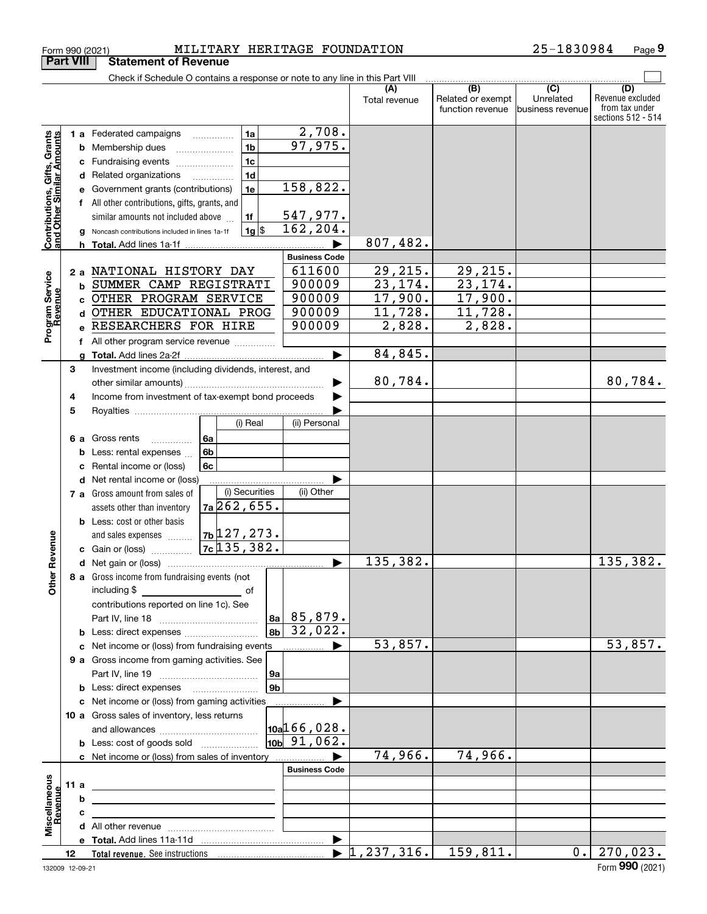|                                                           |                                   |                                                                  | Check if Schedule O contains a response or note to any line in this Part VIII                                         |                |                |                              |                                  |                                              |                                      |                                                                 |
|-----------------------------------------------------------|-----------------------------------|------------------------------------------------------------------|-----------------------------------------------------------------------------------------------------------------------|----------------|----------------|------------------------------|----------------------------------|----------------------------------------------|--------------------------------------|-----------------------------------------------------------------|
|                                                           |                                   |                                                                  |                                                                                                                       |                |                |                              | Total revenue                    | (B)<br>Related or exempt<br>function revenue | (C)<br>Unrelated<br>business revenue | (D)<br>Revenue excluded<br>from tax under<br>sections 512 - 514 |
|                                                           |                                   |                                                                  | <b>1 a</b> Federated campaigns                                                                                        | 1a             |                | 2,708.                       |                                  |                                              |                                      |                                                                 |
| Contributions, Gifts, Grants<br>and Other Similar Amounts |                                   | b                                                                | Membership dues                                                                                                       | 1 <sub>b</sub> |                | 97,975.                      |                                  |                                              |                                      |                                                                 |
|                                                           |                                   | c                                                                | Fundraising events                                                                                                    | 1 <sub>c</sub> |                |                              |                                  |                                              |                                      |                                                                 |
|                                                           |                                   |                                                                  | d Related organizations                                                                                               | 1 <sub>d</sub> |                |                              |                                  |                                              |                                      |                                                                 |
|                                                           |                                   |                                                                  | Government grants (contributions)                                                                                     | 1e             |                | 158,822.                     |                                  |                                              |                                      |                                                                 |
|                                                           |                                   |                                                                  | All other contributions, gifts, grants, and                                                                           |                |                |                              |                                  |                                              |                                      |                                                                 |
|                                                           |                                   |                                                                  | similar amounts not included above                                                                                    | 1f             |                | 547,977.                     |                                  |                                              |                                      |                                                                 |
|                                                           |                                   | a                                                                | Noncash contributions included in lines 1a-1f                                                                         | $1g$ \$        |                | 162, 204.                    |                                  |                                              |                                      |                                                                 |
|                                                           |                                   |                                                                  | <b>h</b> Total. Add lines 1a-1f                                                                                       |                |                |                              | 807,482.                         |                                              |                                      |                                                                 |
|                                                           |                                   |                                                                  |                                                                                                                       |                |                | <b>Business Code</b>         |                                  |                                              |                                      |                                                                 |
|                                                           |                                   |                                                                  | NATIONAL HISTORY DAY                                                                                                  |                |                | 611600                       | 29,215.                          | 29,215.                                      |                                      |                                                                 |
|                                                           | 2a<br>SUMMER CAMP REGISTRATI<br>b |                                                                  |                                                                                                                       |                |                | 900009                       | 23, 174.                         | 23,174.                                      |                                      |                                                                 |
|                                                           |                                   |                                                                  | OTHER PROGRAM SERVICE                                                                                                 |                |                | 900009                       | 17,900.                          | 17,900.                                      |                                      |                                                                 |
|                                                           |                                   |                                                                  | d OTHER EDUCATIONAL PROG                                                                                              |                |                | 900009                       | 11,728.                          | 11,728.                                      |                                      |                                                                 |
|                                                           |                                   |                                                                  | RESEARCHERS FOR HIRE                                                                                                  |                |                | 900009                       | 2,828.                           | 2,828.                                       |                                      |                                                                 |
| Program Service<br>Revenue                                |                                   |                                                                  | f All other program service revenue                                                                                   |                |                |                              |                                  |                                              |                                      |                                                                 |
|                                                           |                                   | a                                                                |                                                                                                                       |                |                |                              | 84,845.                          |                                              |                                      |                                                                 |
|                                                           | 3                                 |                                                                  | Investment income (including dividends, interest, and                                                                 |                |                |                              |                                  |                                              |                                      |                                                                 |
|                                                           |                                   |                                                                  |                                                                                                                       |                |                |                              | 80,784.                          |                                              |                                      | 80,784.                                                         |
|                                                           | 4                                 |                                                                  | Income from investment of tax-exempt bond proceeds                                                                    |                |                |                              |                                  |                                              |                                      |                                                                 |
|                                                           | 5                                 |                                                                  |                                                                                                                       |                |                |                              |                                  |                                              |                                      |                                                                 |
|                                                           |                                   |                                                                  |                                                                                                                       | (i) Real       |                | (ii) Personal                |                                  |                                              |                                      |                                                                 |
|                                                           |                                   | 6а                                                               | Gross rents                                                                                                           | 6a             |                |                              |                                  |                                              |                                      |                                                                 |
|                                                           |                                   |                                                                  |                                                                                                                       | 6b             |                |                              |                                  |                                              |                                      |                                                                 |
|                                                           |                                   | Less: rental expenses<br>b<br>Rental income or (loss)<br>6с<br>c |                                                                                                                       |                |                |                              |                                  |                                              |                                      |                                                                 |
|                                                           |                                   | d Net rental income or (loss)                                    |                                                                                                                       |                |                |                              |                                  |                                              |                                      |                                                                 |
|                                                           |                                   |                                                                  | 7 a Gross amount from sales of                                                                                        | (i) Securities |                | (ii) Other                   |                                  |                                              |                                      |                                                                 |
|                                                           |                                   |                                                                  | assets other than inventory                                                                                           | $7a$ 262, 655. |                |                              |                                  |                                              |                                      |                                                                 |
|                                                           |                                   |                                                                  |                                                                                                                       |                |                |                              |                                  |                                              |                                      |                                                                 |
|                                                           |                                   | <b>b</b> Less: cost or other basis<br>7b/127, 273.               |                                                                                                                       |                |                |                              |                                  |                                              |                                      |                                                                 |
|                                                           |                                   |                                                                  | and sales expenses<br><b>c</b> Gain or (loss) $\ldots$                                                                | $7c$ 135, 382. |                |                              |                                  |                                              |                                      |                                                                 |
| ther Revenue                                              |                                   |                                                                  |                                                                                                                       |                |                |                              | 135,382.                         |                                              |                                      | 135,382.                                                        |
|                                                           |                                   |                                                                  | 8 a Gross income from fundraising events (not                                                                         |                |                |                              |                                  |                                              |                                      |                                                                 |
|                                                           |                                   |                                                                  |                                                                                                                       |                |                |                              |                                  |                                              |                                      |                                                                 |
|                                                           |                                   |                                                                  | contributions reported on line 1c). See                                                                               |                |                |                              |                                  |                                              |                                      |                                                                 |
|                                                           |                                   |                                                                  |                                                                                                                       |                |                | 8a  85, 879.                 |                                  |                                              |                                      |                                                                 |
|                                                           |                                   |                                                                  |                                                                                                                       |                | 8 <sub>b</sub> | $\overline{32,022}$ .        |                                  |                                              |                                      |                                                                 |
|                                                           |                                   |                                                                  | c Net income or (loss) from fundraising events                                                                        |                |                |                              | 53,857.                          |                                              |                                      | 53,857.                                                         |
|                                                           |                                   |                                                                  | 9 a Gross income from gaming activities. See                                                                          |                |                |                              |                                  |                                              |                                      |                                                                 |
|                                                           |                                   |                                                                  |                                                                                                                       |                | 9a             |                              |                                  |                                              |                                      |                                                                 |
|                                                           |                                   |                                                                  | <b>b</b> Less: direct expenses <b>manually contained</b>                                                              |                | 9 <sub>b</sub> |                              |                                  |                                              |                                      |                                                                 |
|                                                           |                                   |                                                                  | c Net income or (loss) from gaming activities                                                                         |                |                |                              |                                  |                                              |                                      |                                                                 |
|                                                           |                                   |                                                                  | 10 a Gross sales of inventory, less returns                                                                           |                |                | .                            |                                  |                                              |                                      |                                                                 |
|                                                           |                                   |                                                                  |                                                                                                                       |                |                | $\vert$ 10a $\vert$ 166,028. |                                  |                                              |                                      |                                                                 |
|                                                           |                                   |                                                                  | <b>b</b> Less: cost of goods sold                                                                                     |                |                | $\overline{10b}$ 91, 062.    |                                  |                                              |                                      |                                                                 |
|                                                           |                                   |                                                                  | c Net income or (loss) from sales of inventory                                                                        |                |                |                              | 74,966.                          | 74,966.                                      |                                      |                                                                 |
|                                                           |                                   |                                                                  |                                                                                                                       |                |                | <b>Business Code</b>         |                                  |                                              |                                      |                                                                 |
|                                                           |                                   | 11 a                                                             |                                                                                                                       |                |                |                              |                                  |                                              |                                      |                                                                 |
|                                                           |                                   | b                                                                | <u> 1989 - Johann Barbara, martin amerikan basar dan berasal dalam basar dalam basar dalam basar dalam basar dala</u> |                |                |                              |                                  |                                              |                                      |                                                                 |
| Revenue                                                   |                                   | с                                                                | <u> 1989 - Johann Stein, marwolaethau a bhann an t-Amhair an t-Amhair an t-Amhair an t-Amhair an t-Amhair an t-A</u>  |                |                |                              |                                  |                                              |                                      |                                                                 |
| Miscellaneous                                             |                                   |                                                                  | the contract of the contract of the contract of the contract of the contract of                                       |                |                |                              |                                  |                                              |                                      |                                                                 |
|                                                           |                                   |                                                                  |                                                                                                                       |                |                | ▶                            |                                  |                                              |                                      |                                                                 |
|                                                           | 12                                |                                                                  |                                                                                                                       |                |                |                              | $\blacktriangleright$ 1,237,316. | 159,811.                                     |                                      | $0.$ 270,023.                                                   |
|                                                           |                                   |                                                                  |                                                                                                                       |                |                |                              |                                  |                                              |                                      |                                                                 |

Form 990 (2021) MILLITARY HERITAGE FOUNDATION 25-I830984 Page

**Part VIII Statement of Revenue**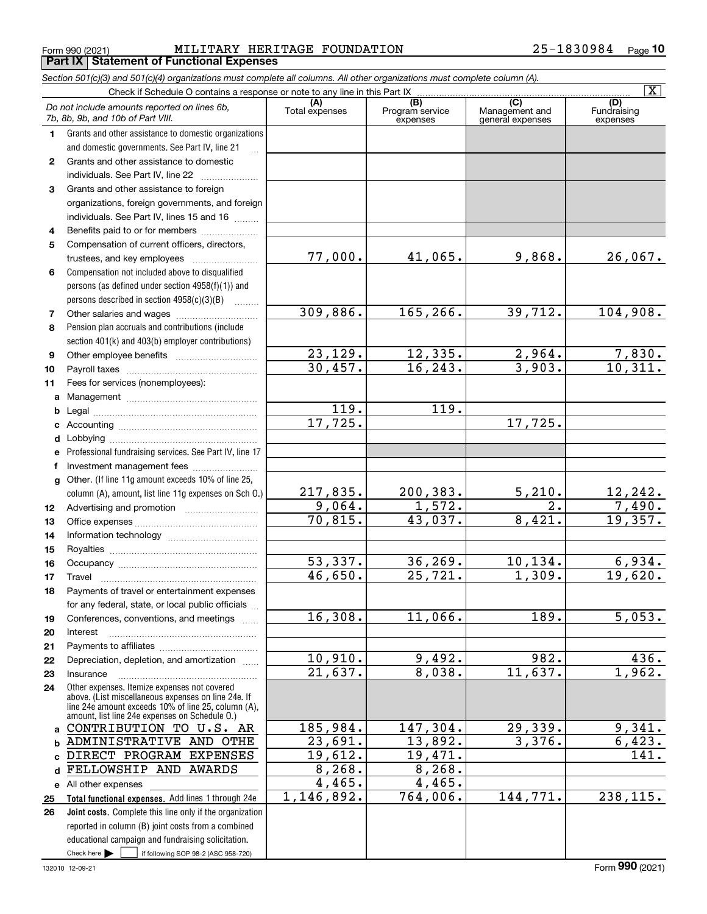$_{\rm Form}$  990 (2021) <code>MILITARY HERITAGE FOUNDATION</code>  $25$   $-1830984$   $_{\rm Page}$ **Part IX Statement of Functional Expenses**

|              | Section 501(c)(3) and 501(c)(4) organizations must complete all columns. All other organizations must complete column (A).                                                                                   |                       |                                    |                                           |                                        |  |  |  |  |  |  |  |  |
|--------------|--------------------------------------------------------------------------------------------------------------------------------------------------------------------------------------------------------------|-----------------------|------------------------------------|-------------------------------------------|----------------------------------------|--|--|--|--|--|--|--|--|
|              | $\overline{\mathbf{X}}$<br>Check if Schedule O contains a response or note to any line in this Part IX                                                                                                       |                       |                                    |                                           |                                        |  |  |  |  |  |  |  |  |
|              | Do not include amounts reported on lines 6b,<br>7b, 8b, 9b, and 10b of Part VIII.                                                                                                                            | (A)<br>Total expenses | (B)<br>Program service<br>expenses | (C)<br>Management and<br>general expenses | (D)<br>Fundraising<br>expenses         |  |  |  |  |  |  |  |  |
| 1.           | Grants and other assistance to domestic organizations                                                                                                                                                        |                       |                                    |                                           |                                        |  |  |  |  |  |  |  |  |
|              | and domestic governments. See Part IV, line 21                                                                                                                                                               |                       |                                    |                                           |                                        |  |  |  |  |  |  |  |  |
| $\mathbf{2}$ | Grants and other assistance to domestic                                                                                                                                                                      |                       |                                    |                                           |                                        |  |  |  |  |  |  |  |  |
|              | individuals. See Part IV, line 22                                                                                                                                                                            |                       |                                    |                                           |                                        |  |  |  |  |  |  |  |  |
| 3            | Grants and other assistance to foreign                                                                                                                                                                       |                       |                                    |                                           |                                        |  |  |  |  |  |  |  |  |
|              | organizations, foreign governments, and foreign                                                                                                                                                              |                       |                                    |                                           |                                        |  |  |  |  |  |  |  |  |
|              | individuals. See Part IV, lines 15 and 16                                                                                                                                                                    |                       |                                    |                                           |                                        |  |  |  |  |  |  |  |  |
| 4            | Benefits paid to or for members                                                                                                                                                                              |                       |                                    |                                           |                                        |  |  |  |  |  |  |  |  |
| 5            | Compensation of current officers, directors,                                                                                                                                                                 |                       |                                    |                                           |                                        |  |  |  |  |  |  |  |  |
|              | trustees, and key employees                                                                                                                                                                                  | 77,000.               | 41,065.                            | 9,868.                                    | 26,067.                                |  |  |  |  |  |  |  |  |
| 6            | Compensation not included above to disqualified                                                                                                                                                              |                       |                                    |                                           |                                        |  |  |  |  |  |  |  |  |
|              | persons (as defined under section 4958(f)(1)) and                                                                                                                                                            |                       |                                    |                                           |                                        |  |  |  |  |  |  |  |  |
|              | persons described in section 4958(c)(3)(B)<br>1.1.1.1.1.1.1                                                                                                                                                  |                       |                                    |                                           |                                        |  |  |  |  |  |  |  |  |
| 7            | Other salaries and wages                                                                                                                                                                                     | 309,886.              | 165, 266.                          | 39,712.                                   | 104,908.                               |  |  |  |  |  |  |  |  |
| 8            | Pension plan accruals and contributions (include                                                                                                                                                             |                       |                                    |                                           |                                        |  |  |  |  |  |  |  |  |
|              | section 401(k) and 403(b) employer contributions)                                                                                                                                                            |                       |                                    |                                           |                                        |  |  |  |  |  |  |  |  |
| 9            |                                                                                                                                                                                                              | 23,129.<br>30,457.    | 12,335.<br>$\overline{16,243}$ .   | 2,964.<br>3,903.                          | $\frac{7,830}{10,311}$                 |  |  |  |  |  |  |  |  |
| 10           |                                                                                                                                                                                                              |                       |                                    |                                           |                                        |  |  |  |  |  |  |  |  |
| 11           | Fees for services (nonemployees):                                                                                                                                                                            |                       |                                    |                                           |                                        |  |  |  |  |  |  |  |  |
| a            |                                                                                                                                                                                                              | $\overline{119}$ .    | $\overline{119}$ .                 |                                           |                                        |  |  |  |  |  |  |  |  |
| b            |                                                                                                                                                                                                              | 17,725.               |                                    | 17,725.                                   |                                        |  |  |  |  |  |  |  |  |
| c            |                                                                                                                                                                                                              |                       |                                    |                                           |                                        |  |  |  |  |  |  |  |  |
| d            |                                                                                                                                                                                                              |                       |                                    |                                           |                                        |  |  |  |  |  |  |  |  |
| е            | Professional fundraising services. See Part IV, line 17                                                                                                                                                      |                       |                                    |                                           |                                        |  |  |  |  |  |  |  |  |
| f            | Investment management fees<br>g Other. (If line 11g amount exceeds 10% of line 25,                                                                                                                           |                       |                                    |                                           |                                        |  |  |  |  |  |  |  |  |
|              | column (A), amount, list line 11g expenses on Sch O.)                                                                                                                                                        | 217,835.              | 200, 383.                          | 5,210.                                    |                                        |  |  |  |  |  |  |  |  |
| 12           |                                                                                                                                                                                                              | 9,064.                | 1,572.                             | $\overline{2}$ .                          | $\frac{12,242.7490.7490.57}{19,357.5}$ |  |  |  |  |  |  |  |  |
| 13           |                                                                                                                                                                                                              | 70,815.               | 43,037.                            | 8,421.                                    |                                        |  |  |  |  |  |  |  |  |
| 14           |                                                                                                                                                                                                              |                       |                                    |                                           |                                        |  |  |  |  |  |  |  |  |
| 15           |                                                                                                                                                                                                              |                       |                                    |                                           |                                        |  |  |  |  |  |  |  |  |
| 16           |                                                                                                                                                                                                              | 53,337.               | 36, 269.                           | 10,134.                                   | 6,934.                                 |  |  |  |  |  |  |  |  |
| 17           |                                                                                                                                                                                                              | 46,650.               | 25,721.                            | 1,309.                                    | 19,620.                                |  |  |  |  |  |  |  |  |
| 18           | Payments of travel or entertainment expenses                                                                                                                                                                 |                       |                                    |                                           |                                        |  |  |  |  |  |  |  |  |
|              | for any federal, state, or local public officials                                                                                                                                                            |                       |                                    |                                           |                                        |  |  |  |  |  |  |  |  |
| 19           | Conferences, conventions, and meetings                                                                                                                                                                       | 16,308.               | 11,066.                            | 189.                                      | 5,053.                                 |  |  |  |  |  |  |  |  |
| 20           | Interest                                                                                                                                                                                                     |                       |                                    |                                           |                                        |  |  |  |  |  |  |  |  |
| 21           |                                                                                                                                                                                                              |                       |                                    |                                           |                                        |  |  |  |  |  |  |  |  |
| 22           | Depreciation, depletion, and amortization                                                                                                                                                                    | 10,910.               | 9,492.                             | 982.                                      | 436.                                   |  |  |  |  |  |  |  |  |
| 23           | Insurance                                                                                                                                                                                                    | 21,637.               | 8,038.                             | 11,637.                                   | 1,962.                                 |  |  |  |  |  |  |  |  |
| 24           | Other expenses. Itemize expenses not covered<br>above. (List miscellaneous expenses on line 24e. If<br>line 24e amount exceeds 10% of line 25, column (A),<br>amount, list line 24e expenses on Schedule O.) |                       |                                    |                                           |                                        |  |  |  |  |  |  |  |  |
| a            | CONTRIBUTION TO U.S. AR                                                                                                                                                                                      | 185,984.              | 147,304.                           | 29,339.                                   | 9,341.                                 |  |  |  |  |  |  |  |  |
| b            | ADMINISTRATIVE AND OTHE                                                                                                                                                                                      | 23,691.               | 13,892.                            | 3,376.                                    | 6,423.                                 |  |  |  |  |  |  |  |  |
| c.           | DIRECT PROGRAM EXPENSES                                                                                                                                                                                      | 19,612.               | 19,471.                            |                                           | 141.                                   |  |  |  |  |  |  |  |  |
| d            | FELLOWSHIP AND AWARDS                                                                                                                                                                                        | 8,268.                | 8, 268.                            |                                           |                                        |  |  |  |  |  |  |  |  |
|              | e All other expenses                                                                                                                                                                                         | 4,465.                | 4,465.                             |                                           |                                        |  |  |  |  |  |  |  |  |
| 25           | Total functional expenses. Add lines 1 through 24e                                                                                                                                                           | 1,146,892.            | 764,006.                           | 144,771.                                  | 238, 115.                              |  |  |  |  |  |  |  |  |
| 26           | Joint costs. Complete this line only if the organization                                                                                                                                                     |                       |                                    |                                           |                                        |  |  |  |  |  |  |  |  |
|              | reported in column (B) joint costs from a combined                                                                                                                                                           |                       |                                    |                                           |                                        |  |  |  |  |  |  |  |  |
|              | educational campaign and fundraising solicitation.                                                                                                                                                           |                       |                                    |                                           |                                        |  |  |  |  |  |  |  |  |
|              | Check here $\blacktriangleright$<br>if following SOP 98-2 (ASC 958-720)                                                                                                                                      |                       |                                    |                                           |                                        |  |  |  |  |  |  |  |  |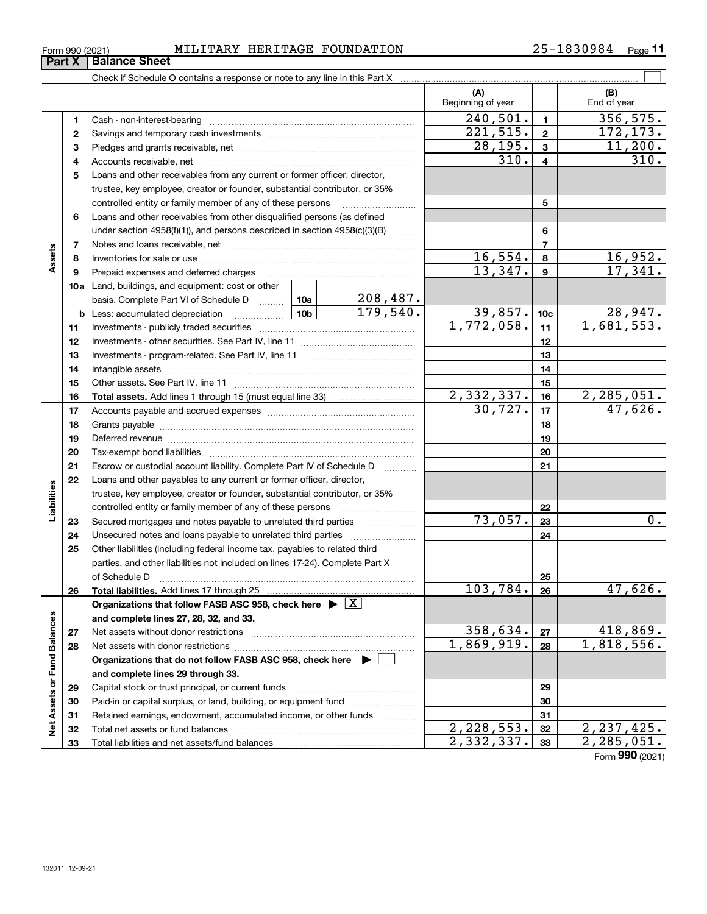| Form 990 (2021) |                               | <b>MILITARY</b> | HERITAGE FOUNDATION | 25-1830984 | Page |
|-----------------|-------------------------------|-----------------|---------------------|------------|------|
|                 | <b>Part X   Balance Sheet</b> |                 |                     |            |      |

|                             |    | Check if Schedule O contains a response or note to any line in this Part X                                                                                                                                                     |       |                 |                          |                 |                              |
|-----------------------------|----|--------------------------------------------------------------------------------------------------------------------------------------------------------------------------------------------------------------------------------|-------|-----------------|--------------------------|-----------------|------------------------------|
|                             |    |                                                                                                                                                                                                                                |       |                 | (A)<br>Beginning of year |                 | (B)<br>End of year           |
|                             | 1  |                                                                                                                                                                                                                                |       |                 | 240,501.                 | $\blacksquare$  | 356, 575.                    |
|                             | 2  |                                                                                                                                                                                                                                |       |                 | 221,515.                 | $\mathbf{2}$    | 172, 173.                    |
|                             | з  |                                                                                                                                                                                                                                |       |                 | 28, 195.                 | $\mathbf{3}$    | 11,200.                      |
|                             | 4  |                                                                                                                                                                                                                                |       |                 | 310.                     | 4               | 310.                         |
|                             | 5  | Loans and other receivables from any current or former officer, director,                                                                                                                                                      |       |                 |                          |                 |                              |
|                             |    | trustee, key employee, creator or founder, substantial contributor, or 35%                                                                                                                                                     |       |                 |                          |                 |                              |
|                             |    | controlled entity or family member of any of these persons                                                                                                                                                                     |       |                 |                          | 5               |                              |
|                             | 6  | Loans and other receivables from other disqualified persons (as defined                                                                                                                                                        |       |                 |                          |                 |                              |
|                             |    | under section $4958(f)(1)$ , and persons described in section $4958(c)(3)(B)$                                                                                                                                                  |       | $\ldots$        |                          | 6               |                              |
|                             | 7  |                                                                                                                                                                                                                                |       |                 |                          | $\overline{7}$  |                              |
| Assets                      | 8  |                                                                                                                                                                                                                                |       |                 | 16,554.                  | 8               | 16,952.                      |
|                             | 9  | Prepaid expenses and deferred charges                                                                                                                                                                                          |       |                 | 13,347.                  | $\mathbf{9}$    | 17,341.                      |
|                             |    | <b>10a</b> Land, buildings, and equipment: cost or other                                                                                                                                                                       |       |                 |                          |                 |                              |
|                             |    | basis. Complete Part VI of Schedule D  10a                                                                                                                                                                                     |       | <u>208,487.</u> |                          |                 |                              |
|                             |    | <b>b</b> Less: accumulated depreciation<br>. 1                                                                                                                                                                                 | 10b l | 179,540.        | 39,857.                  | 10 <sub>c</sub> | $\frac{28,947}{1,681,553}$   |
|                             | 11 |                                                                                                                                                                                                                                |       |                 | 1,772,058.               | 11              |                              |
|                             | 12 |                                                                                                                                                                                                                                |       |                 |                          | 12              |                              |
|                             | 13 |                                                                                                                                                                                                                                |       |                 |                          | 13              |                              |
|                             | 14 |                                                                                                                                                                                                                                |       |                 |                          | 14              |                              |
|                             | 15 |                                                                                                                                                                                                                                |       |                 |                          | 15              |                              |
|                             | 16 |                                                                                                                                                                                                                                |       |                 | 2,332,337.               | 16              | 2,285,051.                   |
|                             | 17 |                                                                                                                                                                                                                                |       |                 | 30, 727.                 | 17              | 47,626.                      |
|                             | 18 |                                                                                                                                                                                                                                |       | 18              |                          |                 |                              |
|                             | 19 | Deferred revenue manual contracts and contracts are all the contracts and contracts are contracted and contracts are contracted and contract are contracted and contract are contracted and contract are contracted and contra |       | 19              |                          |                 |                              |
|                             | 20 |                                                                                                                                                                                                                                |       |                 | 20                       |                 |                              |
|                             | 21 | Escrow or custodial account liability. Complete Part IV of Schedule D                                                                                                                                                          |       |                 |                          | 21              |                              |
|                             | 22 | Loans and other payables to any current or former officer, director,                                                                                                                                                           |       |                 |                          |                 |                              |
| Liabilities                 |    | trustee, key employee, creator or founder, substantial contributor, or 35%                                                                                                                                                     |       |                 |                          |                 |                              |
|                             |    | controlled entity or family member of any of these persons                                                                                                                                                                     |       |                 |                          | 22              |                              |
|                             | 23 | Secured mortgages and notes payable to unrelated third parties                                                                                                                                                                 |       |                 | 73,057.                  | 23              | 0.                           |
|                             | 24 | Unsecured notes and loans payable to unrelated third parties                                                                                                                                                                   |       |                 |                          | 24              |                              |
|                             | 25 | Other liabilities (including federal income tax, payables to related third                                                                                                                                                     |       |                 |                          |                 |                              |
|                             |    | parties, and other liabilities not included on lines 17-24). Complete Part X                                                                                                                                                   |       |                 |                          |                 |                              |
|                             |    | of Schedule D                                                                                                                                                                                                                  |       |                 |                          | 25              |                              |
|                             | 26 | Total liabilities. Add lines 17 through 25                                                                                                                                                                                     |       |                 | 103,784.                 | 26              | 47,626.                      |
|                             |    | Organizations that follow FASB ASC 958, check here $\triangleright \lfloor X \rfloor$                                                                                                                                          |       |                 |                          |                 |                              |
|                             |    | and complete lines 27, 28, 32, and 33.                                                                                                                                                                                         |       |                 |                          |                 |                              |
|                             | 27 |                                                                                                                                                                                                                                |       |                 | 358,634.                 | 27              | 418,869.                     |
|                             | 28 |                                                                                                                                                                                                                                |       |                 | 1,869,919.               | 28              | 1,818,556.                   |
|                             |    | Organizations that do not follow FASB ASC 958, check here $\blacktriangleright$                                                                                                                                                |       |                 |                          |                 |                              |
|                             |    | and complete lines 29 through 33.                                                                                                                                                                                              |       |                 |                          |                 |                              |
|                             | 29 |                                                                                                                                                                                                                                |       |                 |                          | 29              |                              |
|                             | 30 | Paid-in or capital surplus, or land, building, or equipment fund                                                                                                                                                               |       |                 |                          | 30              |                              |
| Net Assets or Fund Balances | 31 | Retained earnings, endowment, accumulated income, or other funds                                                                                                                                                               |       |                 | 31                       |                 |                              |
|                             | 32 |                                                                                                                                                                                                                                |       |                 | 2, 228, 553.             | 32              | 2, 237, 425.<br>2, 285, 051. |
|                             | 33 |                                                                                                                                                                                                                                |       |                 | 2,332,337.               | 33              |                              |

Form (2021) **990**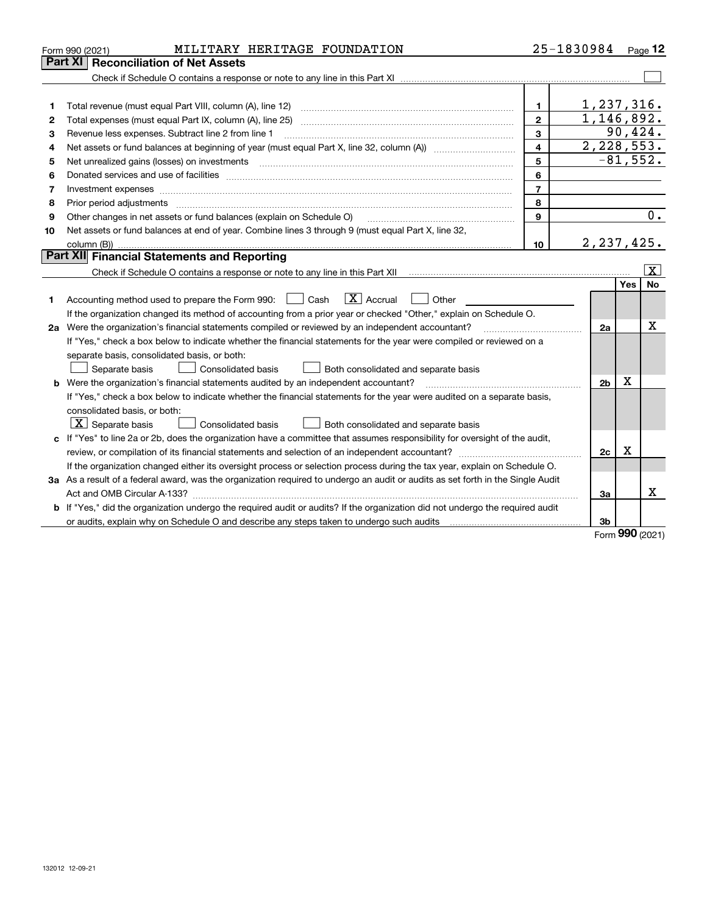|    | MILITARY HERITAGE FOUNDATION<br>Form 990 (2021)                                                                                                                                                                                |                | 25-1830984               |            | $_{\text{Page}}$ 12 |  |  |  |
|----|--------------------------------------------------------------------------------------------------------------------------------------------------------------------------------------------------------------------------------|----------------|--------------------------|------------|---------------------|--|--|--|
|    | <b>Part XI</b><br><b>Reconciliation of Net Assets</b>                                                                                                                                                                          |                |                          |            |                     |  |  |  |
|    |                                                                                                                                                                                                                                |                |                          |            |                     |  |  |  |
|    |                                                                                                                                                                                                                                |                |                          |            |                     |  |  |  |
| 1  | Total revenue (must equal Part VIII, column (A), line 12)                                                                                                                                                                      | 1.             | 1, 237, 316.             |            |                     |  |  |  |
| 2  |                                                                                                                                                                                                                                | $\mathbf{2}$   | $\overline{1,146,892}$ . |            |                     |  |  |  |
| З  | 3<br>Revenue less expenses. Subtract line 2 from line 1                                                                                                                                                                        |                |                          |            |                     |  |  |  |
| 4  |                                                                                                                                                                                                                                | 4              | 2,228,553.               |            |                     |  |  |  |
| 5  | Net unrealized gains (losses) on investments                                                                                                                                                                                   | 5              |                          |            | $-81,552.$          |  |  |  |
| 6  | Donated services and use of facilities [111] matter contracts and the service of facilities [11] matter contracts and use of facilities [11] matter contracts and the service of facilities [11] matter contracts and the serv | 6              |                          |            |                     |  |  |  |
| 7  |                                                                                                                                                                                                                                | $\overline{7}$ |                          |            |                     |  |  |  |
| 8  | Prior period adjustments                                                                                                                                                                                                       | 8              |                          |            |                     |  |  |  |
| 9  | Other changes in net assets or fund balances (explain on Schedule O)                                                                                                                                                           | 9              |                          |            | 0.                  |  |  |  |
| 10 | Net assets or fund balances at end of year. Combine lines 3 through 9 (must equal Part X, line 32,                                                                                                                             |                |                          |            |                     |  |  |  |
|    | column (B))                                                                                                                                                                                                                    | 10             | 2, 237, 425.             |            |                     |  |  |  |
|    | Part XII Financial Statements and Reporting                                                                                                                                                                                    |                |                          |            |                     |  |  |  |
|    |                                                                                                                                                                                                                                |                |                          |            | $\mathbf{x}$        |  |  |  |
|    |                                                                                                                                                                                                                                |                |                          | <b>Yes</b> | <b>No</b>           |  |  |  |
| 1. | $ X $ Accrual<br>Accounting method used to prepare the Form 990: <u>June</u> Cash<br>Other                                                                                                                                     |                |                          |            |                     |  |  |  |
|    | If the organization changed its method of accounting from a prior year or checked "Other," explain on Schedule O.                                                                                                              |                |                          |            |                     |  |  |  |
|    | 2a Were the organization's financial statements compiled or reviewed by an independent accountant?                                                                                                                             |                | 2a                       |            | X                   |  |  |  |
|    | If "Yes," check a box below to indicate whether the financial statements for the year were compiled or reviewed on a                                                                                                           |                |                          |            |                     |  |  |  |
|    | separate basis, consolidated basis, or both:                                                                                                                                                                                   |                |                          |            |                     |  |  |  |
|    | Separate basis<br>Consolidated basis<br>Both consolidated and separate basis                                                                                                                                                   |                |                          |            |                     |  |  |  |
|    | <b>b</b> Were the organization's financial statements audited by an independent accountant?                                                                                                                                    |                | 2 <sub>b</sub>           | х          |                     |  |  |  |
|    | If "Yes," check a box below to indicate whether the financial statements for the year were audited on a separate basis,                                                                                                        |                |                          |            |                     |  |  |  |
|    | consolidated basis, or both:                                                                                                                                                                                                   |                |                          |            |                     |  |  |  |
|    | $X$ Separate basis<br><b>Consolidated basis</b><br>Both consolidated and separate basis                                                                                                                                        |                |                          |            |                     |  |  |  |
| c  | If "Yes" to line 2a or 2b, does the organization have a committee that assumes responsibility for oversight of the audit,                                                                                                      |                |                          |            |                     |  |  |  |
|    | review, or compilation of its financial statements and selection of an independent accountant?                                                                                                                                 |                | 2c                       | х          |                     |  |  |  |
|    | If the organization changed either its oversight process or selection process during the tax year, explain on Schedule O.                                                                                                      |                |                          |            |                     |  |  |  |
|    | 3a As a result of a federal award, was the organization required to undergo an audit or audits as set forth in the Single Audit                                                                                                |                |                          |            |                     |  |  |  |
|    |                                                                                                                                                                                                                                |                | За                       |            | x                   |  |  |  |
|    | b If "Yes," did the organization undergo the required audit or audits? If the organization did not undergo the required audit                                                                                                  |                |                          |            |                     |  |  |  |
|    |                                                                                                                                                                                                                                |                | 3 <sub>b</sub>           |            |                     |  |  |  |

Form (2021) **990**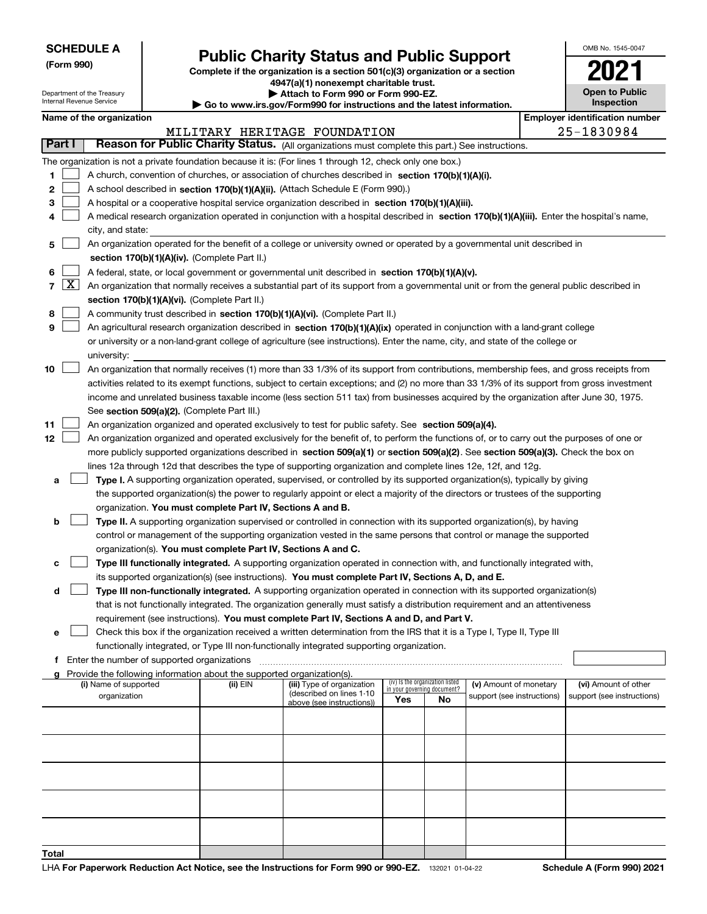Department of the Treasury Internal Revenue Service

**(Form 990)**

## **Public Charity Status and Public Support**

**Complete if the organization is a section 501(c)(3) organization or a section 4947(a)(1) nonexempt charitable trust.**

**| Attach to Form 990 or Form 990-EZ.** 

**| Go to www.irs.gov/Form990 for instructions and the latest information.**

| OMB No. 1545-0047                   |
|-------------------------------------|
|                                     |
| <b>Open to Public</b><br>Inspection |

| Name of the organization |  |
|--------------------------|--|
|--------------------------|--|

|               | <b>Employer identification number</b><br>Name of the organization                                                           |                                                                                                                                              |          |                              |     |                                 |                            |  |                            |  |  |
|---------------|-----------------------------------------------------------------------------------------------------------------------------|----------------------------------------------------------------------------------------------------------------------------------------------|----------|------------------------------|-----|---------------------------------|----------------------------|--|----------------------------|--|--|
|               |                                                                                                                             |                                                                                                                                              |          | MILITARY HERITAGE FOUNDATION |     |                                 |                            |  | 25-1830984                 |  |  |
| <b>Part I</b> |                                                                                                                             | Reason for Public Charity Status. (All organizations must complete this part.) See instructions.                                             |          |                              |     |                                 |                            |  |                            |  |  |
|               |                                                                                                                             | The organization is not a private foundation because it is: (For lines 1 through 12, check only one box.)                                    |          |                              |     |                                 |                            |  |                            |  |  |
| 1             |                                                                                                                             | A church, convention of churches, or association of churches described in section 170(b)(1)(A)(i).                                           |          |                              |     |                                 |                            |  |                            |  |  |
| 2             |                                                                                                                             | A school described in section 170(b)(1)(A)(ii). (Attach Schedule E (Form 990).)                                                              |          |                              |     |                                 |                            |  |                            |  |  |
| з             |                                                                                                                             | A hospital or a cooperative hospital service organization described in section 170(b)(1)(A)(iii).                                            |          |                              |     |                                 |                            |  |                            |  |  |
| 4             |                                                                                                                             | A medical research organization operated in conjunction with a hospital described in section 170(b)(1)(A)(iii). Enter the hospital's name,   |          |                              |     |                                 |                            |  |                            |  |  |
|               |                                                                                                                             | city, and state:                                                                                                                             |          |                              |     |                                 |                            |  |                            |  |  |
| 5             |                                                                                                                             | An organization operated for the benefit of a college or university owned or operated by a governmental unit described in                    |          |                              |     |                                 |                            |  |                            |  |  |
|               | section 170(b)(1)(A)(iv). (Complete Part II.)                                                                               |                                                                                                                                              |          |                              |     |                                 |                            |  |                            |  |  |
| 6             |                                                                                                                             | A federal, state, or local government or governmental unit described in section 170(b)(1)(A)(v).                                             |          |                              |     |                                 |                            |  |                            |  |  |
| 7             | $\boxed{\text{X}}$                                                                                                          | An organization that normally receives a substantial part of its support from a governmental unit or from the general public described in    |          |                              |     |                                 |                            |  |                            |  |  |
|               |                                                                                                                             | section 170(b)(1)(A)(vi). (Complete Part II.)                                                                                                |          |                              |     |                                 |                            |  |                            |  |  |
| 8             |                                                                                                                             | A community trust described in section 170(b)(1)(A)(vi). (Complete Part II.)                                                                 |          |                              |     |                                 |                            |  |                            |  |  |
| 9             |                                                                                                                             | An agricultural research organization described in section 170(b)(1)(A)(ix) operated in conjunction with a land-grant college                |          |                              |     |                                 |                            |  |                            |  |  |
|               |                                                                                                                             | or university or a non-land-grant college of agriculture (see instructions). Enter the name, city, and state of the college or               |          |                              |     |                                 |                            |  |                            |  |  |
|               |                                                                                                                             | university:                                                                                                                                  |          |                              |     |                                 |                            |  |                            |  |  |
| 10            |                                                                                                                             | An organization that normally receives (1) more than 33 1/3% of its support from contributions, membership fees, and gross receipts from     |          |                              |     |                                 |                            |  |                            |  |  |
|               |                                                                                                                             | activities related to its exempt functions, subject to certain exceptions; and (2) no more than 33 1/3% of its support from gross investment |          |                              |     |                                 |                            |  |                            |  |  |
|               |                                                                                                                             | income and unrelated business taxable income (less section 511 tax) from businesses acquired by the organization after June 30, 1975.        |          |                              |     |                                 |                            |  |                            |  |  |
|               |                                                                                                                             | See section 509(a)(2). (Complete Part III.)                                                                                                  |          |                              |     |                                 |                            |  |                            |  |  |
| 11            |                                                                                                                             | An organization organized and operated exclusively to test for public safety. See section 509(a)(4).                                         |          |                              |     |                                 |                            |  |                            |  |  |
| 12            |                                                                                                                             | An organization organized and operated exclusively for the benefit of, to perform the functions of, or to carry out the purposes of one or   |          |                              |     |                                 |                            |  |                            |  |  |
|               |                                                                                                                             | more publicly supported organizations described in section 509(a)(1) or section 509(a)(2). See section 509(a)(3). Check the box on           |          |                              |     |                                 |                            |  |                            |  |  |
|               | lines 12a through 12d that describes the type of supporting organization and complete lines 12e, 12f, and 12g.              |                                                                                                                                              |          |                              |     |                                 |                            |  |                            |  |  |
| а             | Type I. A supporting organization operated, supervised, or controlled by its supported organization(s), typically by giving |                                                                                                                                              |          |                              |     |                                 |                            |  |                            |  |  |
|               |                                                                                                                             | the supported organization(s) the power to regularly appoint or elect a majority of the directors or trustees of the supporting              |          |                              |     |                                 |                            |  |                            |  |  |
|               |                                                                                                                             | organization. You must complete Part IV, Sections A and B.                                                                                   |          |                              |     |                                 |                            |  |                            |  |  |
| b             |                                                                                                                             | Type II. A supporting organization supervised or controlled in connection with its supported organization(s), by having                      |          |                              |     |                                 |                            |  |                            |  |  |
|               |                                                                                                                             | control or management of the supporting organization vested in the same persons that control or manage the supported                         |          |                              |     |                                 |                            |  |                            |  |  |
|               |                                                                                                                             | organization(s). You must complete Part IV, Sections A and C.                                                                                |          |                              |     |                                 |                            |  |                            |  |  |
| c             |                                                                                                                             | Type III functionally integrated. A supporting organization operated in connection with, and functionally integrated with,                   |          |                              |     |                                 |                            |  |                            |  |  |
|               |                                                                                                                             | its supported organization(s) (see instructions). You must complete Part IV, Sections A, D, and E.                                           |          |                              |     |                                 |                            |  |                            |  |  |
| d             |                                                                                                                             | Type III non-functionally integrated. A supporting organization operated in connection with its supported organization(s)                    |          |                              |     |                                 |                            |  |                            |  |  |
|               |                                                                                                                             | that is not functionally integrated. The organization generally must satisfy a distribution requirement and an attentiveness                 |          |                              |     |                                 |                            |  |                            |  |  |
|               |                                                                                                                             | requirement (see instructions). You must complete Part IV, Sections A and D, and Part V.                                                     |          |                              |     |                                 |                            |  |                            |  |  |
| е             |                                                                                                                             | Check this box if the organization received a written determination from the IRS that it is a Type I, Type II, Type III                      |          |                              |     |                                 |                            |  |                            |  |  |
|               |                                                                                                                             | functionally integrated, or Type III non-functionally integrated supporting organization.                                                    |          |                              |     |                                 |                            |  |                            |  |  |
|               |                                                                                                                             | f Enter the number of supported organizations                                                                                                |          |                              |     |                                 |                            |  |                            |  |  |
|               |                                                                                                                             | Provide the following information about the supported organization(s).<br>(i) Name of supported                                              | (ii) EIN | (iii) Type of organization   |     | (iv) Is the organization listed | (v) Amount of monetary     |  | (vi) Amount of other       |  |  |
|               |                                                                                                                             | organization                                                                                                                                 |          | (described on lines 1-10     |     | in your governing document?     | support (see instructions) |  | support (see instructions) |  |  |
|               |                                                                                                                             |                                                                                                                                              |          | above (see instructions))    | Yes | No                              |                            |  |                            |  |  |
|               |                                                                                                                             |                                                                                                                                              |          |                              |     |                                 |                            |  |                            |  |  |
|               |                                                                                                                             |                                                                                                                                              |          |                              |     |                                 |                            |  |                            |  |  |
|               |                                                                                                                             |                                                                                                                                              |          |                              |     |                                 |                            |  |                            |  |  |
|               |                                                                                                                             |                                                                                                                                              |          |                              |     |                                 |                            |  |                            |  |  |
|               |                                                                                                                             |                                                                                                                                              |          |                              |     |                                 |                            |  |                            |  |  |
|               |                                                                                                                             |                                                                                                                                              |          |                              |     |                                 |                            |  |                            |  |  |
|               |                                                                                                                             |                                                                                                                                              |          |                              |     |                                 |                            |  |                            |  |  |
|               |                                                                                                                             |                                                                                                                                              |          |                              |     |                                 |                            |  |                            |  |  |
|               |                                                                                                                             |                                                                                                                                              |          |                              |     |                                 |                            |  |                            |  |  |
| Total         |                                                                                                                             |                                                                                                                                              |          |                              |     |                                 |                            |  |                            |  |  |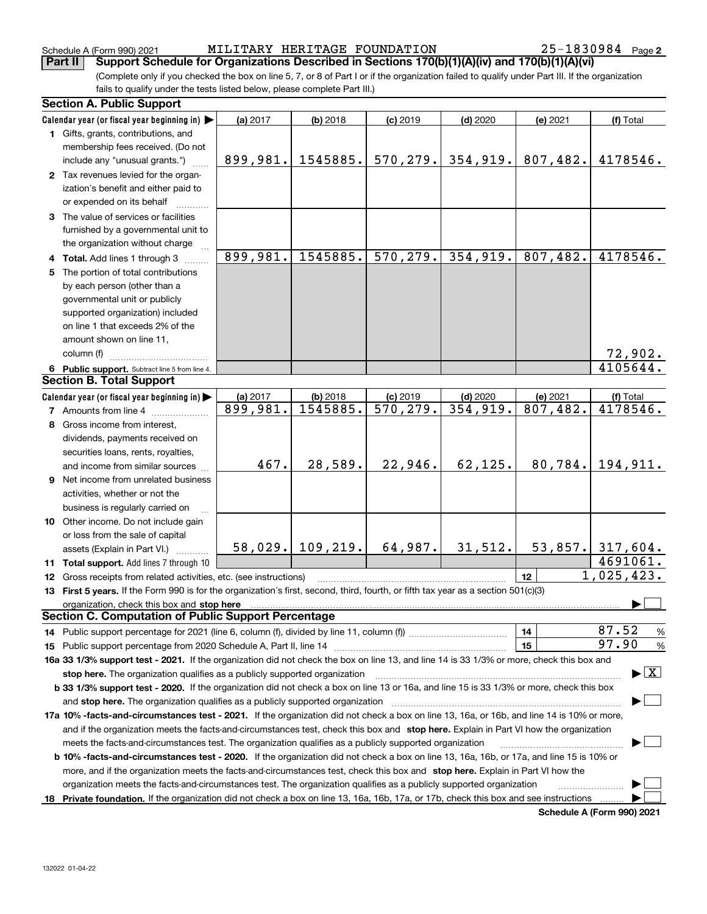Schedule A (Form 990) 2021 MILITARY HERITAGE FOUNDATION 25-1830984 Page

(Complete only if you checked the box on line 5, 7, or 8 of Part I or if the organization failed to qualify under Part III. If the organization fails to qualify under the tests listed below, please complete Part III.) **Part II Support Schedule for Organizations Described in Sections 170(b)(1)(A)(iv) and 170(b)(1)(A)(vi)**

|    | <b>Section A. Public Support</b>                                                                                                                                                                                               |          |                     |                         |            |          |                                          |
|----|--------------------------------------------------------------------------------------------------------------------------------------------------------------------------------------------------------------------------------|----------|---------------------|-------------------------|------------|----------|------------------------------------------|
|    | Calendar year (or fiscal year beginning in)                                                                                                                                                                                    | (a) 2017 | $(b)$ 2018          | $(c)$ 2019              | $(d)$ 2020 | (e) 2021 | (f) Total                                |
|    | 1 Gifts, grants, contributions, and                                                                                                                                                                                            |          |                     |                         |            |          |                                          |
|    | membership fees received. (Do not                                                                                                                                                                                              |          |                     |                         |            |          |                                          |
|    | include any "unusual grants.")                                                                                                                                                                                                 | 899,981. | 1545885.            | 570, 279.               | 354, 919.  | 807,482. | 4178546.                                 |
|    | 2 Tax revenues levied for the organ-                                                                                                                                                                                           |          |                     |                         |            |          |                                          |
|    | ization's benefit and either paid to                                                                                                                                                                                           |          |                     |                         |            |          |                                          |
|    | or expended on its behalf                                                                                                                                                                                                      |          |                     |                         |            |          |                                          |
|    | 3 The value of services or facilities                                                                                                                                                                                          |          |                     |                         |            |          |                                          |
|    | furnished by a governmental unit to                                                                                                                                                                                            |          |                     |                         |            |          |                                          |
|    | the organization without charge                                                                                                                                                                                                |          |                     |                         |            |          |                                          |
|    | 4 Total. Add lines 1 through 3                                                                                                                                                                                                 | 899,981. | 1545885.            | 570, 279.               | 354,919.   | 807,482. | 4178546.                                 |
|    | 5 The portion of total contributions                                                                                                                                                                                           |          |                     |                         |            |          |                                          |
|    | by each person (other than a                                                                                                                                                                                                   |          |                     |                         |            |          |                                          |
|    | governmental unit or publicly                                                                                                                                                                                                  |          |                     |                         |            |          |                                          |
|    |                                                                                                                                                                                                                                |          |                     |                         |            |          |                                          |
|    | supported organization) included                                                                                                                                                                                               |          |                     |                         |            |          |                                          |
|    | on line 1 that exceeds 2% of the                                                                                                                                                                                               |          |                     |                         |            |          |                                          |
|    | amount shown on line 11,                                                                                                                                                                                                       |          |                     |                         |            |          |                                          |
|    | column (f)                                                                                                                                                                                                                     |          |                     |                         |            |          | <u>72,902.</u><br>4105644                |
|    | 6 Public support. Subtract line 5 from line 4.                                                                                                                                                                                 |          |                     |                         |            |          |                                          |
|    | <b>Section B. Total Support</b>                                                                                                                                                                                                |          |                     |                         |            |          |                                          |
|    | Calendar year (or fiscal year beginning in)                                                                                                                                                                                    | (a) 2017 | $(b)$ 2018          | $(c)$ 2019              | $(d)$ 2020 | (e) 2021 | (f) Total                                |
|    | <b>7</b> Amounts from line 4                                                                                                                                                                                                   | 899,981. | 1545885.            | $\overline{570, 279}$ . | 354, 919.  | 807,482. | 4178546.                                 |
| 8  | Gross income from interest,                                                                                                                                                                                                    |          |                     |                         |            |          |                                          |
|    | dividends, payments received on                                                                                                                                                                                                |          |                     |                         |            |          |                                          |
|    | securities loans, rents, royalties,                                                                                                                                                                                            |          |                     |                         |            |          |                                          |
|    | and income from similar sources                                                                                                                                                                                                | 467.     | 28,589.             | 22,946.                 | 62, 125.   | 80,784.  | 194,911.                                 |
|    | <b>9</b> Net income from unrelated business                                                                                                                                                                                    |          |                     |                         |            |          |                                          |
|    | activities, whether or not the                                                                                                                                                                                                 |          |                     |                         |            |          |                                          |
|    | business is regularly carried on                                                                                                                                                                                               |          |                     |                         |            |          |                                          |
|    | 10 Other income. Do not include gain                                                                                                                                                                                           |          |                     |                         |            |          |                                          |
|    | or loss from the sale of capital                                                                                                                                                                                               |          |                     |                         |            |          |                                          |
|    | assets (Explain in Part VI.)                                                                                                                                                                                                   |          | $58,029.$ 109, 219. | 64,987.                 | 31,512.    |          | $53,857.$ 317,604.                       |
|    | 11 Total support. Add lines 7 through 10                                                                                                                                                                                       |          |                     |                         |            |          | 4691061.                                 |
|    | 12 Gross receipts from related activities, etc. (see instructions)                                                                                                                                                             |          |                     |                         |            | 12       | 1,025,423.                               |
|    | 13 First 5 years. If the Form 990 is for the organization's first, second, third, fourth, or fifth tax year as a section 501(c)(3)                                                                                             |          |                     |                         |            |          |                                          |
|    | organization, check this box and stop here manufactured and according to the state of the state of the state of the state of the state of the state of the state of the state of the state of the state of the state of the st |          |                     |                         |            |          |                                          |
|    | <b>Section C. Computation of Public Support Percentage</b>                                                                                                                                                                     |          |                     |                         |            |          |                                          |
|    |                                                                                                                                                                                                                                |          |                     |                         |            | 14       | 87.52<br>%                               |
|    |                                                                                                                                                                                                                                |          |                     |                         |            | 15       | 97.90<br>%                               |
|    | 16a 33 1/3% support test - 2021. If the organization did not check the box on line 13, and line 14 is 33 1/3% or more, check this box and                                                                                      |          |                     |                         |            |          |                                          |
|    | stop here. The organization qualifies as a publicly supported organization                                                                                                                                                     |          |                     |                         |            |          | $\blacktriangleright$ $\boxed{\text{X}}$ |
|    | b 33 1/3% support test - 2020. If the organization did not check a box on line 13 or 16a, and line 15 is 33 1/3% or more, check this box                                                                                       |          |                     |                         |            |          |                                          |
|    | and stop here. The organization qualifies as a publicly supported organization                                                                                                                                                 |          |                     |                         |            |          |                                          |
|    | 17a 10% -facts-and-circumstances test - 2021. If the organization did not check a box on line 13, 16a, or 16b, and line 14 is 10% or more,                                                                                     |          |                     |                         |            |          |                                          |
|    |                                                                                                                                                                                                                                |          |                     |                         |            |          |                                          |
|    | and if the organization meets the facts-and-circumstances test, check this box and stop here. Explain in Part VI how the organization                                                                                          |          |                     |                         |            |          |                                          |
|    | meets the facts-and-circumstances test. The organization qualifies as a publicly supported organization                                                                                                                        |          |                     |                         |            |          |                                          |
|    | <b>b 10% -facts-and-circumstances test - 2020.</b> If the organization did not check a box on line 13, 16a, 16b, or 17a, and line 15 is 10% or                                                                                 |          |                     |                         |            |          |                                          |
|    | more, and if the organization meets the facts-and-circumstances test, check this box and stop here. Explain in Part VI how the                                                                                                 |          |                     |                         |            |          |                                          |
|    | organization meets the facts-and-circumstances test. The organization qualifies as a publicly supported organization                                                                                                           |          |                     |                         |            |          |                                          |
| 18 | Private foundation. If the organization did not check a box on line 13, 16a, 16b, 17a, or 17b, check this box and see instructions                                                                                             |          |                     |                         |            |          |                                          |

**Schedule A (Form 990) 2021**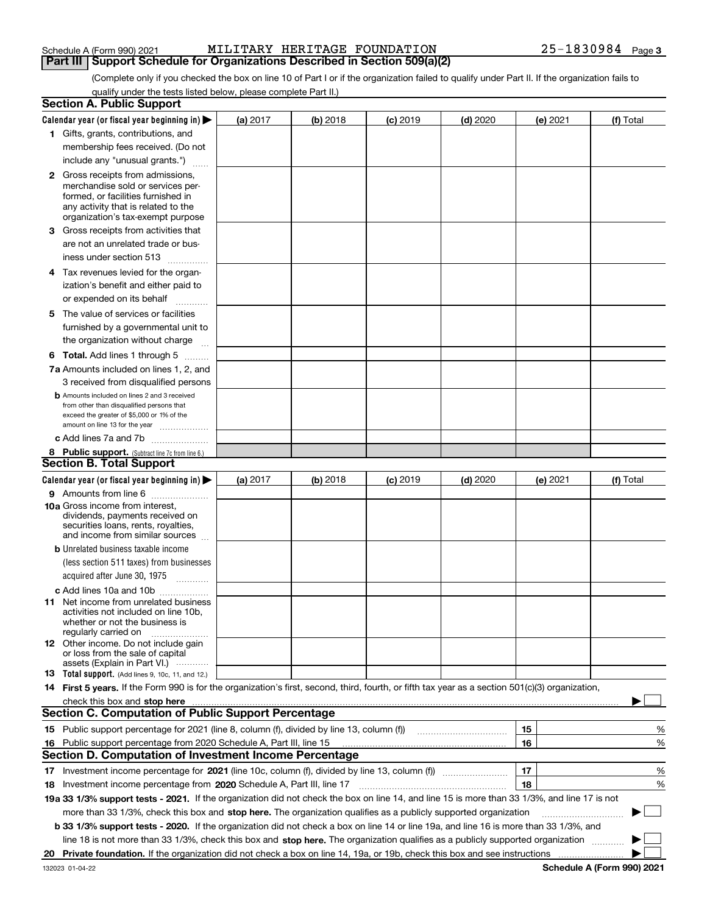| Schedule A (Form 990) 2021 |  |  |
|----------------------------|--|--|
|                            |  |  |

#### Schedule A (Form 990) 2021 MILITARY HERITAGE FOUNDATION 25-1830984 Page **Part III Support Schedule for Organizations Described in Section 509(a)(2)**

(Complete only if you checked the box on line 10 of Part I or if the organization failed to qualify under Part II. If the organization fails to qualify under the tests listed below, please complete Part II.)

|    | <b>Section A. Public Support</b>                                                                                                                                                                                               |          |          |            |            |          |             |
|----|--------------------------------------------------------------------------------------------------------------------------------------------------------------------------------------------------------------------------------|----------|----------|------------|------------|----------|-------------|
|    | Calendar year (or fiscal year beginning in) $\blacktriangleright$                                                                                                                                                              | (a) 2017 | (b) 2018 | $(c)$ 2019 | $(d)$ 2020 | (e) 2021 | (f) Total   |
|    | 1 Gifts, grants, contributions, and                                                                                                                                                                                            |          |          |            |            |          |             |
|    | membership fees received. (Do not                                                                                                                                                                                              |          |          |            |            |          |             |
|    | include any "unusual grants.")                                                                                                                                                                                                 |          |          |            |            |          |             |
|    | <b>2</b> Gross receipts from admissions,                                                                                                                                                                                       |          |          |            |            |          |             |
|    | merchandise sold or services per-                                                                                                                                                                                              |          |          |            |            |          |             |
|    | formed, or facilities furnished in                                                                                                                                                                                             |          |          |            |            |          |             |
|    | any activity that is related to the<br>organization's tax-exempt purpose                                                                                                                                                       |          |          |            |            |          |             |
|    | 3 Gross receipts from activities that                                                                                                                                                                                          |          |          |            |            |          |             |
|    | are not an unrelated trade or bus-                                                                                                                                                                                             |          |          |            |            |          |             |
|    | iness under section 513                                                                                                                                                                                                        |          |          |            |            |          |             |
|    |                                                                                                                                                                                                                                |          |          |            |            |          |             |
|    | 4 Tax revenues levied for the organ-                                                                                                                                                                                           |          |          |            |            |          |             |
|    | ization's benefit and either paid to                                                                                                                                                                                           |          |          |            |            |          |             |
|    | or expended on its behalf<br>.                                                                                                                                                                                                 |          |          |            |            |          |             |
|    | 5 The value of services or facilities                                                                                                                                                                                          |          |          |            |            |          |             |
|    | furnished by a governmental unit to                                                                                                                                                                                            |          |          |            |            |          |             |
|    | the organization without charge                                                                                                                                                                                                |          |          |            |            |          |             |
|    | <b>6 Total.</b> Add lines 1 through 5                                                                                                                                                                                          |          |          |            |            |          |             |
|    | 7a Amounts included on lines 1, 2, and                                                                                                                                                                                         |          |          |            |            |          |             |
|    | 3 received from disqualified persons                                                                                                                                                                                           |          |          |            |            |          |             |
|    | <b>b</b> Amounts included on lines 2 and 3 received                                                                                                                                                                            |          |          |            |            |          |             |
|    | from other than disqualified persons that<br>exceed the greater of \$5,000 or 1% of the                                                                                                                                        |          |          |            |            |          |             |
|    | amount on line 13 for the year                                                                                                                                                                                                 |          |          |            |            |          |             |
|    | c Add lines 7a and 7b                                                                                                                                                                                                          |          |          |            |            |          |             |
|    | 8 Public support. (Subtract line 7c from line 6.)                                                                                                                                                                              |          |          |            |            |          |             |
|    | <b>Section B. Total Support</b>                                                                                                                                                                                                |          |          |            |            |          |             |
|    | Calendar year (or fiscal year beginning in)                                                                                                                                                                                    | (a) 2017 | (b) 2018 | $(c)$ 2019 | $(d)$ 2020 | (e) 2021 | (f) Total   |
|    | 9 Amounts from line 6                                                                                                                                                                                                          |          |          |            |            |          |             |
|    | <b>10a</b> Gross income from interest,                                                                                                                                                                                         |          |          |            |            |          |             |
|    | dividends, payments received on                                                                                                                                                                                                |          |          |            |            |          |             |
|    | securities loans, rents, royalties,<br>and income from similar sources                                                                                                                                                         |          |          |            |            |          |             |
|    | <b>b</b> Unrelated business taxable income                                                                                                                                                                                     |          |          |            |            |          |             |
|    | (less section 511 taxes) from businesses                                                                                                                                                                                       |          |          |            |            |          |             |
|    | acquired after June 30, 1975 [10001]                                                                                                                                                                                           |          |          |            |            |          |             |
|    |                                                                                                                                                                                                                                |          |          |            |            |          |             |
|    | c Add lines 10a and 10b<br>11 Net income from unrelated business                                                                                                                                                               |          |          |            |            |          |             |
|    | activities not included on line 10b,                                                                                                                                                                                           |          |          |            |            |          |             |
|    | whether or not the business is                                                                                                                                                                                                 |          |          |            |            |          |             |
|    | regularly carried on                                                                                                                                                                                                           |          |          |            |            |          |             |
|    | <b>12</b> Other income. Do not include gain<br>or loss from the sale of capital                                                                                                                                                |          |          |            |            |          |             |
|    | assets (Explain in Part VI.)                                                                                                                                                                                                   |          |          |            |            |          |             |
|    | <b>13</b> Total support. (Add lines 9, 10c, 11, and 12.)                                                                                                                                                                       |          |          |            |            |          |             |
|    | 14 First 5 years. If the Form 990 is for the organization's first, second, third, fourth, or fifth tax year as a section 501(c)(3) organization,                                                                               |          |          |            |            |          |             |
|    | check this box and stop here manufactured and control the state of the state of the state of the state of the state of the state of the state of the state of the state of the state of the state of the state of the state of |          |          |            |            |          |             |
|    | <b>Section C. Computation of Public Support Percentage</b>                                                                                                                                                                     |          |          |            |            |          |             |
|    | 15 Public support percentage for 2021 (line 8, column (f), divided by line 13, column (f))                                                                                                                                     |          |          |            |            | 15       | %           |
|    | 16 Public support percentage from 2020 Schedule A, Part III, line 15                                                                                                                                                           |          |          |            |            | 16       | %           |
|    | Section D. Computation of Investment Income Percentage                                                                                                                                                                         |          |          |            |            |          |             |
|    | 17 Investment income percentage for 2021 (line 10c, column (f), divided by line 13, column (f))                                                                                                                                |          |          |            |            | 17       | %           |
|    | <b>18</b> Investment income percentage from <b>2020</b> Schedule A, Part III, line 17                                                                                                                                          |          |          |            |            | 18       | %           |
|    | 19a 33 1/3% support tests - 2021. If the organization did not check the box on line 14, and line 15 is more than 33 1/3%, and line 17 is not                                                                                   |          |          |            |            |          |             |
|    | more than 33 1/3%, check this box and stop here. The organization qualifies as a publicly supported organization                                                                                                               |          |          |            |            |          | $\sim$<br>▶ |
|    | b 33 1/3% support tests - 2020. If the organization did not check a box on line 14 or line 19a, and line 16 is more than 33 1/3%, and                                                                                          |          |          |            |            |          |             |
|    | line 18 is not more than 33 1/3%, check this box and stop here. The organization qualifies as a publicly supported organization                                                                                                |          |          |            |            |          |             |
| 20 |                                                                                                                                                                                                                                |          |          |            |            |          |             |
|    |                                                                                                                                                                                                                                |          |          |            |            |          |             |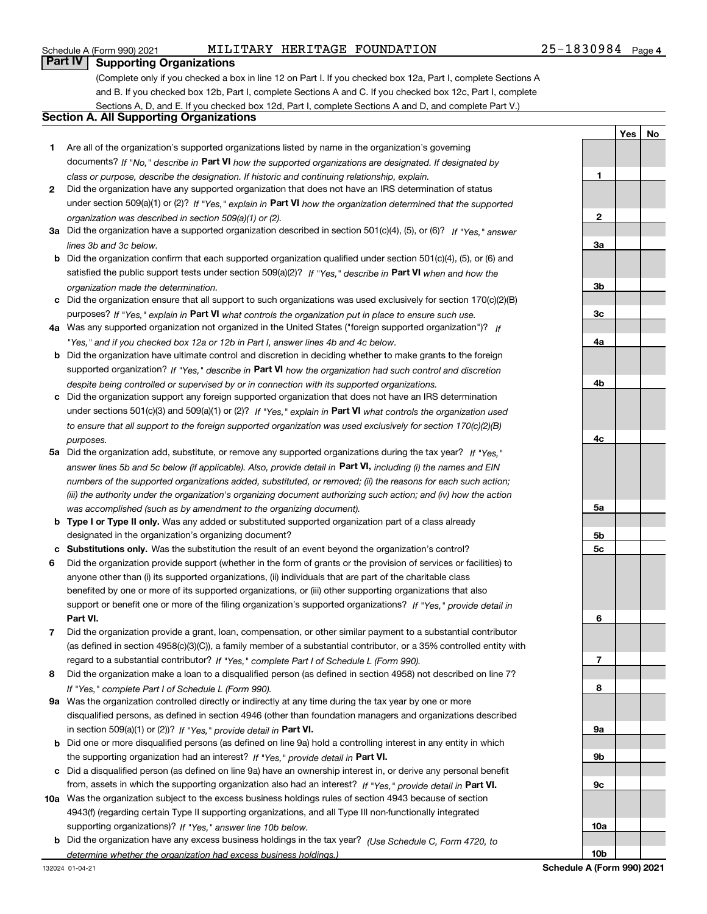### Schedule A (Form 990) 2021 MILITARY HERITAGE FOUNDATION 25-1830984 Page

**YesNo**

### **Part IV Supporting Organizations**

(Complete only if you checked a box in line 12 on Part I. If you checked box 12a, Part I, complete Sections A and B. If you checked box 12b, Part I, complete Sections A and C. If you checked box 12c, Part I, complete Sections A, D, and E. If you checked box 12d, Part I, complete Sections A and D, and complete Part V.)

#### **Section A. All Supporting Organizations**

- **1** Are all of the organization's supported organizations listed by name in the organization's governing documents? If "No," describe in **Part VI** how the supported organizations are designated. If designated by *class or purpose, describe the designation. If historic and continuing relationship, explain.*
- **2** Did the organization have any supported organization that does not have an IRS determination of status under section 509(a)(1) or (2)? If "Yes," explain in Part VI how the organization determined that the supported *organization was described in section 509(a)(1) or (2).*
- **3a** Did the organization have a supported organization described in section 501(c)(4), (5), or (6)? If "Yes," answer *lines 3b and 3c below.*
- **b** Did the organization confirm that each supported organization qualified under section 501(c)(4), (5), or (6) and satisfied the public support tests under section 509(a)(2)? If "Yes," describe in **Part VI** when and how the *organization made the determination.*
- **c**Did the organization ensure that all support to such organizations was used exclusively for section 170(c)(2)(B) purposes? If "Yes," explain in **Part VI** what controls the organization put in place to ensure such use.
- **4a***If* Was any supported organization not organized in the United States ("foreign supported organization")? *"Yes," and if you checked box 12a or 12b in Part I, answer lines 4b and 4c below.*
- **b** Did the organization have ultimate control and discretion in deciding whether to make grants to the foreign supported organization? If "Yes," describe in **Part VI** how the organization had such control and discretion *despite being controlled or supervised by or in connection with its supported organizations.*
- **c** Did the organization support any foreign supported organization that does not have an IRS determination under sections 501(c)(3) and 509(a)(1) or (2)? If "Yes," explain in **Part VI** what controls the organization used *to ensure that all support to the foreign supported organization was used exclusively for section 170(c)(2)(B) purposes.*
- **5a***If "Yes,"* Did the organization add, substitute, or remove any supported organizations during the tax year? answer lines 5b and 5c below (if applicable). Also, provide detail in **Part VI,** including (i) the names and EIN *numbers of the supported organizations added, substituted, or removed; (ii) the reasons for each such action; (iii) the authority under the organization's organizing document authorizing such action; and (iv) how the action was accomplished (such as by amendment to the organizing document).*
- **b** Type I or Type II only. Was any added or substituted supported organization part of a class already designated in the organization's organizing document?
- **cSubstitutions only.**  Was the substitution the result of an event beyond the organization's control?
- **6** Did the organization provide support (whether in the form of grants or the provision of services or facilities) to **Part VI.** *If "Yes," provide detail in* support or benefit one or more of the filing organization's supported organizations? anyone other than (i) its supported organizations, (ii) individuals that are part of the charitable class benefited by one or more of its supported organizations, or (iii) other supporting organizations that also
- **7**Did the organization provide a grant, loan, compensation, or other similar payment to a substantial contributor *If "Yes," complete Part I of Schedule L (Form 990).* regard to a substantial contributor? (as defined in section 4958(c)(3)(C)), a family member of a substantial contributor, or a 35% controlled entity with
- **8** Did the organization make a loan to a disqualified person (as defined in section 4958) not described on line 7? *If "Yes," complete Part I of Schedule L (Form 990).*
- **9a** Was the organization controlled directly or indirectly at any time during the tax year by one or more in section 509(a)(1) or (2))? If "Yes," *provide detail in* <code>Part VI.</code> disqualified persons, as defined in section 4946 (other than foundation managers and organizations described
- **b** Did one or more disqualified persons (as defined on line 9a) hold a controlling interest in any entity in which the supporting organization had an interest? If "Yes," provide detail in P**art VI**.
- **c**Did a disqualified person (as defined on line 9a) have an ownership interest in, or derive any personal benefit from, assets in which the supporting organization also had an interest? If "Yes," provide detail in P**art VI.**
- **10a** Was the organization subject to the excess business holdings rules of section 4943 because of section supporting organizations)? If "Yes," answer line 10b below. 4943(f) (regarding certain Type II supporting organizations, and all Type III non-functionally integrated
- **b** Did the organization have any excess business holdings in the tax year? (Use Schedule C, Form 4720, to *determine whether the organization had excess business holdings.)*

**123a3b3c4a4b4c5a5b5c6789a 9b9c10a**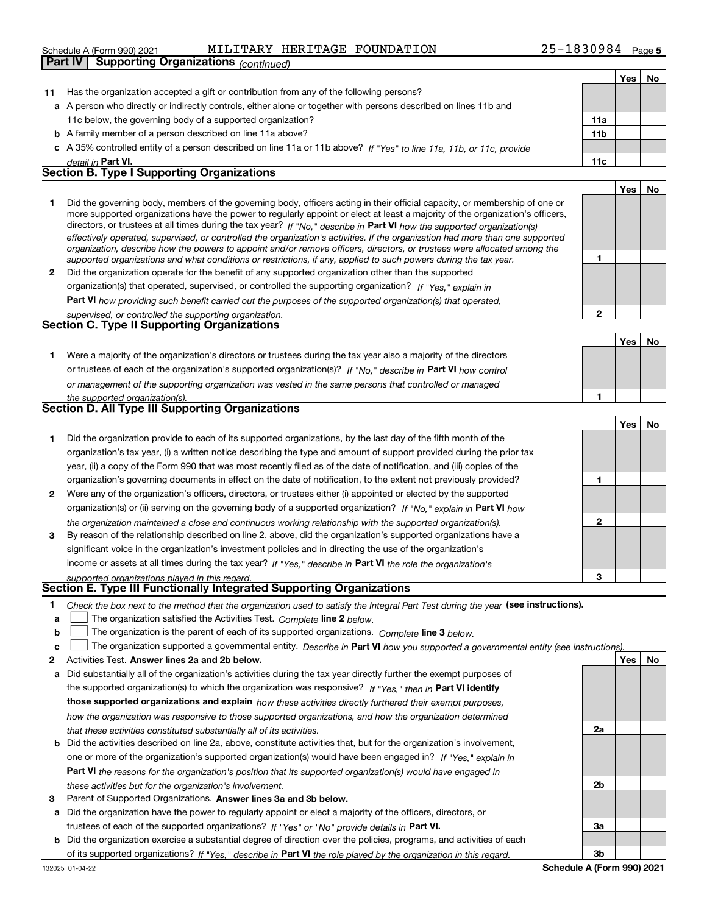|  | Schedule A (Form 990) 2021 |  |  | MILITARY HERITAGE FOUNDATION | 25-1830984 | Page 5 |
|--|----------------------------|--|--|------------------------------|------------|--------|
|--|----------------------------|--|--|------------------------------|------------|--------|

|              | <b>Supporting Organizations (continued)</b><br><b>Part IV</b>                                                                                                                                                                                                                                                                                                                                                                                                                                                                                                                                                                                        |            |           |
|--------------|------------------------------------------------------------------------------------------------------------------------------------------------------------------------------------------------------------------------------------------------------------------------------------------------------------------------------------------------------------------------------------------------------------------------------------------------------------------------------------------------------------------------------------------------------------------------------------------------------------------------------------------------------|------------|-----------|
|              |                                                                                                                                                                                                                                                                                                                                                                                                                                                                                                                                                                                                                                                      | <b>Yes</b> | No        |
| 11           | Has the organization accepted a gift or contribution from any of the following persons?                                                                                                                                                                                                                                                                                                                                                                                                                                                                                                                                                              |            |           |
|              | a A person who directly or indirectly controls, either alone or together with persons described on lines 11b and                                                                                                                                                                                                                                                                                                                                                                                                                                                                                                                                     |            |           |
|              | 11c below, the governing body of a supported organization?<br>11a                                                                                                                                                                                                                                                                                                                                                                                                                                                                                                                                                                                    |            |           |
|              | <b>b</b> A family member of a person described on line 11a above?<br>11 <sub>b</sub>                                                                                                                                                                                                                                                                                                                                                                                                                                                                                                                                                                 |            |           |
|              | c A 35% controlled entity of a person described on line 11a or 11b above? If "Yes" to line 11a, 11b, or 11c, provide                                                                                                                                                                                                                                                                                                                                                                                                                                                                                                                                 |            |           |
|              | 11c<br>detail in Part VI.                                                                                                                                                                                                                                                                                                                                                                                                                                                                                                                                                                                                                            |            |           |
|              | <b>Section B. Type I Supporting Organizations</b>                                                                                                                                                                                                                                                                                                                                                                                                                                                                                                                                                                                                    |            |           |
|              |                                                                                                                                                                                                                                                                                                                                                                                                                                                                                                                                                                                                                                                      | <b>Yes</b> | <b>No</b> |
| 1            | Did the governing body, members of the governing body, officers acting in their official capacity, or membership of one or<br>more supported organizations have the power to regularly appoint or elect at least a majority of the organization's officers,<br>directors, or trustees at all times during the tax year? If "No," describe in Part VI how the supported organization(s)<br>effectively operated, supervised, or controlled the organization's activities. If the organization had more than one supported<br>organization, describe how the powers to appoint and/or remove officers, directors, or trustees were allocated among the |            |           |
|              | 1<br>supported organizations and what conditions or restrictions, if any, applied to such powers during the tax year.                                                                                                                                                                                                                                                                                                                                                                                                                                                                                                                                |            |           |
| $\mathbf{2}$ | Did the organization operate for the benefit of any supported organization other than the supported                                                                                                                                                                                                                                                                                                                                                                                                                                                                                                                                                  |            |           |
|              | organization(s) that operated, supervised, or controlled the supporting organization? If "Yes," explain in                                                                                                                                                                                                                                                                                                                                                                                                                                                                                                                                           |            |           |
|              | <b>Part VI</b> how providing such benefit carried out the purposes of the supported organization(s) that operated,                                                                                                                                                                                                                                                                                                                                                                                                                                                                                                                                   |            |           |
|              | $\mathbf{2}$<br>supervised, or controlled the supporting organization.                                                                                                                                                                                                                                                                                                                                                                                                                                                                                                                                                                               |            |           |
|              | Section C. Type II Supporting Organizations                                                                                                                                                                                                                                                                                                                                                                                                                                                                                                                                                                                                          |            |           |
|              |                                                                                                                                                                                                                                                                                                                                                                                                                                                                                                                                                                                                                                                      | <b>Yes</b> | <b>No</b> |
| 1            | Were a majority of the organization's directors or trustees during the tax year also a majority of the directors                                                                                                                                                                                                                                                                                                                                                                                                                                                                                                                                     |            |           |
|              | or trustees of each of the organization's supported organization(s)? If "No," describe in Part VI how control                                                                                                                                                                                                                                                                                                                                                                                                                                                                                                                                        |            |           |
|              | or management of the supporting organization was vested in the same persons that controlled or managed                                                                                                                                                                                                                                                                                                                                                                                                                                                                                                                                               |            |           |
|              | 1<br>the supported organization(s).                                                                                                                                                                                                                                                                                                                                                                                                                                                                                                                                                                                                                  |            |           |
|              | <b>Section D. All Type III Supporting Organizations</b>                                                                                                                                                                                                                                                                                                                                                                                                                                                                                                                                                                                              |            |           |
|              |                                                                                                                                                                                                                                                                                                                                                                                                                                                                                                                                                                                                                                                      | Yes        | No        |
| 1            | Did the organization provide to each of its supported organizations, by the last day of the fifth month of the                                                                                                                                                                                                                                                                                                                                                                                                                                                                                                                                       |            |           |
|              | organization's tax year, (i) a written notice describing the type and amount of support provided during the prior tax                                                                                                                                                                                                                                                                                                                                                                                                                                                                                                                                |            |           |
|              | year, (ii) a copy of the Form 990 that was most recently filed as of the date of notification, and (iii) copies of the                                                                                                                                                                                                                                                                                                                                                                                                                                                                                                                               |            |           |
|              | organization's governing documents in effect on the date of notification, to the extent not previously provided?<br>1                                                                                                                                                                                                                                                                                                                                                                                                                                                                                                                                |            |           |

**2** Were any of the organization's officers, directors, or trustees either (i) appointed or elected by the supported organization(s) or (ii) serving on the governing body of a supported organization? If "No," explain in **Part VI** how *the organization maintained a close and continuous working relationship with the supported organization(s).* By reason of the relationship described on line 2, above, did the organization's supported organizations have a

| 3 By reason of the relationship described on line 2, above, did the organization's supported organizations have a |
|-------------------------------------------------------------------------------------------------------------------|
| significant voice in the organization's investment policies and in directing the use of the organization's        |
| income or assets at all times during the tax year? If "Yes," describe in Part VI the role the organization's      |

#### *supported organizations played in this regard.* **Section E. Type III Functionally Integrated Supporting Organizations**

- **1**Check the box next to the method that the organization used to satisfy the Integral Part Test during the year (see instructions).
- **alinupy** The organization satisfied the Activities Test. Complete line 2 below.
- **b**The organization is the parent of each of its supported organizations. *Complete* line 3 *below.*  $\mathcal{L}^{\text{max}}$

|  | $\mathbf{c}$ $\Box$ The organization supported a governmental entity. Describe in Part VI how you supported a governmental entity (see instructions). |  |
|--|-------------------------------------------------------------------------------------------------------------------------------------------------------|--|
|  |                                                                                                                                                       |  |

- **2Answer lines 2a and 2b below. Yes No** Activities Test.
- **a** Did substantially all of the organization's activities during the tax year directly further the exempt purposes of the supported organization(s) to which the organization was responsive? If "Yes," then in **Part VI identify those supported organizations and explain**  *how these activities directly furthered their exempt purposes, how the organization was responsive to those supported organizations, and how the organization determined that these activities constituted substantially all of its activities.*
- **b** Did the activities described on line 2a, above, constitute activities that, but for the organization's involvement, **Part VI**  *the reasons for the organization's position that its supported organization(s) would have engaged in* one or more of the organization's supported organization(s) would have been engaged in? If "Yes," e*xplain in these activities but for the organization's involvement.*
- **3** Parent of Supported Organizations. Answer lines 3a and 3b below.
- **a** Did the organization have the power to regularly appoint or elect a majority of the officers, directors, or trustees of each of the supported organizations? If "Yes" or "No" provide details in **Part VI.**
- **b** Did the organization exercise a substantial degree of direction over the policies, programs, and activities of each of its supported organizations? If "Yes," describe in Part VI the role played by the organization in this regard.

**2**

**3**

**2a**

**2b**

**3a**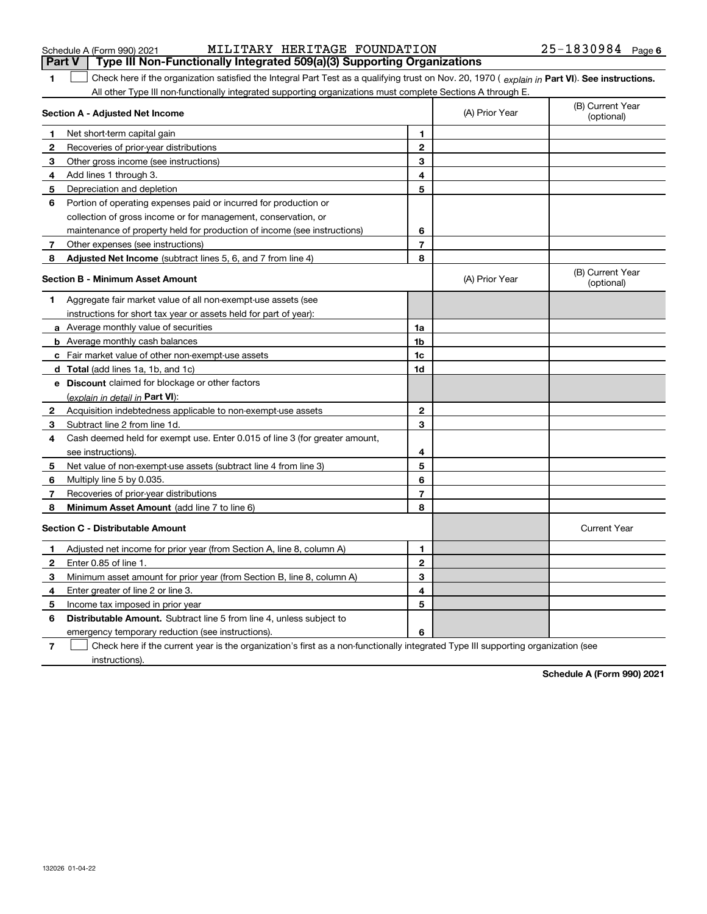|  | N۵t | × |
|--|-----|---|
|  |     |   |

| Schedule A (Form 990) 2021 | HERITAGE<br>MILITARY | FOUNDATION | 30984<br>n. | Page 6 |
|----------------------------|----------------------|------------|-------------|--------|
|                            |                      |            |             |        |

|                                         | Part V<br>Type III Non-Functionally Integrated 509(a)(3) Supporting Organizations                                                              |                |                |                                |  |  |  |
|-----------------------------------------|------------------------------------------------------------------------------------------------------------------------------------------------|----------------|----------------|--------------------------------|--|--|--|
| 1                                       | Check here if the organization satisfied the Integral Part Test as a qualifying trust on Nov. 20, 1970 (explain in Part VI). See instructions. |                |                |                                |  |  |  |
|                                         | All other Type III non-functionally integrated supporting organizations must complete Sections A through E.                                    |                |                |                                |  |  |  |
|                                         | Section A - Adjusted Net Income                                                                                                                |                | (A) Prior Year | (B) Current Year<br>(optional) |  |  |  |
| 1                                       | Net short-term capital gain                                                                                                                    | 1              |                |                                |  |  |  |
| $\mathbf{2}$                            | Recoveries of prior-year distributions                                                                                                         | $\overline{2}$ |                |                                |  |  |  |
| 3                                       | Other gross income (see instructions)                                                                                                          | 3              |                |                                |  |  |  |
| 4                                       | Add lines 1 through 3.                                                                                                                         | 4              |                |                                |  |  |  |
| 5                                       | Depreciation and depletion                                                                                                                     | 5              |                |                                |  |  |  |
| 6                                       | Portion of operating expenses paid or incurred for production or                                                                               |                |                |                                |  |  |  |
|                                         | collection of gross income or for management, conservation, or                                                                                 |                |                |                                |  |  |  |
|                                         | maintenance of property held for production of income (see instructions)                                                                       | 6              |                |                                |  |  |  |
| 7                                       | Other expenses (see instructions)                                                                                                              | $\overline{7}$ |                |                                |  |  |  |
| 8                                       | Adjusted Net Income (subtract lines 5, 6, and 7 from line 4)                                                                                   | 8              |                |                                |  |  |  |
|                                         | <b>Section B - Minimum Asset Amount</b>                                                                                                        |                | (A) Prior Year | (B) Current Year<br>(optional) |  |  |  |
| 1                                       | Aggregate fair market value of all non-exempt-use assets (see                                                                                  |                |                |                                |  |  |  |
|                                         | instructions for short tax year or assets held for part of year):                                                                              |                |                |                                |  |  |  |
|                                         | a Average monthly value of securities                                                                                                          | 1a             |                |                                |  |  |  |
|                                         | <b>b</b> Average monthly cash balances                                                                                                         | 1b             |                |                                |  |  |  |
|                                         | c Fair market value of other non-exempt-use assets                                                                                             | 1c             |                |                                |  |  |  |
|                                         | <b>d</b> Total (add lines 1a, 1b, and 1c)                                                                                                      | 1d             |                |                                |  |  |  |
|                                         | e Discount claimed for blockage or other factors                                                                                               |                |                |                                |  |  |  |
|                                         | (explain in detail in Part VI):                                                                                                                |                |                |                                |  |  |  |
| $\mathbf{2}$                            | Acquisition indebtedness applicable to non-exempt-use assets                                                                                   | 2              |                |                                |  |  |  |
| 3                                       | Subtract line 2 from line 1d.                                                                                                                  | 3              |                |                                |  |  |  |
| 4                                       | Cash deemed held for exempt use. Enter 0.015 of line 3 (for greater amount,                                                                    |                |                |                                |  |  |  |
|                                         | see instructions).                                                                                                                             | 4              |                |                                |  |  |  |
| 5                                       | Net value of non-exempt-use assets (subtract line 4 from line 3)                                                                               | 5              |                |                                |  |  |  |
| 6                                       | Multiply line 5 by 0.035.                                                                                                                      | 6              |                |                                |  |  |  |
| 7                                       | Recoveries of prior-year distributions                                                                                                         | $\overline{7}$ |                |                                |  |  |  |
| 8                                       | Minimum Asset Amount (add line 7 to line 6)                                                                                                    | 8              |                |                                |  |  |  |
| <b>Section C - Distributable Amount</b> |                                                                                                                                                |                |                | <b>Current Year</b>            |  |  |  |
| 1                                       | Adjusted net income for prior year (from Section A, line 8, column A)                                                                          | 1              |                |                                |  |  |  |
| 2                                       | Enter 0.85 of line 1.                                                                                                                          | $\mathbf{2}$   |                |                                |  |  |  |
| 3                                       | Minimum asset amount for prior year (from Section B, line 8, column A)                                                                         | 3              |                |                                |  |  |  |
| 4                                       | Enter greater of line 2 or line 3.                                                                                                             | 4              |                |                                |  |  |  |
| 5                                       | Income tax imposed in prior year                                                                                                               | 5              |                |                                |  |  |  |
| 6                                       | <b>Distributable Amount.</b> Subtract line 5 from line 4, unless subject to                                                                    |                |                |                                |  |  |  |
|                                         | emergency temporary reduction (see instructions).                                                                                              | 6              |                |                                |  |  |  |

**7** Check here if the current year is the organization's first as a non-functionally integrated Type III supporting organization (see instructions).

**Schedule A (Form 990) 2021**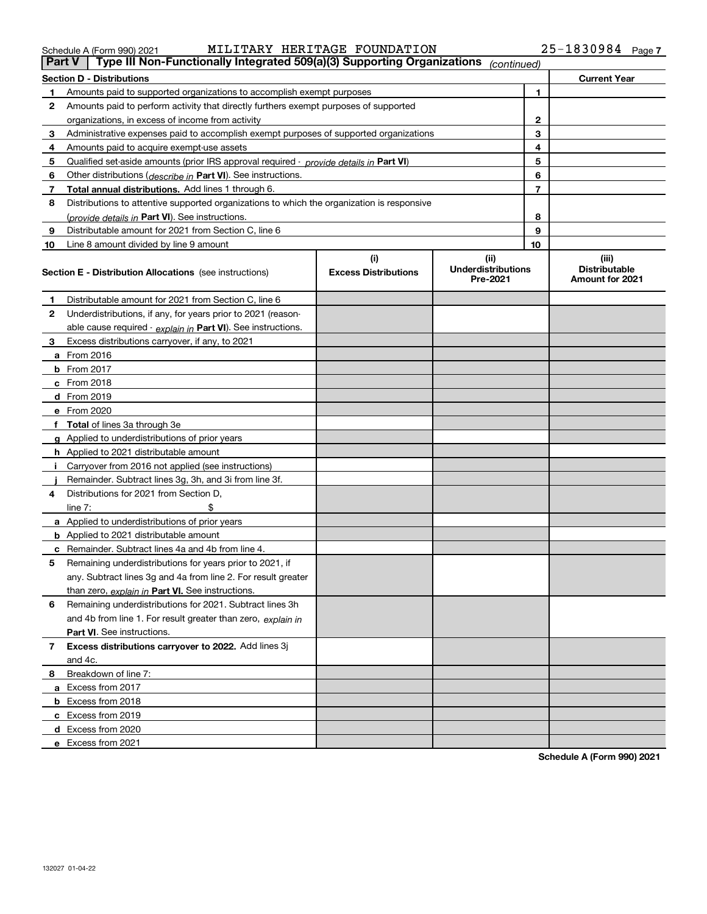| Schedule A (Form 990) 2021 |  | MILITARY HERITAGE FOUNDATION | 1830984<br>25–: | Page |
|----------------------------|--|------------------------------|-----------------|------|
|                            |  |                              |                 |      |

| <b>Part V</b> | Type III Non-Functionally Integrated 509(a)(3) Supporting Organizations                    |                             | (continued)                           |    |                                                |
|---------------|--------------------------------------------------------------------------------------------|-----------------------------|---------------------------------------|----|------------------------------------------------|
|               | <b>Section D - Distributions</b>                                                           |                             |                                       |    | <b>Current Year</b>                            |
| 1             | Amounts paid to supported organizations to accomplish exempt purposes                      |                             | 1                                     |    |                                                |
| 2             | Amounts paid to perform activity that directly furthers exempt purposes of supported       |                             |                                       |    |                                                |
|               | organizations, in excess of income from activity                                           |                             | $\mathbf{2}$                          |    |                                                |
| 3             | Administrative expenses paid to accomplish exempt purposes of supported organizations      |                             |                                       | 3  |                                                |
| 4             | Amounts paid to acquire exempt-use assets                                                  |                             |                                       | 4  |                                                |
| 5             | Qualified set-aside amounts (prior IRS approval required - provide details in Part VI)     |                             |                                       | 5  |                                                |
| 6             | Other distributions ( <i>describe in</i> Part VI). See instructions.                       |                             |                                       | 6  |                                                |
| 7             | Total annual distributions. Add lines 1 through 6.                                         |                             |                                       | 7  |                                                |
| 8             | Distributions to attentive supported organizations to which the organization is responsive |                             |                                       |    |                                                |
|               | (provide details in Part VI). See instructions.                                            |                             |                                       | 8  |                                                |
| 9             | Distributable amount for 2021 from Section C, line 6                                       |                             |                                       | 9  |                                                |
| 10            | Line 8 amount divided by line 9 amount                                                     |                             |                                       | 10 |                                                |
|               |                                                                                            | (i)                         | (ii)                                  |    | (iii)                                          |
|               | <b>Section E - Distribution Allocations</b> (see instructions)                             | <b>Excess Distributions</b> | <b>Underdistributions</b><br>Pre-2021 |    | <b>Distributable</b><br><b>Amount for 2021</b> |
| 1             | Distributable amount for 2021 from Section C, line 6                                       |                             |                                       |    |                                                |
| 2             | Underdistributions, if any, for years prior to 2021 (reason-                               |                             |                                       |    |                                                |
|               | able cause required - explain in Part VI). See instructions.                               |                             |                                       |    |                                                |
| 3             | Excess distributions carryover, if any, to 2021                                            |                             |                                       |    |                                                |
|               | a From 2016                                                                                |                             |                                       |    |                                                |
|               | <b>b</b> From 2017                                                                         |                             |                                       |    |                                                |
|               | $c$ From 2018                                                                              |                             |                                       |    |                                                |
|               | d From 2019                                                                                |                             |                                       |    |                                                |
|               | e From 2020                                                                                |                             |                                       |    |                                                |
|               | f Total of lines 3a through 3e                                                             |                             |                                       |    |                                                |
|               | g Applied to underdistributions of prior years                                             |                             |                                       |    |                                                |
|               | <b>h</b> Applied to 2021 distributable amount                                              |                             |                                       |    |                                                |
|               | Carryover from 2016 not applied (see instructions)                                         |                             |                                       |    |                                                |
|               | Remainder. Subtract lines 3g, 3h, and 3i from line 3f.                                     |                             |                                       |    |                                                |
| 4             | Distributions for 2021 from Section D,                                                     |                             |                                       |    |                                                |
|               | line $7:$                                                                                  |                             |                                       |    |                                                |
|               | a Applied to underdistributions of prior years                                             |                             |                                       |    |                                                |
|               | <b>b</b> Applied to 2021 distributable amount                                              |                             |                                       |    |                                                |
|               | c Remainder. Subtract lines 4a and 4b from line 4.                                         |                             |                                       |    |                                                |
| 5.            | Remaining underdistributions for years prior to 2021, if                                   |                             |                                       |    |                                                |
|               | any. Subtract lines 3g and 4a from line 2. For result greater                              |                             |                                       |    |                                                |
|               | than zero, explain in Part VI. See instructions.                                           |                             |                                       |    |                                                |
| 6             | Remaining underdistributions for 2021. Subtract lines 3h                                   |                             |                                       |    |                                                |
|               | and 4b from line 1. For result greater than zero, explain in                               |                             |                                       |    |                                                |
|               | Part VI. See instructions.                                                                 |                             |                                       |    |                                                |
| 7             | Excess distributions carryover to 2022. Add lines 3j                                       |                             |                                       |    |                                                |
|               | and 4c.                                                                                    |                             |                                       |    |                                                |
| 8             | Breakdown of line 7:                                                                       |                             |                                       |    |                                                |
|               | a Excess from 2017                                                                         |                             |                                       |    |                                                |
|               | <b>b</b> Excess from 2018                                                                  |                             |                                       |    |                                                |
|               | c Excess from 2019                                                                         |                             |                                       |    |                                                |
|               | d Excess from 2020                                                                         |                             |                                       |    |                                                |
|               | e Excess from 2021                                                                         |                             |                                       |    |                                                |

**Schedule A (Form 990) 2021**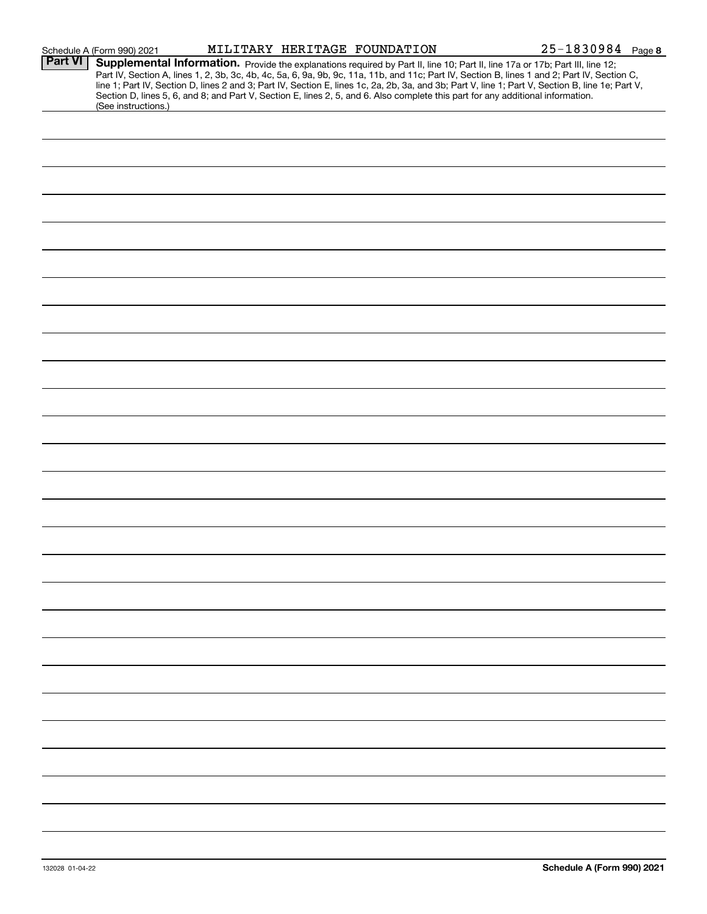|                | Schedule A (Form 990) 2021 |  | MILITARY HERITAGE FOUNDATION                                                                                                                                                                                                                                                                                                                                                                                                                                                                                                                                         | 25-1830984 Page 8 |
|----------------|----------------------------|--|----------------------------------------------------------------------------------------------------------------------------------------------------------------------------------------------------------------------------------------------------------------------------------------------------------------------------------------------------------------------------------------------------------------------------------------------------------------------------------------------------------------------------------------------------------------------|-------------------|
| <b>Part VI</b> |                            |  | Supplemental Information. Provide the explanations required by Part II, line 10; Part II, line 17a or 17b; Part III, line 12;<br>Part IV, Section A, lines 1, 2, 3b, 3c, 4b, 4c, 5a, 6, 9a, 9b, 9c, 11a, 11b, and 11c; Part IV, Section B, lines 1 and 2; Part IV, Section C,<br>line 1; Part IV, Section D, lines 2 and 3; Part IV, Section E, lines 1c, 2a, 2b, 3a, and 3b; Part V, line 1; Part V, Section B, line 1e; Part V,<br>Section D, lines 5, 6, and 8; and Part V, Section E, lines 2, 5, and 6. Also complete this part for any additional information. |                   |
|                | (See instructions.)        |  |                                                                                                                                                                                                                                                                                                                                                                                                                                                                                                                                                                      |                   |
|                |                            |  |                                                                                                                                                                                                                                                                                                                                                                                                                                                                                                                                                                      |                   |
|                |                            |  |                                                                                                                                                                                                                                                                                                                                                                                                                                                                                                                                                                      |                   |
|                |                            |  |                                                                                                                                                                                                                                                                                                                                                                                                                                                                                                                                                                      |                   |
|                |                            |  |                                                                                                                                                                                                                                                                                                                                                                                                                                                                                                                                                                      |                   |
|                |                            |  |                                                                                                                                                                                                                                                                                                                                                                                                                                                                                                                                                                      |                   |
|                |                            |  |                                                                                                                                                                                                                                                                                                                                                                                                                                                                                                                                                                      |                   |
|                |                            |  |                                                                                                                                                                                                                                                                                                                                                                                                                                                                                                                                                                      |                   |
|                |                            |  |                                                                                                                                                                                                                                                                                                                                                                                                                                                                                                                                                                      |                   |
|                |                            |  |                                                                                                                                                                                                                                                                                                                                                                                                                                                                                                                                                                      |                   |
|                |                            |  |                                                                                                                                                                                                                                                                                                                                                                                                                                                                                                                                                                      |                   |
|                |                            |  |                                                                                                                                                                                                                                                                                                                                                                                                                                                                                                                                                                      |                   |
|                |                            |  |                                                                                                                                                                                                                                                                                                                                                                                                                                                                                                                                                                      |                   |
|                |                            |  |                                                                                                                                                                                                                                                                                                                                                                                                                                                                                                                                                                      |                   |
|                |                            |  |                                                                                                                                                                                                                                                                                                                                                                                                                                                                                                                                                                      |                   |
|                |                            |  |                                                                                                                                                                                                                                                                                                                                                                                                                                                                                                                                                                      |                   |
|                |                            |  |                                                                                                                                                                                                                                                                                                                                                                                                                                                                                                                                                                      |                   |
|                |                            |  |                                                                                                                                                                                                                                                                                                                                                                                                                                                                                                                                                                      |                   |
|                |                            |  |                                                                                                                                                                                                                                                                                                                                                                                                                                                                                                                                                                      |                   |
|                |                            |  |                                                                                                                                                                                                                                                                                                                                                                                                                                                                                                                                                                      |                   |
|                |                            |  |                                                                                                                                                                                                                                                                                                                                                                                                                                                                                                                                                                      |                   |
|                |                            |  |                                                                                                                                                                                                                                                                                                                                                                                                                                                                                                                                                                      |                   |
|                |                            |  |                                                                                                                                                                                                                                                                                                                                                                                                                                                                                                                                                                      |                   |
|                |                            |  |                                                                                                                                                                                                                                                                                                                                                                                                                                                                                                                                                                      |                   |
|                |                            |  |                                                                                                                                                                                                                                                                                                                                                                                                                                                                                                                                                                      |                   |
|                |                            |  |                                                                                                                                                                                                                                                                                                                                                                                                                                                                                                                                                                      |                   |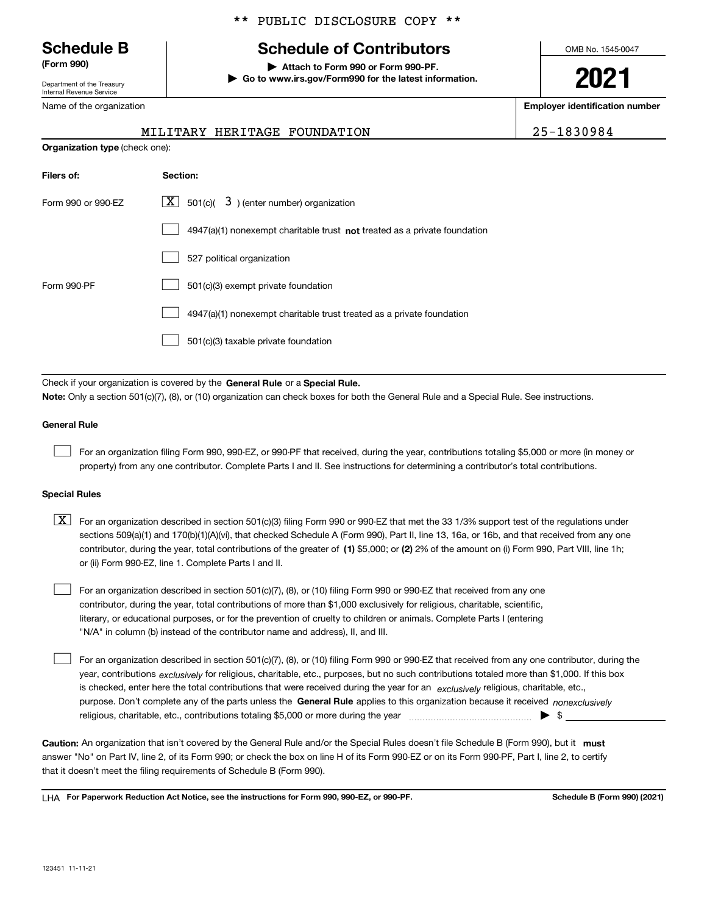Department of the Treasury Internal Revenue Service

Name of the organization

#### \*\* PUBLIC DISCLOSURE COPY \*\*

# **Schedule B Schedule of Contributors**

**(Form 990) | Attach to Form 990 or Form 990-PF. | Go to www.irs.gov/Form990 for the latest information.** OMB No. 1545-0047

**2021**

**Employer identification number**

|  |  |  |  | 25-1830984 |  |
|--|--|--|--|------------|--|
|  |  |  |  |            |  |

| $N$ a $N$ i i $\sigma$ u i $\sigma$ urganization |  |                              |
|--------------------------------------------------|--|------------------------------|
|                                                  |  | MILITARY HERITAGE FOUNDATION |
| <b>Organization type</b> (check one):            |  |                              |

| Filers of:         | Section:                                                                    |
|--------------------|-----------------------------------------------------------------------------|
| Form 990 or 990-FZ | $X$ 501(c)(<br>$3$ ) (enter number) organization                            |
|                    | $4947(a)(1)$ nonexempt charitable trust not treated as a private foundation |
|                    | 527 political organization                                                  |
| Form 990-PF        | 501(c)(3) exempt private foundation                                         |
|                    | 4947(a)(1) nonexempt charitable trust treated as a private foundation       |
|                    | 501(c)(3) taxable private foundation                                        |

Check if your organization is covered by the **General Rule** or a **Special Rule. Note:**  Only a section 501(c)(7), (8), or (10) organization can check boxes for both the General Rule and a Special Rule. See instructions.

#### **General Rule**

 $\mathcal{L}^{\text{max}}$ 

For an organization filing Form 990, 990-EZ, or 990-PF that received, during the year, contributions totaling \$5,000 or more (in money or property) from any one contributor. Complete Parts I and II. See instructions for determining a contributor's total contributions.

#### **Special Rules**

contributor, during the year, total contributions of the greater of (1**)** \$5,000; or (2) 2% of the amount on (i) Form 990, Part VIII, line 1h;  $\boxed{\textbf{X}}$  For an organization described in section 501(c)(3) filing Form 990 or 990-EZ that met the 33 1/3% support test of the regulations under sections 509(a)(1) and 170(b)(1)(A)(vi), that checked Schedule A (Form 990), Part II, line 13, 16a, or 16b, and that received from any one or (ii) Form 990-EZ, line 1. Complete Parts I and II.

For an organization described in section 501(c)(7), (8), or (10) filing Form 990 or 990-EZ that received from any one contributor, during the year, total contributions of more than \$1,000 exclusively for religious, charitable, scientific, literary, or educational purposes, or for the prevention of cruelty to children or animals. Complete Parts I (entering "N/A" in column (b) instead of the contributor name and address), II, and III.  $\mathcal{L}^{\text{max}}$ 

purpose. Don't complete any of the parts unless the **General Rule** applies to this organization because it received *nonexclusively* year, contributions <sub>exclusively</sub> for religious, charitable, etc., purposes, but no such contributions totaled more than \$1,000. If this box is checked, enter here the total contributions that were received during the year for an  $\;$ exclusively religious, charitable, etc., For an organization described in section 501(c)(7), (8), or (10) filing Form 990 or 990-EZ that received from any one contributor, during the religious, charitable, etc., contributions totaling \$5,000 or more during the year  $\Box$ — $\Box$   $\Box$  $\mathcal{L}^{\text{max}}$ 

Caution: An organization that isn't covered by the General Rule and/or the Special Rules doesn't file Schedule B (Form 990), but it **must** answer "No" on Part IV, line 2, of its Form 990; or check the box on line H of its Form 990-EZ or on its Form 990-PF, Part I, line 2, to certify that it doesn't meet the filing requirements of Schedule B (Form 990).

LHA For Paperwork Reduction Act Notice, see the instructions for Form 990, 990-EZ, or 990-PF. **In the act and Schedule B** (Form 990) (2021)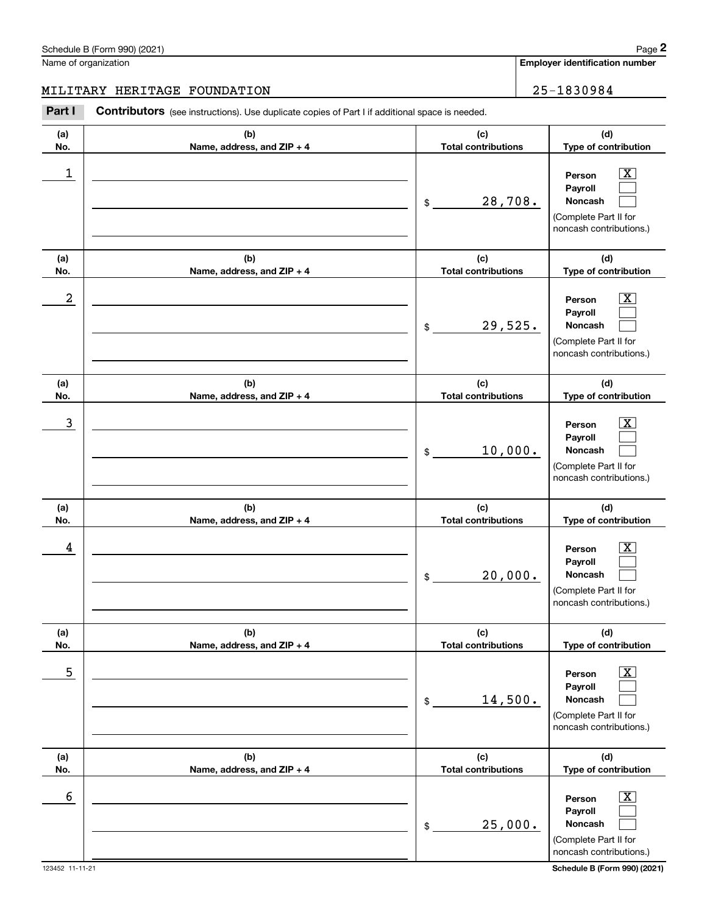| (a)<br>No.      | (b)<br>Name, address, and ZIP + 4 | (c)<br><b>Total contributions</b> | (d)<br>Type of contribution                                                                                      |
|-----------------|-----------------------------------|-----------------------------------|------------------------------------------------------------------------------------------------------------------|
| $\mathbf{3}$    |                                   | 10,000.<br>\$                     | $\overline{\text{X}}$<br>Person<br>Payroll<br><b>Noncash</b><br>(Complete Part II for<br>noncash contributions.) |
| (a)<br>No.      | (b)<br>Name, address, and ZIP + 4 | (c)<br><b>Total contributions</b> | (d)<br>Type of contribution                                                                                      |
| 4               |                                   | 20,000.<br>\$                     | $\overline{\texttt{X}}$<br>Person<br>Payroll<br>Noncash<br>(Complete Part II for<br>noncash contributions.)      |
| (a)<br>No.      | (b)<br>Name, address, and ZIP + 4 | (c)<br><b>Total contributions</b> | (d)<br>Type of contribution                                                                                      |
| 5               |                                   | 14,500.<br>\$                     | $\overline{\mathbf{x}}$<br>Person<br>Payroll<br>Noncash<br>(Complete Part II for<br>noncash contributions.)      |
| (a)<br>No.      | (b)<br>Name, address, and ZIP + 4 | (c)<br><b>Total contributions</b> | (d)<br>Type of contribution                                                                                      |
| 6               |                                   | 25,000.<br>\$                     | $\overline{\texttt{X}}$<br>Person<br>Payroll<br>Noncash<br>(Complete Part II for<br>noncash contributions.)      |
| 123452 11-11-21 |                                   |                                   | <b>Schedule B (Form 990) (2021)</b>                                                                              |

| Schedule B (Form 990) (2021)                                                                                    | Page 2                         |
|-----------------------------------------------------------------------------------------------------------------|--------------------------------|
| Name of organization                                                                                            | Employer identification number |
| MILITARY HERITAGE FOUNDATION                                                                                    | 25-1830984                     |
| Part I<br><b>Contributors</b> (see instructions). Use duplicate copies of Part I if additional space is needed. |                                |

| (a)                     | (b)                                 | (c)                               | (d)                                                                                                         |
|-------------------------|-------------------------------------|-----------------------------------|-------------------------------------------------------------------------------------------------------------|
| No.                     | Name, address, and ZIP + 4          | <b>Total contributions</b>        | Type of contribution                                                                                        |
| 1                       |                                     | 28,708.<br>$\frac{1}{2}$          | $\overline{\mathbf{X}}$<br>Person<br>Payroll<br>Noncash<br>(Complete Part II for<br>noncash contributions.) |
| (a)<br>No.              | (b)<br>Name, address, and ZIP + 4   | (c)<br><b>Total contributions</b> | (d)<br>Type of contribution                                                                                 |
| $\overline{\mathbf{2}}$ |                                     | 29,525.<br>$$\circ$$              | $\overline{\mathbf{X}}$<br>Person<br>Payroll<br>Noncash<br>(Complete Part II for<br>noncash contributions.) |
| (a)<br>No.              | (b)<br>Name, address, and ZIP + 4   | (c)<br><b>Total contributions</b> | (d)<br>Type of contribution                                                                                 |
| 3                       |                                     | 10,000.<br>$\frac{1}{2}$          | $\mathbf{X}$<br>Person<br>Payroll<br>Noncash<br>(Complete Part II for<br>noncash contributions.)            |
| (a)<br>No.              | (b)<br>Name, address, and ZIP + 4   | (c)<br><b>Total contributions</b> | (d)<br>Type of contribution                                                                                 |
| 4                       |                                     | 20,000.<br>\$                     | $\overline{\text{X}}$<br>Person<br>Payroll<br>Noncash<br>(Complete Part II for<br>noncash contributions.)   |
| (a)<br>No.              | (b)<br>Name, address, and $ZIP + 4$ | (c)<br><b>Total contributions</b> | (d)<br><b>Type of contribution</b>                                                                          |
| 5                       |                                     | 14,500.<br>\$                     | x.<br>Person<br>Payroll<br>Noncash<br>(Complete Part II for<br>noncash contributions.)                      |
| (a)<br>No.              | (b)<br>Name, address, and ZIP + 4   | (c)<br><b>Total contributions</b> | (d)<br>Type of contribution                                                                                 |
| 6                       |                                     | 25,000.<br>\$                     | $\overline{\text{X}}$<br>Person<br>Payroll<br>Noncash<br>(Complete Part II for<br>noncash contributions.)   |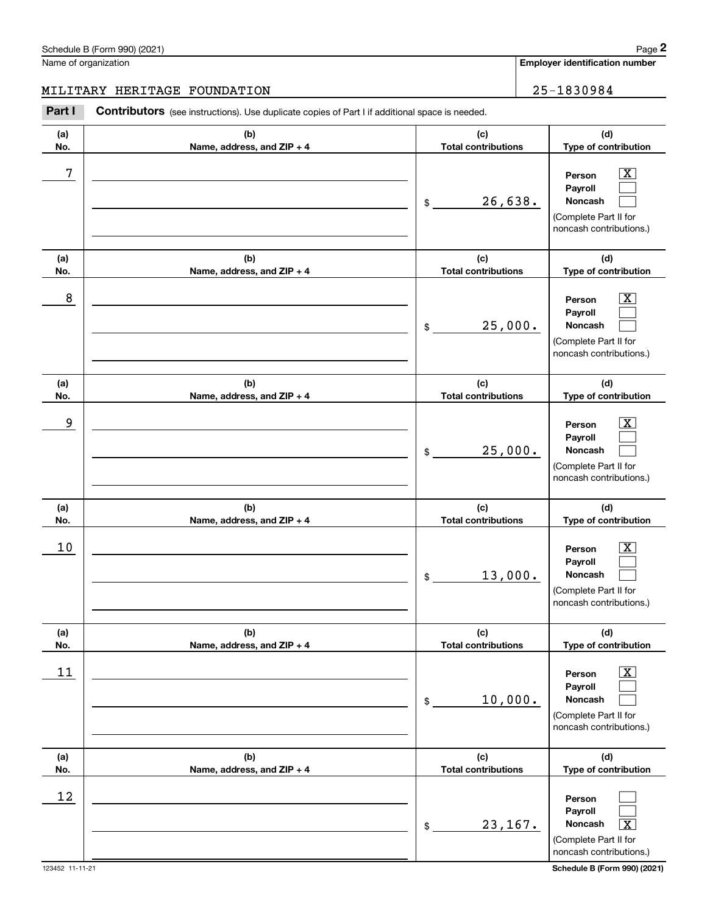| $\sim$ $\sim$ $\sim$<br>ההחי<br>.SC <sup>r</sup><br>еслле<br>.<br>חו רז<br>- \ JI I I I<br>ے טשיו וכפר<br>the contract of the contract of the contract of |  |  | auc |
|-----------------------------------------------------------------------------------------------------------------------------------------------------------|--|--|-----|
|                                                                                                                                                           |  |  |     |

Name of organization

MILITARY HERITAGE FOUNDATION 25-1830984

**(a)No.(b)Name, address, and ZIP + 4 (c)Total contributions (d)Type of contribution PersonPayrollNoncash (a)No.(b)Name, address, and ZIP + 4 (c)Total contributions (d)Type of contribution PersonPayrollNoncash (a)No.(b)Name, address, and ZIP + 4 (c)Total contributions (d)Type of contribution PersonPayrollNoncash (a) No.(b) Name, address, and ZIP + 4 (c) Total contributions (d) Type of contribution Person Payroll Noncash(a) No.(b) Name, address, and ZIP + 4 (c) Total contributions (d) Type of contribution PersonPayrollNoncash (a) No.(b)Name, address, and ZIP + 4 (c) Total contributions (d) Type of contribution PersonPayrollNoncash** Contributors (see instructions). Use duplicate copies of Part I if additional space is needed. \$(Complete Part II for noncash contributions.) \$(Complete Part II for noncash contributions.) \$(Complete Part II for noncash contributions.) \$(Complete Part II for noncash contributions.) \$(Complete Part II for noncash contributions.) \$(Complete Part II for noncash contributions.)  $\lceil \text{X} \rceil$  $\mathcal{L}^{\text{max}}$  $\mathcal{L}^{\text{max}}$  $\boxed{\text{X}}$  $\mathcal{L}^{\text{max}}$  $\mathcal{L}^{\text{max}}$  $|X|$  $\mathcal{L}^{\text{max}}$  $\mathcal{L}^{\text{max}}$  $\boxed{\text{X}}$  $\mathcal{L}^{\text{max}}$  $\mathcal{L}^{\text{max}}$  $|X|$  $\mathcal{L}^{\text{max}}$  $\mathcal{L}^{\text{max}}$  $\mathcal{L}^{\text{max}}$  $\mathcal{L}^{\text{max}}$  $\vert X \vert$ 7 X 26,638. 8 X 25,000. example and the set of the set of the set of the set of the set of the set of the set of the set of the set of 25,000.  $10$  Person  $\overline{\text{X}}$ 13,000.  $11$  Person X 10,000. 12  $23,167.$ 

# Chedule B (Form 990) (2021)<br>Iame of organization<br>IILITARY HERITAGE FOUNDATION<br>**Part I** Contributors (see instructions). Use duplicate copies of Part I if additional space is needed.

**Employer identification number**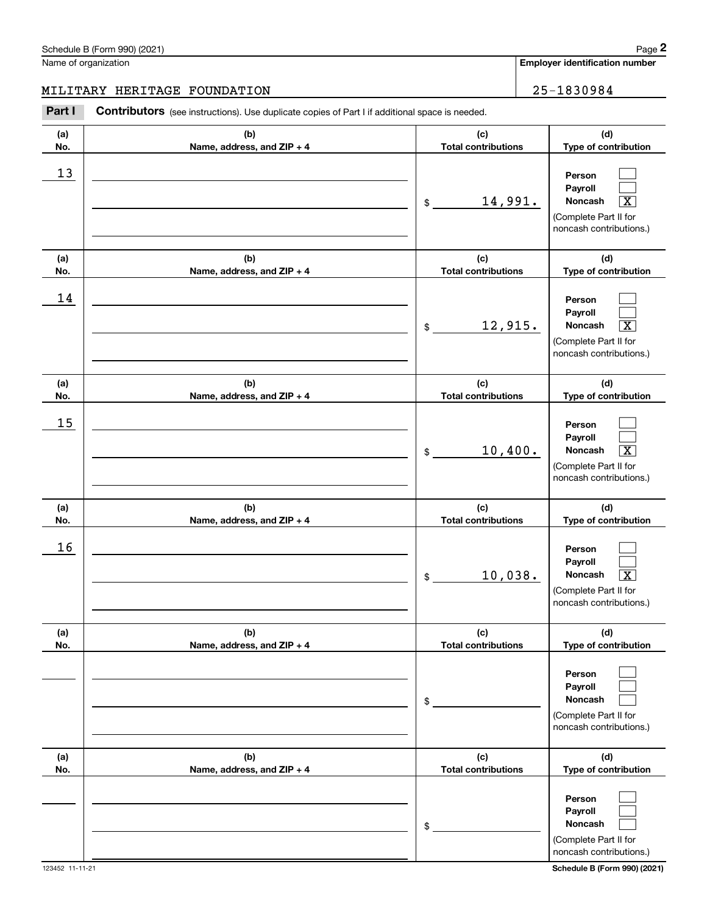|            | Schedule B (Form 990) (2021)<br>Name of organization                                           |                                   | Page 2<br><b>Employer identification number</b>                                                                        |
|------------|------------------------------------------------------------------------------------------------|-----------------------------------|------------------------------------------------------------------------------------------------------------------------|
|            | MILITARY HERITAGE FOUNDATION                                                                   |                                   | 25-1830984                                                                                                             |
| Part I     | Contributors (see instructions). Use duplicate copies of Part I if additional space is needed. |                                   |                                                                                                                        |
| (a)<br>No. | (b)<br>Name, address, and ZIP + 4                                                              | (c)<br><b>Total contributions</b> | (d)<br>Type of contribution                                                                                            |
| 13         |                                                                                                | 14,991.<br>\$                     | Person<br>Payroll<br><b>Noncash</b><br>$\overline{\textnormal{x}}$<br>(Complete Part II for<br>noncash contributions.) |
| (a)<br>No. | (b)<br>Name, address, and ZIP + 4                                                              | (c)<br><b>Total contributions</b> | (d)<br>Type of contribution                                                                                            |
| 14         |                                                                                                | 12,915.<br>\$                     | Person<br>Payroll<br><b>Noncash</b><br>$\overline{\textnormal{x}}$<br>(Complete Part II for<br>noncash contributions.) |
| (a)<br>No. | (b)<br>Name, address, and ZIP + 4                                                              | (c)<br><b>Total contributions</b> | (d)<br>Type of contribution                                                                                            |
| 15         |                                                                                                | 10,400.<br>\$                     | Person<br>Payroll<br>$\overline{\textbf{X}}$<br><b>Noncash</b><br>(Complete Part II for<br>noncash contributions.)     |
| (a)<br>No. | (b)<br>Name, address, and ZIP + 4                                                              | (c)<br><b>Total contributions</b> | (d)<br><b>Type of contribution</b>                                                                                     |
| 16         |                                                                                                | 10,038.<br>$\$$                   | Person<br>Payroll<br>Noncash<br>x<br>(Complete Part II for<br>noncash contributions.)                                  |
| (a)<br>No. | (b)<br>Name, address, and ZIP + 4                                                              | (c)<br><b>Total contributions</b> | (d)<br>Type of contribution                                                                                            |
|            |                                                                                                | \$                                | Person<br>Payroll<br><b>Noncash</b><br>(Complete Part II for<br>noncash contributions.)                                |
| (a)<br>No. | (b)<br>Name, address, and ZIP + 4                                                              | (c)<br><b>Total contributions</b> | (d)<br>Type of contribution                                                                                            |
|            |                                                                                                |                                   | Person<br>Payroll                                                                                                      |

 $\mathcal{L}^{\text{max}}$  $\mathcal{L}^{\text{max}}$  $\mathcal{L}^{\text{max}}$ 

**Noncash**

(Complete Part II for noncash contributions.)

\$

# Schee<br>Name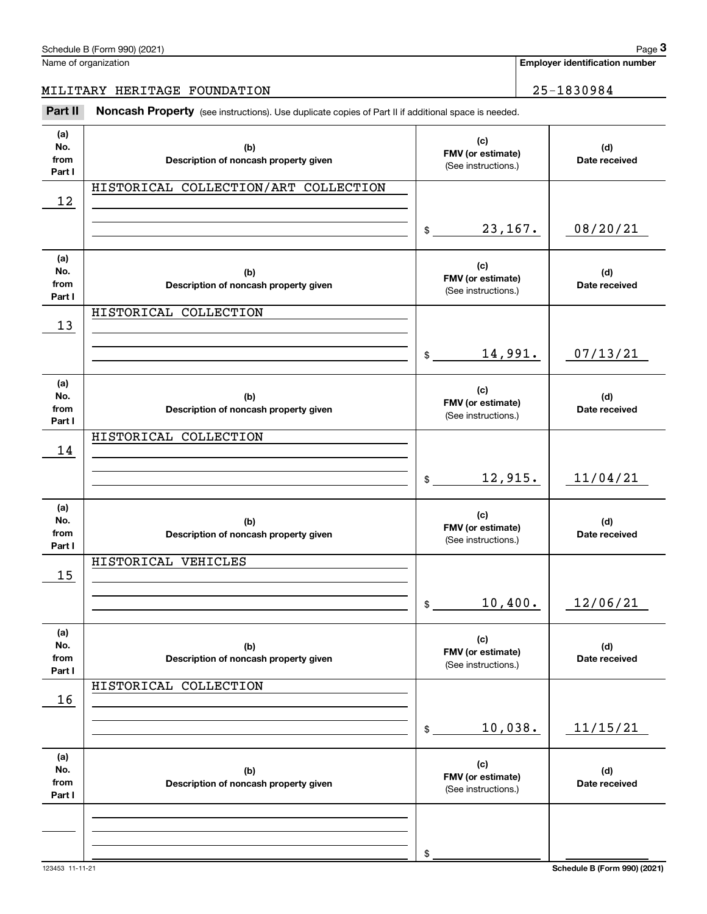## MILITARY HERITAGE FOUNDATION 25-1830984

(see instructions). Use duplicate copies of Part II if additional space is needed.<br> **2Part II Noncash Property** (see instructions). Use duplicate copies of Part II if additional space is needed.

| (a)<br>No.<br>from<br>Part I | (b)<br>Description of noncash property given | (c)<br>FMV (or estimate)<br>(See instructions.) | (d)<br>Date received |
|------------------------------|----------------------------------------------|-------------------------------------------------|----------------------|
| 12                           | HISTORICAL COLLECTION/ART COLLECTION         |                                                 |                      |
|                              |                                              | 23,167.<br>$\mathsf{\$}$                        | 08/20/21             |
| (a)<br>No.<br>from<br>Part I | (b)<br>Description of noncash property given | (c)<br>FMV (or estimate)<br>(See instructions.) | (d)<br>Date received |
| 13                           | HISTORICAL COLLECTION                        |                                                 |                      |
|                              |                                              | 14,991.<br>$\frac{1}{2}$                        | 07/13/21             |
| (a)<br>No.<br>from<br>Part I | (b)<br>Description of noncash property given | (c)<br>FMV (or estimate)<br>(See instructions.) | (d)<br>Date received |
| 14                           | HISTORICAL COLLECTION                        |                                                 |                      |
|                              |                                              | 12,915.<br>$\frac{1}{2}$                        | 11/04/21             |
| (a)<br>No.<br>from<br>Part I | (b)<br>Description of noncash property given | (c)<br>FMV (or estimate)<br>(See instructions.) | (d)<br>Date received |
| 15                           | HISTORICAL VEHICLES                          |                                                 |                      |
|                              |                                              | 10,400.<br>\$                                   | 12/06/21             |
| (a)<br>No.<br>from<br>Part I | (b)<br>Description of noncash property given | (c)<br>FMV (or estimate)<br>(See instructions.) | (d)<br>Date received |
| 16                           | HISTORICAL COLLECTION                        |                                                 |                      |
|                              |                                              | 10,038.<br>\$                                   | 11/15/21             |
| (a)<br>No.<br>from<br>Part I | (b)<br>Description of noncash property given | (c)<br>FMV (or estimate)<br>(See instructions.) | (d)<br>Date received |
|                              |                                              |                                                 |                      |
|                              |                                              | \$                                              |                      |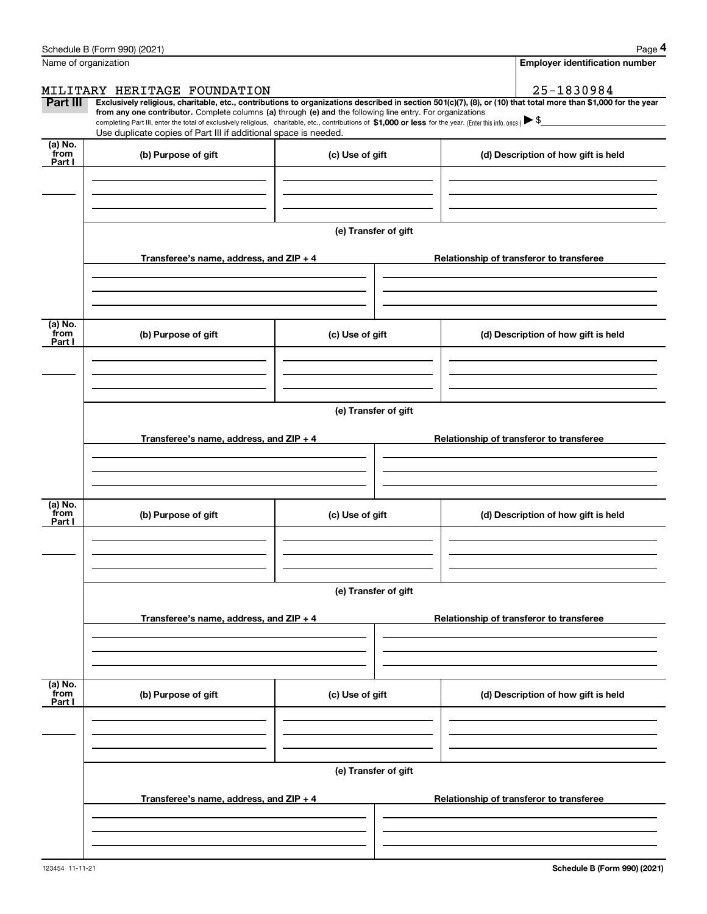|                           | Schedule B (Form 990) (2021)                                                                                                                                                                                                                                                                                                                                       |                      | Page 4                                                                                                                                                         |  |  |  |  |
|---------------------------|--------------------------------------------------------------------------------------------------------------------------------------------------------------------------------------------------------------------------------------------------------------------------------------------------------------------------------------------------------------------|----------------------|----------------------------------------------------------------------------------------------------------------------------------------------------------------|--|--|--|--|
|                           | Name of organization                                                                                                                                                                                                                                                                                                                                               |                      | <b>Employer identification number</b>                                                                                                                          |  |  |  |  |
|                           | MILITARY HERITAGE FOUNDATION                                                                                                                                                                                                                                                                                                                                       |                      | 25-1830984                                                                                                                                                     |  |  |  |  |
| Part III                  | from any one contributor. Complete columns (a) through (e) and the following line entry. For organizations<br>completing Part III, enter the total of exclusively religious, charitable, etc., contributions of \$1,000 or less for the year. (Enter this info. once.) $\blacktriangleright$ \$<br>Use duplicate copies of Part III if additional space is needed. |                      | Exclusively religious, charitable, etc., contributions to organizations described in section 501(c)(7), (8), or (10) that total more than \$1,000 for the year |  |  |  |  |
| (a) No.<br>from<br>Part I | (b) Purpose of gift                                                                                                                                                                                                                                                                                                                                                | (c) Use of gift      | (d) Description of how gift is held                                                                                                                            |  |  |  |  |
|                           |                                                                                                                                                                                                                                                                                                                                                                    |                      |                                                                                                                                                                |  |  |  |  |
|                           |                                                                                                                                                                                                                                                                                                                                                                    | (e) Transfer of gift |                                                                                                                                                                |  |  |  |  |
|                           | Transferee's name, address, and $ZIP + 4$                                                                                                                                                                                                                                                                                                                          |                      | Relationship of transferor to transferee                                                                                                                       |  |  |  |  |
|                           |                                                                                                                                                                                                                                                                                                                                                                    |                      |                                                                                                                                                                |  |  |  |  |
| (a) No.<br>from<br>Part I | (b) Purpose of gift                                                                                                                                                                                                                                                                                                                                                | (c) Use of gift      | (d) Description of how gift is held                                                                                                                            |  |  |  |  |
|                           |                                                                                                                                                                                                                                                                                                                                                                    |                      |                                                                                                                                                                |  |  |  |  |
|                           |                                                                                                                                                                                                                                                                                                                                                                    | (e) Transfer of gift |                                                                                                                                                                |  |  |  |  |
|                           | Transferee's name, address, and $ZIP + 4$                                                                                                                                                                                                                                                                                                                          |                      | Relationship of transferor to transferee                                                                                                                       |  |  |  |  |
|                           |                                                                                                                                                                                                                                                                                                                                                                    |                      |                                                                                                                                                                |  |  |  |  |
| (a) No.<br>from<br>Part I | (b) Purpose of gift                                                                                                                                                                                                                                                                                                                                                | (c) Use of gift      | (d) Description of how gift is held                                                                                                                            |  |  |  |  |
|                           |                                                                                                                                                                                                                                                                                                                                                                    |                      |                                                                                                                                                                |  |  |  |  |
|                           | (e) Transfer of gift                                                                                                                                                                                                                                                                                                                                               |                      |                                                                                                                                                                |  |  |  |  |
|                           | Transferee's name, address, and ZIP + 4                                                                                                                                                                                                                                                                                                                            |                      | Relationship of transferor to transferee                                                                                                                       |  |  |  |  |
|                           |                                                                                                                                                                                                                                                                                                                                                                    |                      |                                                                                                                                                                |  |  |  |  |
| (a) No.<br>from<br>Part I | (b) Purpose of gift                                                                                                                                                                                                                                                                                                                                                | (c) Use of gift      | (d) Description of how gift is held                                                                                                                            |  |  |  |  |
|                           |                                                                                                                                                                                                                                                                                                                                                                    |                      |                                                                                                                                                                |  |  |  |  |
|                           | (e) Transfer of gift                                                                                                                                                                                                                                                                                                                                               |                      |                                                                                                                                                                |  |  |  |  |
|                           | Transferee's name, address, and ZIP + 4                                                                                                                                                                                                                                                                                                                            |                      | Relationship of transferor to transferee                                                                                                                       |  |  |  |  |
|                           |                                                                                                                                                                                                                                                                                                                                                                    |                      |                                                                                                                                                                |  |  |  |  |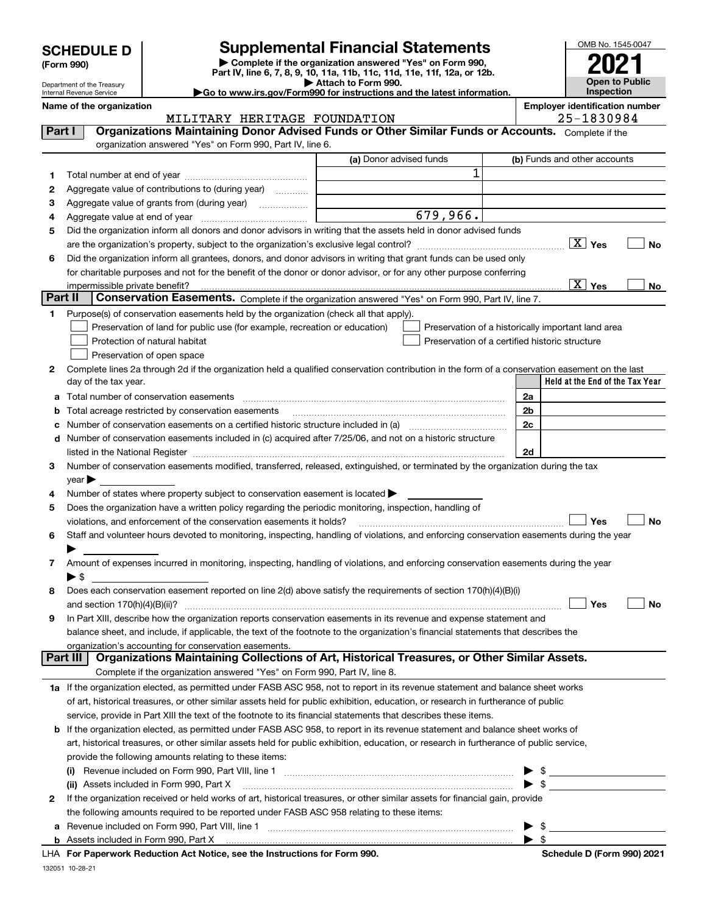| <b>SCHEDULE D</b> |  |
|-------------------|--|
|-------------------|--|

Department of the Treasury Internal Revenue Service

| (Form 990) |  |
|------------|--|
|------------|--|

## **Supplemental Financial Statements**

**| Complete if the organization answered "Yes" on Form 990, Part IV, line 6, 7, 8, 9, 10, 11a, 11b, 11c, 11d, 11e, 11f, 12a, or 12b. | Attach to Form 990.**



**|Go to www.irs.gov/Form990 for instructions and the latest information.**

Name of the organization<br>**MILITARY HERITAGE FOUNDATION Employer identification number**<br>25-1830984

|        | MILITARY HERITAGE FOUNDATION                                                                                                                          |                         | $25 - 183098$                |
|--------|-------------------------------------------------------------------------------------------------------------------------------------------------------|-------------------------|------------------------------|
| Part I | <b>Organizations Maintaining Donor Advised Funds or Other Similar Funds or Accounts.</b><br>organization answered "Yes" on Form 990, Part IV, line 6. |                         | Complete if the              |
|        |                                                                                                                                                       | (a) Donor advised funds | (b) Funds and other accounts |
|        | Total number at end of year                                                                                                                           |                         |                              |
|        | Aggregate value of contributions to (during year)                                                                                                     |                         |                              |
|        | Aggregate value of grants from (during year)                                                                                                          |                         |                              |
|        | A Aggrogato value at and of year                                                                                                                      | 679 966                 |                              |

**2a**

| 4                                                                                                    | 679,966.<br>Aggregate value at end of year                                                                                       |  |  |  |
|------------------------------------------------------------------------------------------------------|----------------------------------------------------------------------------------------------------------------------------------|--|--|--|
| 5                                                                                                    | Did the organization inform all donors and donor advisors in writing that the assets held in donor advised funds                 |  |  |  |
| ∣ X ∣ Yes<br>are the organization's property, subject to the organization's exclusive legal control? |                                                                                                                                  |  |  |  |
| 6                                                                                                    | Did the organization inform all grantees, donors, and donor advisors in writing that grant funds can be used only                |  |  |  |
|                                                                                                      | for charitable purposes and not for the benefit of the donor or donor advisor, or for any other purpose conferring               |  |  |  |
|                                                                                                      | $X \mid Y$ es<br>impermissible private benefit?<br>No.                                                                           |  |  |  |
| Part II                                                                                              | Conservation Easements. Complete if the organization answered "Yes" on Form 990, Part IV, line 7.                                |  |  |  |
|                                                                                                      | Purpose(s) of conservation easements held by the organization (check all that apply).                                            |  |  |  |
|                                                                                                      | Preservation of land for public use (for example, recreation or education)<br>Preservation of a historically important land area |  |  |  |
|                                                                                                      | Preservation of a certified historic structure<br>Protection of natural habitat                                                  |  |  |  |
|                                                                                                      | Preservation of open space                                                                                                       |  |  |  |

| Complete lines 2a through 2d if the organization held a qualified conservation contribution in the form of a conservation easement on the last |                                 |
|------------------------------------------------------------------------------------------------------------------------------------------------|---------------------------------|
| day of the tax year.                                                                                                                           | Held at the End of the Tax Year |
|                                                                                                                                                |                                 |

**a**Total number of conservation easements ~~~~~~~~~~~~~~~~~~~~~~~~~~~~~~~~

| b | Total acreage restricted by conservation easements                                                                                        | 2b |     |    |
|---|-------------------------------------------------------------------------------------------------------------------------------------------|----|-----|----|
|   | c Number of conservation easements on a certified historic structure included in (a)                                                      | 2c |     |    |
|   | d Number of conservation easements included in (c) acquired after 7/25/06, and not on a historic structure                                |    |     |    |
|   |                                                                                                                                           | 2d |     |    |
| З | Number of conservation easements modified, transferred, released, extinguished, or terminated by the organization during the tax          |    |     |    |
|   | vear                                                                                                                                      |    |     |    |
| 4 | Number of states where property subject to conservation easement is located $\blacktriangleright$                                         |    |     |    |
| 5 | Does the organization have a written policy regarding the periodic monitoring, inspection, handling of                                    |    |     |    |
|   | violations, and enforcement of the conservation easements it holds?                                                                       |    | Yes | Nο |
| 6 | Staff and volunteer hours devoted to monitoring, inspecting, handling of violations, and enforcing conservation easements during the year |    |     |    |
|   |                                                                                                                                           |    |     |    |
| 7 | Amount of expenses incurred in monitoring, inspecting, handling of violations, and enforcing conservation easements during the year       |    |     |    |
|   | - \$                                                                                                                                      |    |     |    |
| 8 | Does each conservation easement reported on line 2(d) above satisfy the requirements of section 170(h)(4)(B)(i)                           |    |     |    |
|   | and section $170(h)(4)(B)(ii)?$                                                                                                           |    | Yes | Νo |
| 9 | In Part XIII, describe how the organization reports conservation easements in its revenue and expense statement and                       |    |     |    |
|   | balance sheet, and include, if applicable, the text of the footnote to the organization's financial statements that describes the         |    |     |    |
|   | organization's accounting for conservation easements.                                                                                     |    |     |    |
|   | Organizations Maintaining Collections of Art, Historical Treasures, or Other Similar Assets.<br>Part III                                  |    |     |    |
|   | Complete if the organization answered "Yes" on Form 990, Part IV, line 8.                                                                 |    |     |    |
|   | 1a If the organization elected, as permitted under FASB ASC 958, not to report in its revenue statement and balance sheet works           |    |     |    |
|   | of art, historical treasures, or other similar assets held for public exhibition, education, or research in furtherance of public         |    |     |    |
|   | service, provide in Part XIII the text of the footnote to its financial statements that describes these items.                            |    |     |    |
|   |                                                                                                                                           |    |     |    |

| <b>b</b> If the organization elected, as permitted under FASB ASC 958, to report in its revenue statement and balance sheet works of    |
|-----------------------------------------------------------------------------------------------------------------------------------------|
| art, historical treasures, or other similar assets held for public exhibition, education, or research in furtherance of public service, |
| provide the following amounts relating to these items:                                                                                  |
|                                                                                                                                         |

| Revenue included on Form 990, Part VIII, line 1<br>(i)                                                                         |  |  |
|--------------------------------------------------------------------------------------------------------------------------------|--|--|
| (ii) Assets included in Form 990, Part X                                                                                       |  |  |
| 2 If the organization received or held works of art, historical treasures, or other similar assets for financial gain, provide |  |  |
| the following amounts required to be reported under FASB ASC 958 relating to these items:                                      |  |  |
| a Revenue included on Form 990, Part VIII, line 1                                                                              |  |  |
| <b>b</b> Assets included in Form 990, Part X                                                                                   |  |  |

132051 10-28-21

Г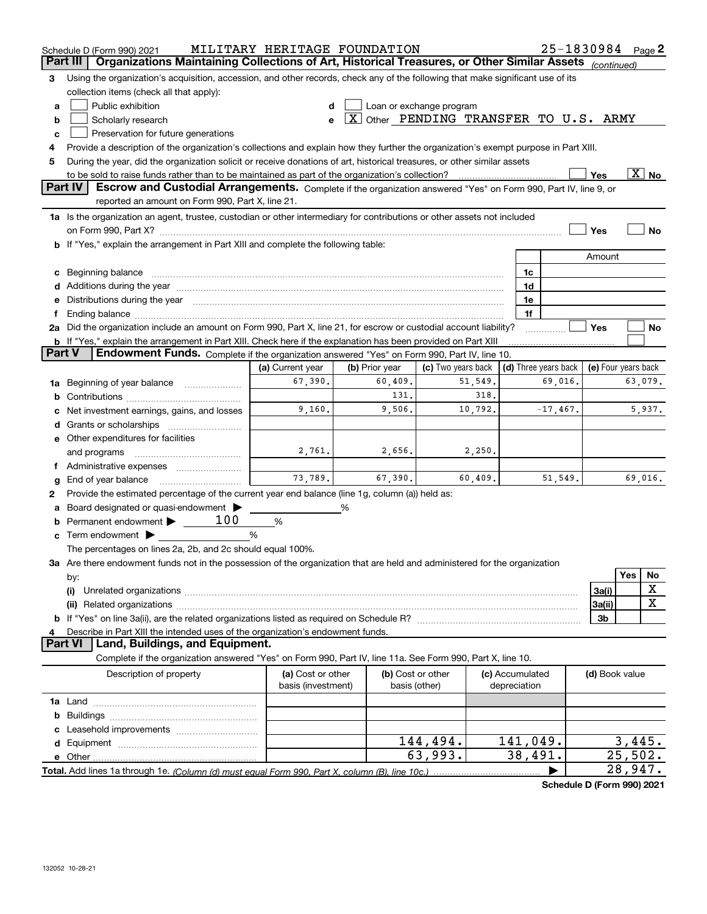|               | Schedule D (Form 990) 2021                                                                                                                                                                                                     | MILITARY HERITAGE FOUNDATION |                                       |                          |        |                 | 25-1830984 Page 2    |                     |         |                          |
|---------------|--------------------------------------------------------------------------------------------------------------------------------------------------------------------------------------------------------------------------------|------------------------------|---------------------------------------|--------------------------|--------|-----------------|----------------------|---------------------|---------|--------------------------|
|               | Organizations Maintaining Collections of Art, Historical Treasures, or Other Similar Assets (continued)<br>Part III                                                                                                            |                              |                                       |                          |        |                 |                      |                     |         |                          |
| з             | Using the organization's acquisition, accession, and other records, check any of the following that make significant use of its                                                                                                |                              |                                       |                          |        |                 |                      |                     |         |                          |
|               | collection items (check all that apply):                                                                                                                                                                                       |                              |                                       |                          |        |                 |                      |                     |         |                          |
| a             | Public exhibition                                                                                                                                                                                                              | d                            |                                       | Loan or exchange program |        |                 |                      |                     |         |                          |
| b             | Scholarly research                                                                                                                                                                                                             | e                            | X Other PENDING TRANSFER TO U.S. ARMY |                          |        |                 |                      |                     |         |                          |
| c             | Preservation for future generations                                                                                                                                                                                            |                              |                                       |                          |        |                 |                      |                     |         |                          |
|               | Provide a description of the organization's collections and explain how they further the organization's exempt purpose in Part XIII.                                                                                           |                              |                                       |                          |        |                 |                      |                     |         |                          |
| 5             | During the year, did the organization solicit or receive donations of art, historical treasures, or other similar assets                                                                                                       |                              |                                       |                          |        |                 |                      |                     |         |                          |
|               | to be sold to raise funds rather than to be maintained as part of the organization's collection?                                                                                                                               |                              |                                       |                          |        |                 |                      | Yes                 |         | $\overline{\text{X}}$ No |
|               | <b>Part IV</b><br>Escrow and Custodial Arrangements. Complete if the organization answered "Yes" on Form 990, Part IV, line 9, or                                                                                              |                              |                                       |                          |        |                 |                      |                     |         |                          |
|               | reported an amount on Form 990, Part X, line 21.                                                                                                                                                                               |                              |                                       |                          |        |                 |                      |                     |         |                          |
|               | 1a Is the organization an agent, trustee, custodian or other intermediary for contributions or other assets not included                                                                                                       |                              |                                       |                          |        |                 |                      |                     |         |                          |
|               |                                                                                                                                                                                                                                |                              |                                       |                          |        |                 |                      | Yes                 |         | No                       |
|               | <b>b</b> If "Yes," explain the arrangement in Part XIII and complete the following table:                                                                                                                                      |                              |                                       |                          |        |                 |                      |                     |         |                          |
|               |                                                                                                                                                                                                                                |                              |                                       |                          |        |                 |                      | Amount              |         |                          |
|               | c Beginning balance measurements and the contract of the contract of the contract of the contract of the contract of the contract of the contract of the contract of the contract of the contract of the contract of the contr |                              |                                       |                          |        | 1c              |                      |                     |         |                          |
|               |                                                                                                                                                                                                                                |                              |                                       |                          |        | 1d              |                      |                     |         |                          |
|               | e Distributions during the year manufactured and contain an account of the year manufactured and the year manufactured and the year manufactured and the year manufactured and the year manufactured and the year manufactured |                              |                                       |                          |        | 1e              |                      |                     |         |                          |
|               |                                                                                                                                                                                                                                |                              |                                       |                          |        | 1f              |                      |                     |         |                          |
|               | 2a Did the organization include an amount on Form 990, Part X, line 21, for escrow or custodial account liability?                                                                                                             |                              |                                       |                          |        |                 |                      | Yes                 |         | No                       |
|               | <b>b</b> If "Yes," explain the arrangement in Part XIII. Check here if the explanation has been provided on Part XIII                                                                                                          |                              |                                       |                          |        |                 |                      |                     |         |                          |
| <b>Part V</b> | Endowment Funds. Complete if the organization answered "Yes" on Form 990, Part IV, line 10.                                                                                                                                    |                              |                                       |                          |        |                 |                      |                     |         |                          |
|               |                                                                                                                                                                                                                                | (a) Current year             | (b) Prior year                        | (c) Two years back       |        |                 | (d) Three years back | (e) Four years back |         |                          |
| 1a            | Beginning of year balance                                                                                                                                                                                                      | 67,390.                      | 60,409.                               | 51,549.                  |        |                 | 69,016.              |                     |         | 63,079.                  |
|               |                                                                                                                                                                                                                                |                              | 131.                                  |                          | 318.   |                 |                      |                     |         |                          |
|               | Net investment earnings, gains, and losses                                                                                                                                                                                     | 9,160.                       | 9.506.                                | 10,792.                  |        |                 | $-17,467.$           |                     |         | 5,937.                   |
|               |                                                                                                                                                                                                                                |                              |                                       |                          |        |                 |                      |                     |         |                          |
|               | e Other expenditures for facilities                                                                                                                                                                                            |                              |                                       |                          |        |                 |                      |                     |         |                          |
|               | and programs                                                                                                                                                                                                                   | 2,761.                       | 2,656.                                |                          | 2,250. |                 |                      |                     |         |                          |
|               | f Administrative expenses                                                                                                                                                                                                      | 73,789.                      |                                       |                          |        |                 |                      |                     |         |                          |
| g             | End of year balance                                                                                                                                                                                                            |                              | 67,390.                               | 60,409.                  |        |                 | 51,549.              |                     |         | 69,016.                  |
| 2             | Provide the estimated percentage of the current year end balance (line 1g, column (a)) held as:                                                                                                                                |                              |                                       |                          |        |                 |                      |                     |         |                          |
|               | Board designated or quasi-endowment                                                                                                                                                                                            |                              | %                                     |                          |        |                 |                      |                     |         |                          |
|               | 100<br><b>b</b> Permanent endowment $\blacktriangleright$                                                                                                                                                                      | %                            |                                       |                          |        |                 |                      |                     |         |                          |
|               | <b>c</b> Term endowment $\blacktriangleright$                                                                                                                                                                                  | %                            |                                       |                          |        |                 |                      |                     |         |                          |
|               | The percentages on lines 2a, 2b, and 2c should equal 100%.                                                                                                                                                                     |                              |                                       |                          |        |                 |                      |                     |         |                          |
|               | 3a Are there endowment funds not in the possession of the organization that are held and administered for the organization                                                                                                     |                              |                                       |                          |        |                 |                      |                     | Yes     | No                       |
|               | by:                                                                                                                                                                                                                            |                              |                                       |                          |        |                 |                      |                     |         | X                        |
|               | (i)                                                                                                                                                                                                                            |                              |                                       |                          |        |                 |                      | 3a(i)               |         | X                        |
|               |                                                                                                                                                                                                                                |                              |                                       |                          |        |                 |                      | 3a(ii)              |         |                          |
|               |                                                                                                                                                                                                                                |                              |                                       |                          |        |                 |                      | 3b                  |         |                          |
|               | Describe in Part XIII the intended uses of the organization's endowment funds.<br><b>Part VI</b><br>Land, Buildings, and Equipment.                                                                                            |                              |                                       |                          |        |                 |                      |                     |         |                          |
|               | Complete if the organization answered "Yes" on Form 990, Part IV, line 11a. See Form 990, Part X, line 10.                                                                                                                     |                              |                                       |                          |        |                 |                      |                     |         |                          |
|               | Description of property                                                                                                                                                                                                        | (a) Cost or other            | (b) Cost or other                     |                          |        | (c) Accumulated |                      | (d) Book value      |         |                          |
|               |                                                                                                                                                                                                                                | basis (investment)           | basis (other)                         |                          |        | depreciation    |                      |                     |         |                          |
|               |                                                                                                                                                                                                                                |                              |                                       |                          |        |                 |                      |                     |         |                          |
|               |                                                                                                                                                                                                                                |                              |                                       |                          |        |                 |                      |                     |         |                          |
|               |                                                                                                                                                                                                                                |                              |                                       |                          |        |                 |                      |                     |         |                          |
|               |                                                                                                                                                                                                                                |                              |                                       | 144, 494.                |        | 141,049.        |                      |                     | 3,445.  |                          |
|               |                                                                                                                                                                                                                                |                              |                                       | 63,993.                  |        | 38,491.         |                      |                     | 25,502. |                          |
|               |                                                                                                                                                                                                                                |                              |                                       |                          |        |                 |                      |                     | 28,947. |                          |

**Schedule D (Form 990) 2021**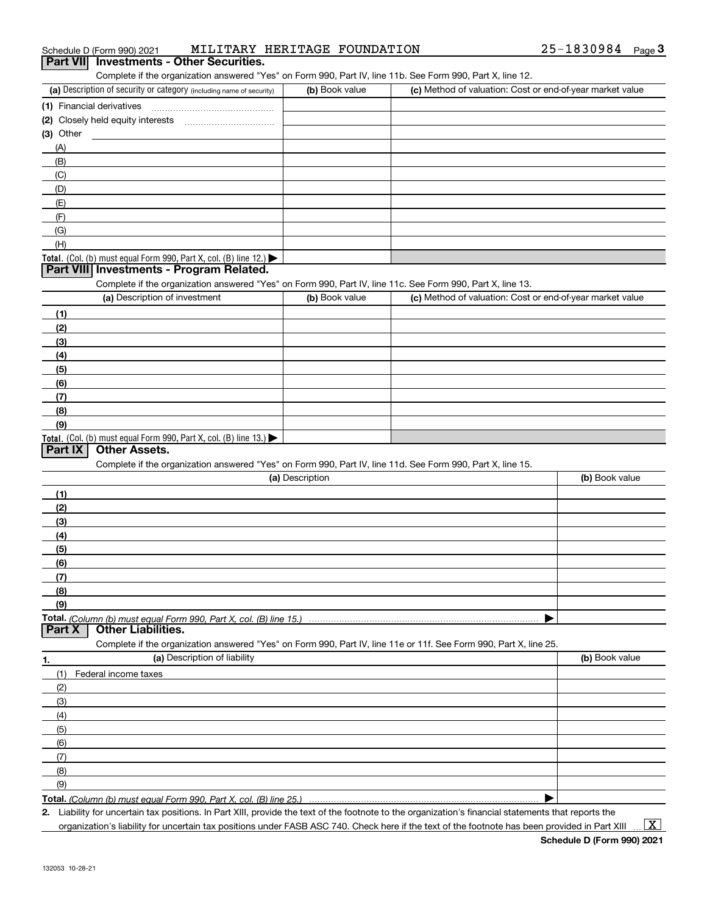| Complete if the organization answered "Yes" on Form 990, Part IV, line 11b. See Form 990, Part X, line 12.        |                 |                                                           |                |
|-------------------------------------------------------------------------------------------------------------------|-----------------|-----------------------------------------------------------|----------------|
| (a) Description of security or category (including name of security)                                              | (b) Book value  | (c) Method of valuation: Cost or end-of-year market value |                |
| (1) Financial derivatives                                                                                         |                 |                                                           |                |
| (2) Closely held equity interests                                                                                 |                 |                                                           |                |
| (3) Other                                                                                                         |                 |                                                           |                |
| (A)                                                                                                               |                 |                                                           |                |
| (B)                                                                                                               |                 |                                                           |                |
| (C)                                                                                                               |                 |                                                           |                |
| (D)                                                                                                               |                 |                                                           |                |
| (E)                                                                                                               |                 |                                                           |                |
| (F)                                                                                                               |                 |                                                           |                |
| (G)                                                                                                               |                 |                                                           |                |
| (H)                                                                                                               |                 |                                                           |                |
| Total. (Col. (b) must equal Form 990, Part X, col. (B) line 12.)                                                  |                 |                                                           |                |
| Part VIII Investments - Program Related.                                                                          |                 |                                                           |                |
| Complete if the organization answered "Yes" on Form 990, Part IV, line 11c. See Form 990, Part X, line 13.        |                 |                                                           |                |
| (a) Description of investment                                                                                     | (b) Book value  | (c) Method of valuation: Cost or end-of-year market value |                |
| (1)                                                                                                               |                 |                                                           |                |
| (2)                                                                                                               |                 |                                                           |                |
| (3)                                                                                                               |                 |                                                           |                |
| (4)                                                                                                               |                 |                                                           |                |
| (5)                                                                                                               |                 |                                                           |                |
| (6)                                                                                                               |                 |                                                           |                |
| (7)                                                                                                               |                 |                                                           |                |
| (8)                                                                                                               |                 |                                                           |                |
| (9)                                                                                                               |                 |                                                           |                |
| Total. (Col. (b) must equal Form 990, Part X, col. (B) line 13.)                                                  |                 |                                                           |                |
| <b>Other Assets.</b><br>Part IX                                                                                   |                 |                                                           |                |
| Complete if the organization answered "Yes" on Form 990, Part IV, line 11d. See Form 990, Part X, line 15.        |                 |                                                           |                |
|                                                                                                                   | (a) Description |                                                           | (b) Book value |
| (1)                                                                                                               |                 |                                                           |                |
| (2)                                                                                                               |                 |                                                           |                |
| (3)                                                                                                               |                 |                                                           |                |
| (4)                                                                                                               |                 |                                                           |                |
| (5)                                                                                                               |                 |                                                           |                |
| (6)                                                                                                               |                 |                                                           |                |
| (7)                                                                                                               |                 |                                                           |                |
| (8)                                                                                                               |                 |                                                           |                |
|                                                                                                                   |                 |                                                           |                |
| (9)                                                                                                               |                 |                                                           |                |
| <b>Other Liabilities.</b><br>Part X                                                                               |                 |                                                           |                |
| Complete if the organization answered "Yes" on Form 990, Part IV, line 11e or 11f. See Form 990, Part X, line 25. |                 |                                                           |                |
| (a) Description of liability                                                                                      |                 |                                                           | (b) Book value |
| 1.                                                                                                                |                 |                                                           |                |
| (1)<br>Federal income taxes                                                                                       |                 |                                                           |                |
| (2)                                                                                                               |                 |                                                           |                |
| (3)                                                                                                               |                 |                                                           |                |
| (4)                                                                                                               |                 |                                                           |                |
| (5)                                                                                                               |                 |                                                           |                |
| (6)                                                                                                               |                 |                                                           |                |
| (7)                                                                                                               |                 |                                                           |                |
| (8)                                                                                                               |                 |                                                           |                |
| (9)                                                                                                               |                 |                                                           |                |
|                                                                                                                   |                 |                                                           |                |

**2.** Liability for uncertain tax positions. In Part XIII, provide the text of the footnote to the organization's financial statements that reports the organization's liability for uncertain tax positions under FASB ASC 740. Check here if the text of the footnote has been provided in Part XIII

 $\vert$  X  $\vert$ 

## Schedule D (Form 990) 2021 **MILITARY HERITAGE FOUNDATION 25-1830984** Page Schedule D (Form 990) 2021 MILITARY HERITAGE FOUNDATION 25-1830984 Page 3<br>**Part VII Investments - Other Securities.**<br>Consist it is a provincial proposal in the securities of the Security in Att, Ou Free 200 Part V line 1

| complete in the organization anomology root of it child ooo; it are represented from ooo; it are represented |                |                                                           |
|--------------------------------------------------------------------------------------------------------------|----------------|-----------------------------------------------------------|
| (a) Description of security or category (including name of security)                                         | (b) Book value | (c) Method of valuation: Cost or end-of-year market value |
| (1) Financial derivatives                                                                                    |                |                                                           |
| (2) Closely held equity interests                                                                            |                |                                                           |
| $(3)$ Other                                                                                                  |                |                                                           |
| (A)                                                                                                          |                |                                                           |
| (B)                                                                                                          |                |                                                           |
| (C)                                                                                                          |                |                                                           |
| (D)                                                                                                          |                |                                                           |
| (E)                                                                                                          |                |                                                           |
|                                                                                                              |                |                                                           |
|                                                                                                              |                |                                                           |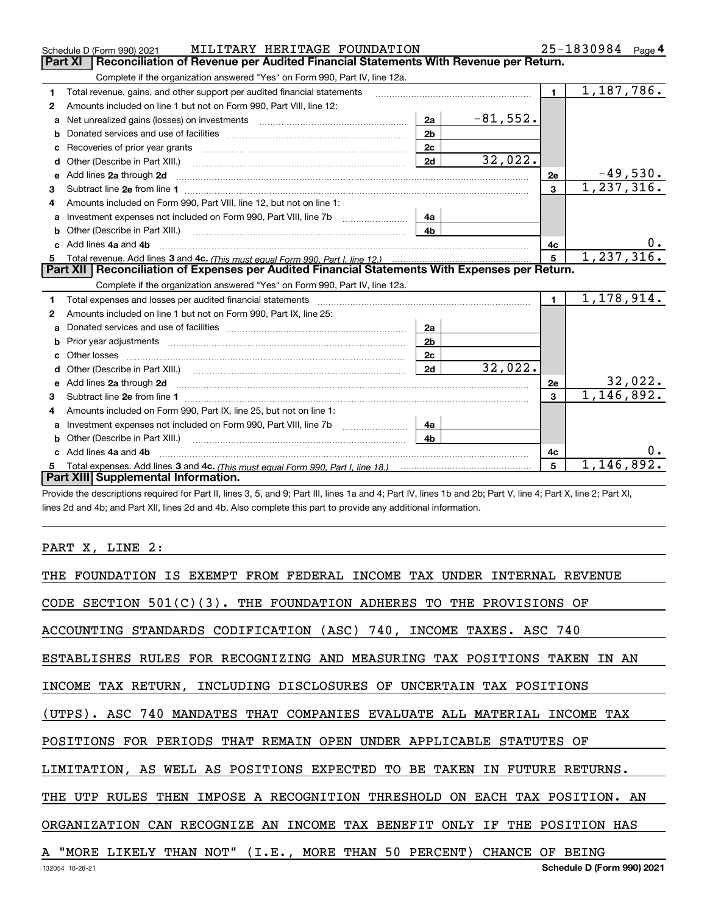|    | MILITARY HERITAGE FOUNDATION<br>Schedule D (Form 990) 2021                                                     |                |            |                | $25 - 1830984$ Page 4    |
|----|----------------------------------------------------------------------------------------------------------------|----------------|------------|----------------|--------------------------|
|    | Reconciliation of Revenue per Audited Financial Statements With Revenue per Return.<br>Part XI                 |                |            |                |                          |
|    | Complete if the organization answered "Yes" on Form 990, Part IV, line 12a.                                    |                |            |                |                          |
| 1  | Total revenue, gains, and other support per audited financial statements                                       |                |            | $\blacksquare$ | $\overline{1,187,786}$ . |
| 2  | Amounts included on line 1 but not on Form 990, Part VIII, line 12:                                            |                |            |                |                          |
| a  |                                                                                                                | 2a             | $-81,552.$ |                |                          |
|    |                                                                                                                | 2 <sub>b</sub> |            |                |                          |
| c  | Recoveries of prior year grants [111] Recoveries of prior year grants [11] Masseum Marchantel Marchantel March | 2c             |            |                |                          |
| d  | Other (Describe in Part XIII.) <b>Construction Contract Construction</b> [100]                                 | 2d             | 32,022.    |                |                          |
| е  | Add lines 2a through 2d                                                                                        |                |            | 2е             | $-49,530.$               |
| 3  |                                                                                                                |                |            | $\overline{3}$ | 1, 237, 316.             |
| 4  | Amounts included on Form 990, Part VIII, line 12, but not on line 1:                                           |                |            |                |                          |
|    |                                                                                                                | 4a             |            |                |                          |
| b  |                                                                                                                | 4 <sub>b</sub> |            |                |                          |
|    | Add lines 4a and 4b                                                                                            |                |            | 4с             | 0.                       |
|    |                                                                                                                |                |            | 5              | 1, 237, 316.             |
| 5. |                                                                                                                |                |            |                |                          |
|    | Part XII   Reconciliation of Expenses per Audited Financial Statements With Expenses per Return.               |                |            |                |                          |
|    | Complete if the organization answered "Yes" on Form 990, Part IV, line 12a.                                    |                |            |                |                          |
| 1. |                                                                                                                |                |            | $\mathbf{1}$   | 1,178,914.               |
| 2  | Amounts included on line 1 but not on Form 990, Part IX, line 25:                                              |                |            |                |                          |
| a  |                                                                                                                | 2а             |            |                |                          |
|    |                                                                                                                | 2 <sub>b</sub> |            |                |                          |
| c. |                                                                                                                | 2 <sub>c</sub> |            |                |                          |
|    |                                                                                                                | 2d             | 32,022.    |                |                          |
|    |                                                                                                                |                |            | 2e             | 32,022.                  |
| 3  |                                                                                                                |                |            | 3              | 1,146,892.               |
| 4  | Amounts included on Form 990, Part IX, line 25, but not on line 1:                                             |                |            |                |                          |
| a  | Investment expenses not included on Form 990, Part VIII, line 7b [1000000000000000000000000000000000           | 4a             |            |                |                          |
|    |                                                                                                                | 4b             |            |                |                          |
|    | Add lines 4a and 4b                                                                                            |                |            | 4с             | 0.                       |
|    | Part XIII Supplemental Information.                                                                            |                |            | 5              | 1,146,892.               |

Provide the descriptions required for Part II, lines 3, 5, and 9; Part III, lines 1a and 4; Part IV, lines 1b and 2b; Part V, line 4; Part X, line 2; Part XI, lines 2d and 4b; and Part XII, lines 2d and 4b. Also complete this part to provide any additional information.

#### PART X, LINE 2:

| THE FOUNDATION IS EXEMPT FROM FEDERAL INCOME TAX UNDER INTERNAL REVENUE    |
|----------------------------------------------------------------------------|
| CODE SECTION $501(C)(3)$ . THE FOUNDATION ADHERES TO THE PROVISIONS OF     |
| ACCOUNTING STANDARDS CODIFICATION (ASC) 740, INCOME TAXES. ASC 740         |
| ESTABLISHES RULES FOR RECOGNIZING AND MEASURING TAX POSITIONS TAKEN IN AN  |
| INCOME TAX RETURN, INCLUDING DISCLOSURES OF UNCERTAIN TAX POSITIONS        |
| (UTPS). ASC 740 MANDATES THAT COMPANIES EVALUATE ALL MATERIAL INCOME TAX   |
| POSITIONS FOR PERIODS THAT REMAIN OPEN UNDER APPLICABLE STATUTES OF        |
| LIMITATION, AS WELL AS POSITIONS EXPECTED TO BE TAKEN IN FUTURE RETURNS.   |
| THE UTP RULES THEN IMPOSE A RECOGNITION THRESHOLD ON EACH TAX POSITION. AN |
| ORGANIZATION CAN RECOGNIZE AN INCOME TAX BENEFIT ONLY IF THE POSITION HAS  |
| A "MORE LIKELY THAN NOT" (I.E., MORE THAN 50 PERCENT) CHANCE OF<br>BEING   |
| Schedule D (Form 990) 2021<br>132054 10-28-21                              |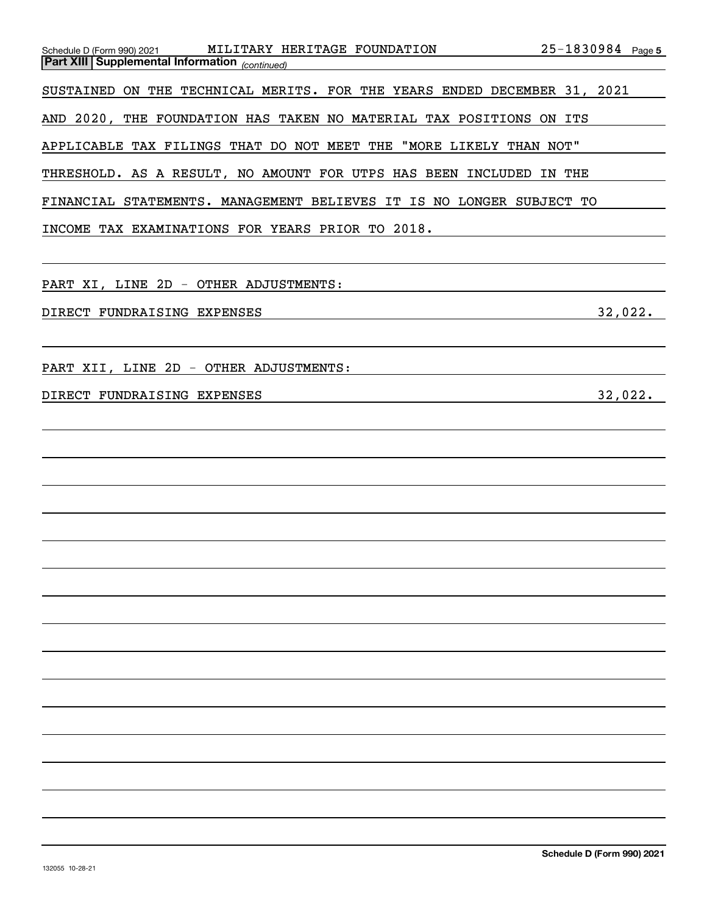| Schedule D (Form 990) 2021 MILITARY HERITAGE FOUNDATION 25-1830984 Page 5<br><b>Part XIII Supplemental Information</b> (continued)                                       |         |
|--------------------------------------------------------------------------------------------------------------------------------------------------------------------------|---------|
|                                                                                                                                                                          |         |
| SUSTAINED ON THE TECHNICAL MERITS. FOR THE YEARS ENDED DECEMBER 31, 2021                                                                                                 |         |
| AND 2020, THE FOUNDATION HAS TAKEN NO MATERIAL TAX POSITIONS ON ITS                                                                                                      |         |
| APPLICABLE TAX FILINGS THAT DO NOT MEET THE "MORE LIKELY THAN NOT"                                                                                                       |         |
| THRESHOLD. AS A RESULT, NO AMOUNT FOR UTPS HAS BEEN INCLUDED IN THE                                                                                                      |         |
| FINANCIAL STATEMENTS. MANAGEMENT BELIEVES IT IS NO LONGER SUBJECT TO                                                                                                     |         |
| INCOME TAX EXAMINATIONS FOR YEARS PRIOR TO 2018.<br><u> 1989 - Johann Stein, mars and de Brandenburg and de Brandenburg and de Brandenburg and de Brandenburg and de</u> |         |
|                                                                                                                                                                          |         |
| PART XI, LINE 2D - OTHER ADJUSTMENTS:                                                                                                                                    |         |
| DIRECT FUNDRAISING EXPENSES<br><u> 1989 - Johann Barn, mars ann an t-Amhain Aonaich an t-Aonaich an t-Aonaich ann an t-Aonaich ann an t-Aonaich</u>                      | 32,022. |
|                                                                                                                                                                          |         |
| PART XII, LINE 2D - OTHER ADJUSTMENTS:                                                                                                                                   |         |
| DIRECT FUNDRAISING EXPENSES<br><u> 1980 - Johann Barn, fransk politik (d. 1980)</u>                                                                                      | 32,022. |
|                                                                                                                                                                          |         |
|                                                                                                                                                                          |         |
|                                                                                                                                                                          |         |
|                                                                                                                                                                          |         |
|                                                                                                                                                                          |         |
|                                                                                                                                                                          |         |
|                                                                                                                                                                          |         |
|                                                                                                                                                                          |         |
|                                                                                                                                                                          |         |
|                                                                                                                                                                          |         |
|                                                                                                                                                                          |         |
|                                                                                                                                                                          |         |
|                                                                                                                                                                          |         |
|                                                                                                                                                                          |         |
|                                                                                                                                                                          |         |
|                                                                                                                                                                          |         |
|                                                                                                                                                                          |         |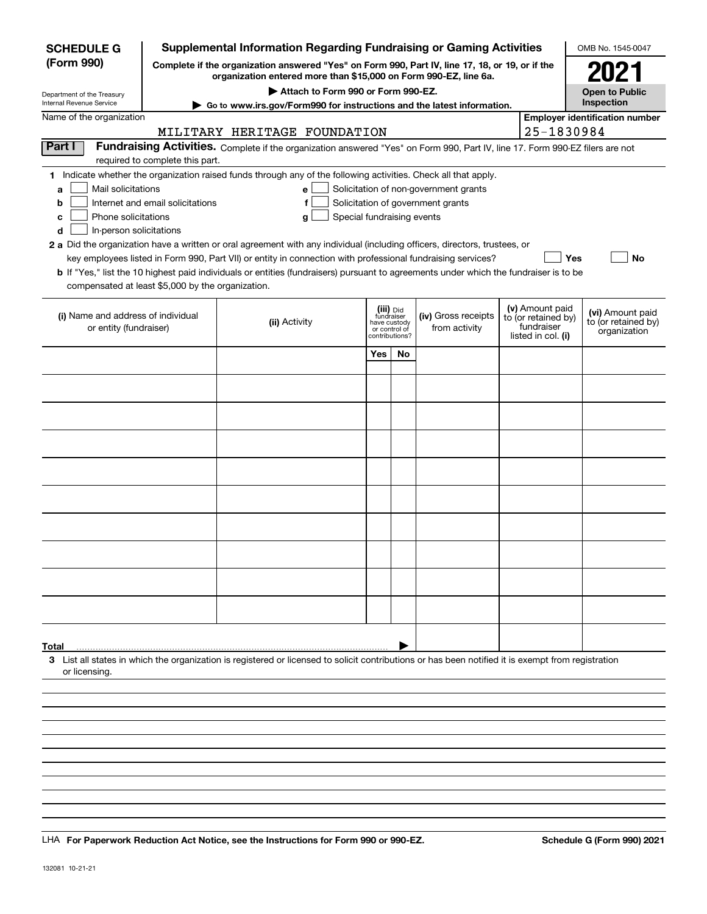| <b>SCHEDULE G</b>                                      |                                                                                                                                                                     | Supplemental Information Regarding Fundraising or Gaming Activities                                                                                                                                                                                         |     |                                 |                                       |  |                                   | OMB No. 1545-0047                       |    |  |
|--------------------------------------------------------|---------------------------------------------------------------------------------------------------------------------------------------------------------------------|-------------------------------------------------------------------------------------------------------------------------------------------------------------------------------------------------------------------------------------------------------------|-----|---------------------------------|---------------------------------------|--|-----------------------------------|-----------------------------------------|----|--|
| (Form 990)                                             | Complete if the organization answered "Yes" on Form 990, Part IV, line 17, 18, or 19, or if the<br>organization entered more than \$15,000 on Form 990-EZ, line 6a. | 2021                                                                                                                                                                                                                                                        |     |                                 |                                       |  |                                   |                                         |    |  |
| Department of the Treasury<br>Internal Revenue Service |                                                                                                                                                                     | Attach to Form 990 or Form 990-EZ.                                                                                                                                                                                                                          |     |                                 |                                       |  |                                   | <b>Open to Public</b><br>Inspection     |    |  |
| Name of the organization                               | Go to www.irs.gov/Form990 for instructions and the latest information.<br><b>Employer identification number</b>                                                     |                                                                                                                                                                                                                                                             |     |                                 |                                       |  |                                   |                                         |    |  |
|                                                        | 25-1830984<br>MILITARY HERITAGE FOUNDATION                                                                                                                          |                                                                                                                                                                                                                                                             |     |                                 |                                       |  |                                   |                                         |    |  |
| Part I                                                 |                                                                                                                                                                     | Fundraising Activities. Complete if the organization answered "Yes" on Form 990, Part IV, line 17. Form 990-EZ filers are not                                                                                                                               |     |                                 |                                       |  |                                   |                                         |    |  |
|                                                        | required to complete this part.                                                                                                                                     |                                                                                                                                                                                                                                                             |     |                                 |                                       |  |                                   |                                         |    |  |
| Mail solicitations                                     |                                                                                                                                                                     | 1 Indicate whether the organization raised funds through any of the following activities. Check all that apply.                                                                                                                                             |     |                                 | Solicitation of non-government grants |  |                                   |                                         |    |  |
| a<br>b                                                 | Internet and email solicitations                                                                                                                                    | е<br>f                                                                                                                                                                                                                                                      |     |                                 | Solicitation of government grants     |  |                                   |                                         |    |  |
| Phone solicitations<br>с                               |                                                                                                                                                                     | Special fundraising events<br>g                                                                                                                                                                                                                             |     |                                 |                                       |  |                                   |                                         |    |  |
| In-person solicitations<br>d                           |                                                                                                                                                                     |                                                                                                                                                                                                                                                             |     |                                 |                                       |  |                                   |                                         |    |  |
|                                                        |                                                                                                                                                                     | 2 a Did the organization have a written or oral agreement with any individual (including officers, directors, trustees, or                                                                                                                                  |     |                                 |                                       |  |                                   |                                         |    |  |
|                                                        |                                                                                                                                                                     | key employees listed in Form 990, Part VII) or entity in connection with professional fundraising services?<br><b>b</b> If "Yes," list the 10 highest paid individuals or entities (fundraisers) pursuant to agreements under which the fundraiser is to be |     |                                 |                                       |  |                                   | Yes                                     | No |  |
| compensated at least \$5,000 by the organization.      |                                                                                                                                                                     |                                                                                                                                                                                                                                                             |     |                                 |                                       |  |                                   |                                         |    |  |
|                                                        |                                                                                                                                                                     |                                                                                                                                                                                                                                                             |     | (iii) Did                       |                                       |  | (v) Amount paid                   |                                         |    |  |
| (i) Name and address of individual                     |                                                                                                                                                                     | (ii) Activity                                                                                                                                                                                                                                               |     | fundraiser<br>have custody      | (iv) Gross receipts                   |  | to (or retained by)<br>fundraiser | (vi) Amount paid<br>to (or retained by) |    |  |
| or entity (fundraiser)                                 |                                                                                                                                                                     |                                                                                                                                                                                                                                                             |     | or control of<br>contributions? | from activity                         |  | listed in col. (i)                | organization                            |    |  |
|                                                        |                                                                                                                                                                     |                                                                                                                                                                                                                                                             | Yes | No                              |                                       |  |                                   |                                         |    |  |
|                                                        |                                                                                                                                                                     |                                                                                                                                                                                                                                                             |     |                                 |                                       |  |                                   |                                         |    |  |
|                                                        |                                                                                                                                                                     |                                                                                                                                                                                                                                                             |     |                                 |                                       |  |                                   |                                         |    |  |
|                                                        |                                                                                                                                                                     |                                                                                                                                                                                                                                                             |     |                                 |                                       |  |                                   |                                         |    |  |
|                                                        |                                                                                                                                                                     |                                                                                                                                                                                                                                                             |     |                                 |                                       |  |                                   |                                         |    |  |
|                                                        |                                                                                                                                                                     |                                                                                                                                                                                                                                                             |     |                                 |                                       |  |                                   |                                         |    |  |
|                                                        |                                                                                                                                                                     |                                                                                                                                                                                                                                                             |     |                                 |                                       |  |                                   |                                         |    |  |
|                                                        |                                                                                                                                                                     |                                                                                                                                                                                                                                                             |     |                                 |                                       |  |                                   |                                         |    |  |
|                                                        |                                                                                                                                                                     |                                                                                                                                                                                                                                                             |     |                                 |                                       |  |                                   |                                         |    |  |
|                                                        |                                                                                                                                                                     |                                                                                                                                                                                                                                                             |     |                                 |                                       |  |                                   |                                         |    |  |
|                                                        |                                                                                                                                                                     |                                                                                                                                                                                                                                                             |     |                                 |                                       |  |                                   |                                         |    |  |
|                                                        |                                                                                                                                                                     |                                                                                                                                                                                                                                                             |     |                                 |                                       |  |                                   |                                         |    |  |
|                                                        |                                                                                                                                                                     |                                                                                                                                                                                                                                                             |     |                                 |                                       |  |                                   |                                         |    |  |
|                                                        |                                                                                                                                                                     |                                                                                                                                                                                                                                                             |     |                                 |                                       |  |                                   |                                         |    |  |
|                                                        |                                                                                                                                                                     |                                                                                                                                                                                                                                                             |     |                                 |                                       |  |                                   |                                         |    |  |
|                                                        |                                                                                                                                                                     |                                                                                                                                                                                                                                                             |     |                                 |                                       |  |                                   |                                         |    |  |
|                                                        |                                                                                                                                                                     |                                                                                                                                                                                                                                                             |     |                                 |                                       |  |                                   |                                         |    |  |
| Total                                                  |                                                                                                                                                                     |                                                                                                                                                                                                                                                             |     |                                 |                                       |  |                                   |                                         |    |  |
| or licensing.                                          |                                                                                                                                                                     | 3 List all states in which the organization is registered or licensed to solicit contributions or has been notified it is exempt from registration                                                                                                          |     |                                 |                                       |  |                                   |                                         |    |  |
|                                                        |                                                                                                                                                                     |                                                                                                                                                                                                                                                             |     |                                 |                                       |  |                                   |                                         |    |  |
|                                                        |                                                                                                                                                                     |                                                                                                                                                                                                                                                             |     |                                 |                                       |  |                                   |                                         |    |  |
|                                                        |                                                                                                                                                                     |                                                                                                                                                                                                                                                             |     |                                 |                                       |  |                                   |                                         |    |  |
|                                                        |                                                                                                                                                                     |                                                                                                                                                                                                                                                             |     |                                 |                                       |  |                                   |                                         |    |  |
|                                                        |                                                                                                                                                                     |                                                                                                                                                                                                                                                             |     |                                 |                                       |  |                                   |                                         |    |  |

LHA For Paperwork Reduction Act Notice, see the Instructions for Form 990 or 990-EZ. Schedule G (Form 990) 2021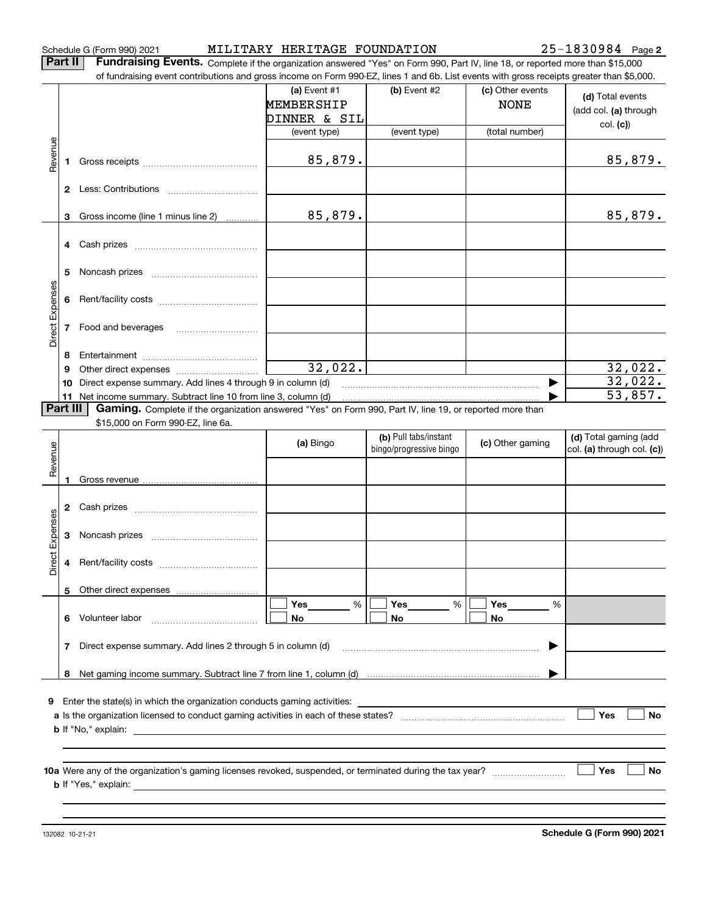Schedule G (Form 990) 2021 MILITARY HERITAGE FOUNDATION 25-1830984 Page

**Part II** | Fundraising Events. Complete if the organization answered "Yes" on Form 990, Part IV, line 18, or reported more than \$15,000

|                 |        |                                                                                                                                               |                            |                         |                  | Yes<br>No                  |
|-----------------|--------|-----------------------------------------------------------------------------------------------------------------------------------------------|----------------------------|-------------------------|------------------|----------------------------|
|                 |        | <b>9</b> Enter the state(s) in which the organization conducts gaming activities:                                                             |                            |                         |                  | Yes<br>No                  |
|                 | 7      | Direct expense summary. Add lines 2 through 5 in column (d)                                                                                   |                            |                         |                  |                            |
|                 |        | 6 Volunteer labor                                                                                                                             | No                         | No                      | No               |                            |
|                 |        | 5 Other direct expenses                                                                                                                       | $\%$<br>Yes                | %<br>Yes                | Yes<br>%         |                            |
| Direct          |        |                                                                                                                                               |                            |                         |                  |                            |
| Expenses        |        |                                                                                                                                               |                            |                         |                  |                            |
|                 |        |                                                                                                                                               |                            |                         |                  |                            |
| Revenue         | 1      |                                                                                                                                               |                            | bingo/progressive bingo |                  | col. (a) through col. (c)) |
|                 |        |                                                                                                                                               | (a) Bingo                  | (b) Pull tabs/instant   | (c) Other gaming | (d) Total gaming (add      |
| Part III        |        | Gaming. Complete if the organization answered "Yes" on Form 990, Part IV, line 19, or reported more than<br>\$15,000 on Form 990-EZ, line 6a. |                            |                         |                  |                            |
|                 |        | 11 Net income summary. Subtract line 10 from line 3, column (d)                                                                               |                            |                         |                  | 53,857.                    |
|                 | 10     | Direct expense summary. Add lines 4 through 9 in column (d)                                                                                   |                            |                         |                  | $\frac{32,022}{32,022}$    |
|                 | 8<br>9 |                                                                                                                                               | 32,022.                    |                         |                  |                            |
| Direct Expenses |        | 7 Food and beverages                                                                                                                          |                            |                         |                  |                            |
|                 |        |                                                                                                                                               |                            |                         |                  |                            |
|                 | 5      |                                                                                                                                               |                            |                         |                  |                            |
|                 | 3      | Gross income (line 1 minus line 2)                                                                                                            | 85,879.                    |                         |                  | 85,879.                    |
|                 |        |                                                                                                                                               |                            |                         |                  |                            |
| Revenue         |        |                                                                                                                                               | 85,879.                    |                         |                  | 85,879.                    |
|                 |        |                                                                                                                                               | (event type)               | (event type)            | (total number)   | col. (c)                   |
|                 |        |                                                                                                                                               | MEMBERSHIP<br>DINNER & SIL |                         | <b>NONE</b>      | (add col. (a) through      |
|                 |        | of fundraising event contributions and gross income on Form 990-EZ, lines 1 and 6b. List events with gross receipts greater than \$5,000.     | (a) Event #1               | (b) Event #2            | (c) Other events | (d) Total events           |

132082 10-21-21

**Schedule G (Form 990) 2021**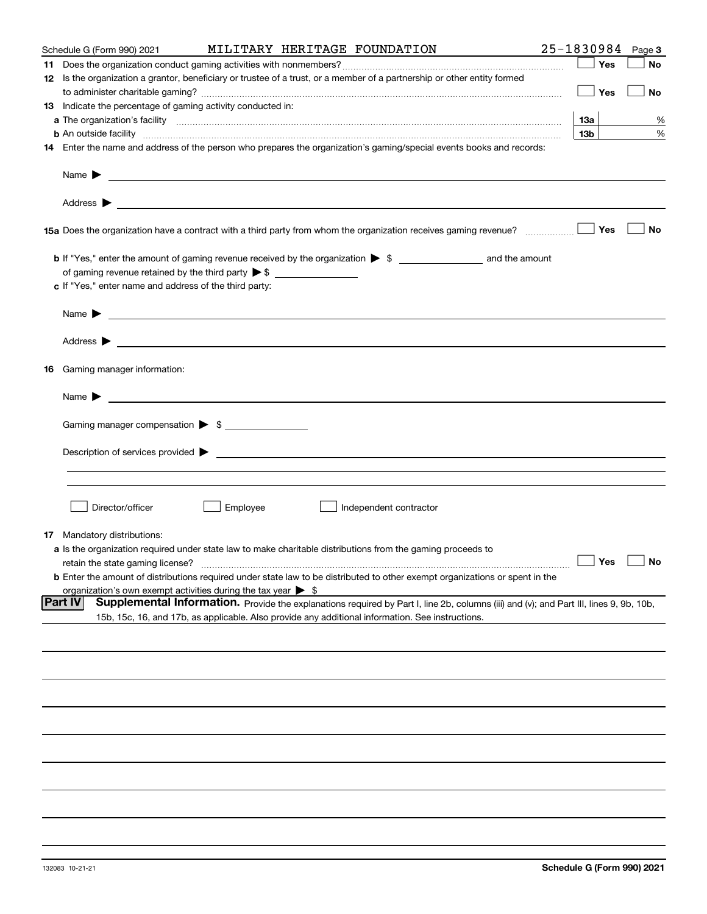|     | Schedule G (Form 990) 2021                                                                                                                                                                                                                                                            |          |  | MILITARY HERITAGE FOUNDATION |  |                 | 25-1830984 Page 3    |
|-----|---------------------------------------------------------------------------------------------------------------------------------------------------------------------------------------------------------------------------------------------------------------------------------------|----------|--|------------------------------|--|-----------------|----------------------|
| 11. |                                                                                                                                                                                                                                                                                       |          |  |                              |  | Yes             | No                   |
|     | 12 Is the organization a grantor, beneficiary or trustee of a trust, or a member of a partnership or other entity formed                                                                                                                                                              |          |  |                              |  | $\Box$ Yes      | No                   |
|     | 13 Indicate the percentage of gaming activity conducted in:                                                                                                                                                                                                                           |          |  |                              |  |                 |                      |
|     |                                                                                                                                                                                                                                                                                       |          |  |                              |  | 13a             |                      |
|     |                                                                                                                                                                                                                                                                                       |          |  |                              |  | 13 <sub>b</sub> | %<br>%               |
|     | <b>b</b> An outside facility <i>www.communicality www.communicality.communicality www.communicality www.communicality.communicality www.communicality.com</i><br>14 Enter the name and address of the person who prepares the organization's gaming/special events books and records: |          |  |                              |  |                 |                      |
|     | Name $\triangleright$ $\square$                                                                                                                                                                                                                                                       |          |  |                              |  |                 |                      |
|     |                                                                                                                                                                                                                                                                                       |          |  |                              |  |                 |                      |
|     |                                                                                                                                                                                                                                                                                       |          |  |                              |  | Yes             | No                   |
|     |                                                                                                                                                                                                                                                                                       |          |  |                              |  |                 |                      |
|     |                                                                                                                                                                                                                                                                                       |          |  |                              |  |                 |                      |
|     |                                                                                                                                                                                                                                                                                       |          |  |                              |  |                 |                      |
|     | c If "Yes," enter name and address of the third party:                                                                                                                                                                                                                                |          |  |                              |  |                 |                      |
|     | $Name \rightarrow$                                                                                                                                                                                                                                                                    |          |  |                              |  |                 |                      |
|     |                                                                                                                                                                                                                                                                                       |          |  |                              |  |                 |                      |
| 16  | Gaming manager information:                                                                                                                                                                                                                                                           |          |  |                              |  |                 |                      |
|     | Name $\blacktriangleright$ $\lrcorner$                                                                                                                                                                                                                                                |          |  |                              |  |                 |                      |
|     | Gaming manager compensation > \$                                                                                                                                                                                                                                                      |          |  |                              |  |                 |                      |
|     |                                                                                                                                                                                                                                                                                       |          |  |                              |  |                 |                      |
|     |                                                                                                                                                                                                                                                                                       |          |  |                              |  |                 |                      |
|     |                                                                                                                                                                                                                                                                                       |          |  |                              |  |                 |                      |
|     |                                                                                                                                                                                                                                                                                       |          |  |                              |  |                 |                      |
|     | Director/officer                                                                                                                                                                                                                                                                      | Employee |  | Independent contractor       |  |                 |                      |
|     | <b>17</b> Mandatory distributions:                                                                                                                                                                                                                                                    |          |  |                              |  |                 |                      |
|     | a Is the organization required under state law to make charitable distributions from the gaming proceeds to                                                                                                                                                                           |          |  |                              |  |                 |                      |
|     | retain the state gaming license?                                                                                                                                                                                                                                                      |          |  |                              |  |                 | $\Box$ Yes $\Box$ No |
|     | <b>b</b> Enter the amount of distributions required under state law to be distributed to other exempt organizations or spent in the                                                                                                                                                   |          |  |                              |  |                 |                      |
|     | organization's own exempt activities during the tax year $\triangleright$ \$                                                                                                                                                                                                          |          |  |                              |  |                 |                      |
|     | Part IV<br>Supplemental Information. Provide the explanations required by Part I, line 2b, columns (iii) and (v); and Part III, lines 9, 9b, 10b,<br>15b, 15c, 16, and 17b, as applicable. Also provide any additional information. See instructions.                                 |          |  |                              |  |                 |                      |
|     |                                                                                                                                                                                                                                                                                       |          |  |                              |  |                 |                      |
|     |                                                                                                                                                                                                                                                                                       |          |  |                              |  |                 |                      |
|     |                                                                                                                                                                                                                                                                                       |          |  |                              |  |                 |                      |
|     |                                                                                                                                                                                                                                                                                       |          |  |                              |  |                 |                      |
|     |                                                                                                                                                                                                                                                                                       |          |  |                              |  |                 |                      |
|     |                                                                                                                                                                                                                                                                                       |          |  |                              |  |                 |                      |
|     |                                                                                                                                                                                                                                                                                       |          |  |                              |  |                 |                      |
|     |                                                                                                                                                                                                                                                                                       |          |  |                              |  |                 |                      |
|     |                                                                                                                                                                                                                                                                                       |          |  |                              |  |                 |                      |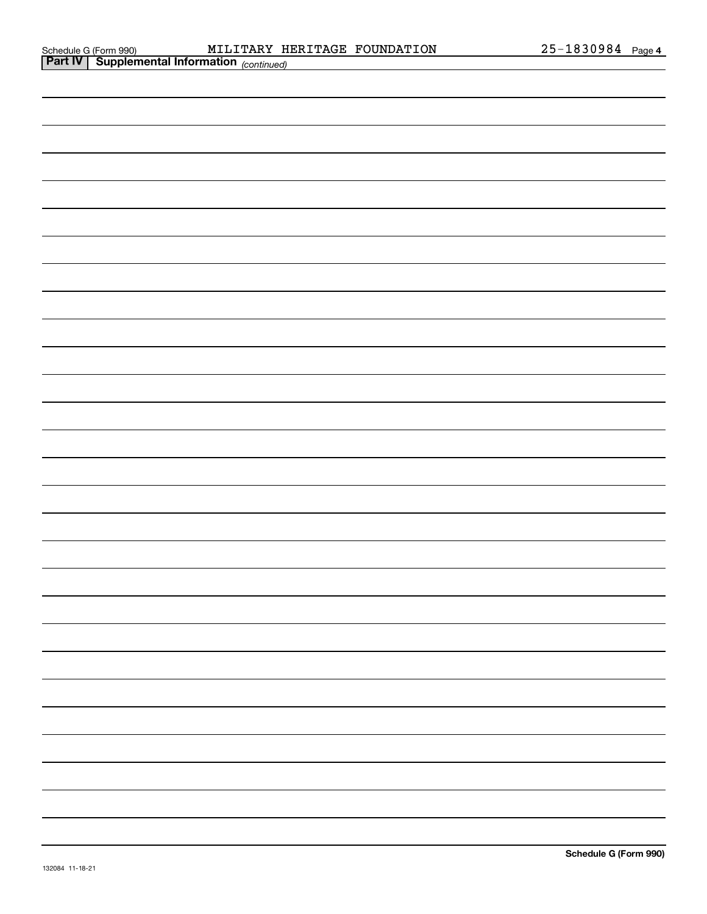| <b>Part IV   Supplemental Information</b> (continued) |
|-------------------------------------------------------|
|                                                       |
|                                                       |
|                                                       |
|                                                       |
|                                                       |
|                                                       |
|                                                       |
|                                                       |
|                                                       |
|                                                       |
|                                                       |
|                                                       |
|                                                       |
|                                                       |
|                                                       |
|                                                       |
|                                                       |
|                                                       |
|                                                       |
|                                                       |
|                                                       |
|                                                       |
|                                                       |
|                                                       |
|                                                       |
|                                                       |
|                                                       |
|                                                       |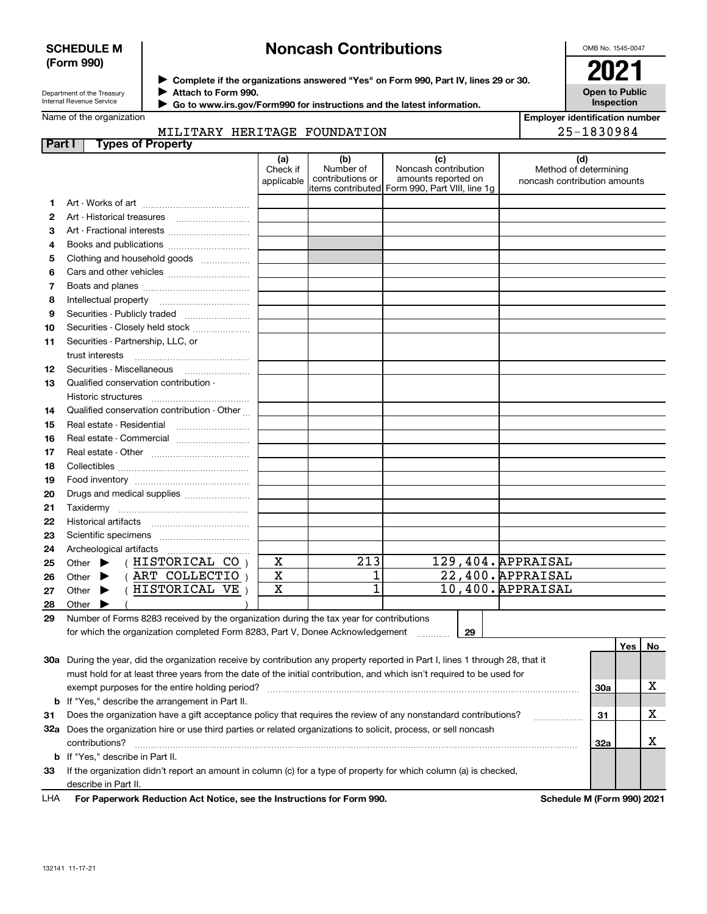#### **SCHEDULE M (Form 990)**

# **Noncash Contributions**

OMB No. 1545-0047

**Open to Public Inspection**

| Department of the Treasury |
|----------------------------|
| Internal Revenue Service   |

**Complete if the organizations answered "Yes" on Form 990, Part IV, lines 29 or 30.** <sup>J</sup>**2021 Attach to Form 990.** J

 **Go to www.irs.gov/Form990 for instructions and the latest information.** J

Name of the organization

| <b>Employer identification number</b> |
|---------------------------------------|
| 25-1830984                            |

#### MILITARY HERITAGE FOUNDATION

| Part I                                         | <b>Types of Property</b>                                                                                                       |                               |                                      |                                                                                                       |                                                              |     |     |    |
|------------------------------------------------|--------------------------------------------------------------------------------------------------------------------------------|-------------------------------|--------------------------------------|-------------------------------------------------------------------------------------------------------|--------------------------------------------------------------|-----|-----|----|
|                                                |                                                                                                                                | (a)<br>Check if<br>applicable | (b)<br>Number of<br>contributions or | (c)<br>Noncash contribution<br>amounts reported on<br>items contributed  Form 990, Part VIII, line 1g | (d)<br>Method of determining<br>noncash contribution amounts |     |     |    |
| 1                                              |                                                                                                                                |                               |                                      |                                                                                                       |                                                              |     |     |    |
| 2                                              |                                                                                                                                |                               |                                      |                                                                                                       |                                                              |     |     |    |
| 3                                              | Art - Fractional interests                                                                                                     |                               |                                      |                                                                                                       |                                                              |     |     |    |
| 4                                              | Books and publications                                                                                                         |                               |                                      |                                                                                                       |                                                              |     |     |    |
| 5                                              | Clothing and household goods                                                                                                   |                               |                                      |                                                                                                       |                                                              |     |     |    |
| 6                                              |                                                                                                                                |                               |                                      |                                                                                                       |                                                              |     |     |    |
| 7                                              |                                                                                                                                |                               |                                      |                                                                                                       |                                                              |     |     |    |
| 8                                              | Intellectual property                                                                                                          |                               |                                      |                                                                                                       |                                                              |     |     |    |
| 9                                              | Securities - Publicly traded                                                                                                   |                               |                                      |                                                                                                       |                                                              |     |     |    |
| 10                                             | Securities - Closely held stock                                                                                                |                               |                                      |                                                                                                       |                                                              |     |     |    |
| 11                                             | Securities - Partnership, LLC, or                                                                                              |                               |                                      |                                                                                                       |                                                              |     |     |    |
|                                                | trust interests                                                                                                                |                               |                                      |                                                                                                       |                                                              |     |     |    |
| 12                                             |                                                                                                                                |                               |                                      |                                                                                                       |                                                              |     |     |    |
| 13                                             | Qualified conservation contribution -                                                                                          |                               |                                      |                                                                                                       |                                                              |     |     |    |
|                                                | Historic structures                                                                                                            |                               |                                      |                                                                                                       |                                                              |     |     |    |
| 14                                             | Qualified conservation contribution - Other                                                                                    |                               |                                      |                                                                                                       |                                                              |     |     |    |
| 15                                             | Real estate - Residential                                                                                                      |                               |                                      |                                                                                                       |                                                              |     |     |    |
| 16                                             | Real estate - Commercial                                                                                                       |                               |                                      |                                                                                                       |                                                              |     |     |    |
| 17                                             |                                                                                                                                |                               |                                      |                                                                                                       |                                                              |     |     |    |
| 18                                             |                                                                                                                                |                               |                                      |                                                                                                       |                                                              |     |     |    |
| 19                                             |                                                                                                                                |                               |                                      |                                                                                                       |                                                              |     |     |    |
| 20                                             | Drugs and medical supplies                                                                                                     |                               |                                      |                                                                                                       |                                                              |     |     |    |
| 21                                             |                                                                                                                                |                               |                                      |                                                                                                       |                                                              |     |     |    |
| 22                                             |                                                                                                                                |                               |                                      |                                                                                                       |                                                              |     |     |    |
| 23                                             |                                                                                                                                |                               |                                      |                                                                                                       |                                                              |     |     |    |
| 24                                             |                                                                                                                                |                               |                                      |                                                                                                       |                                                              |     |     |    |
| 25                                             | (HISTORICAL CO)<br>Other $\blacktriangleright$                                                                                 | X                             | 213                                  |                                                                                                       | 129,404. APPRAISAL                                           |     |     |    |
| 26                                             | (ART COLLECTIO)<br>Other $\blacktriangleright$                                                                                 | X                             | 1                                    |                                                                                                       | 22,400. APPRAISAL                                            |     |     |    |
| 27                                             | (HISTORICAL VE<br>Other $\blacktriangleright$                                                                                  | X                             | 1                                    |                                                                                                       | 10,400. APPRAISAL                                            |     |     |    |
| 28                                             | Other $\blacktriangleright$                                                                                                    |                               |                                      |                                                                                                       |                                                              |     |     |    |
| 29                                             | Number of Forms 8283 received by the organization during the tax year for contributions                                        |                               |                                      |                                                                                                       |                                                              |     |     |    |
|                                                | for which the organization completed Form 8283, Part V, Donee Acknowledgement                                                  |                               |                                      | 29                                                                                                    |                                                              |     |     |    |
|                                                |                                                                                                                                |                               |                                      |                                                                                                       |                                                              |     | Yes | No |
|                                                | 30a During the year, did the organization receive by contribution any property reported in Part I, lines 1 through 28, that it |                               |                                      |                                                                                                       |                                                              |     |     |    |
|                                                | must hold for at least three years from the date of the initial contribution, and which isn't required to be used for          |                               |                                      |                                                                                                       |                                                              |     |     |    |
| exempt purposes for the entire holding period? |                                                                                                                                |                               |                                      |                                                                                                       |                                                              | 30a |     | х  |
|                                                | <b>b</b> If "Yes," describe the arrangement in Part II.                                                                        |                               |                                      |                                                                                                       |                                                              |     |     |    |
| 31                                             | Does the organization have a gift acceptance policy that requires the review of any nonstandard contributions?                 |                               |                                      |                                                                                                       |                                                              | 31  |     | х  |
|                                                | 32a Does the organization hire or use third parties or related organizations to solicit, process, or sell noncash              |                               |                                      |                                                                                                       |                                                              |     |     |    |
|                                                | contributions?                                                                                                                 |                               |                                      |                                                                                                       |                                                              | 32a |     | х  |
|                                                | <b>b</b> If "Yes," describe in Part II.                                                                                        |                               |                                      |                                                                                                       |                                                              |     |     |    |
| 33                                             | If the organization didn't report an amount in column (c) for a type of property for which column (a) is checked,              |                               |                                      |                                                                                                       |                                                              |     |     |    |
|                                                | describe in Part II.                                                                                                           |                               |                                      |                                                                                                       |                                                              |     |     |    |

**For Paperwork Reduction Act Notice, see the Instructions for Form 990. Schedule M (Form 990) 2021** LHA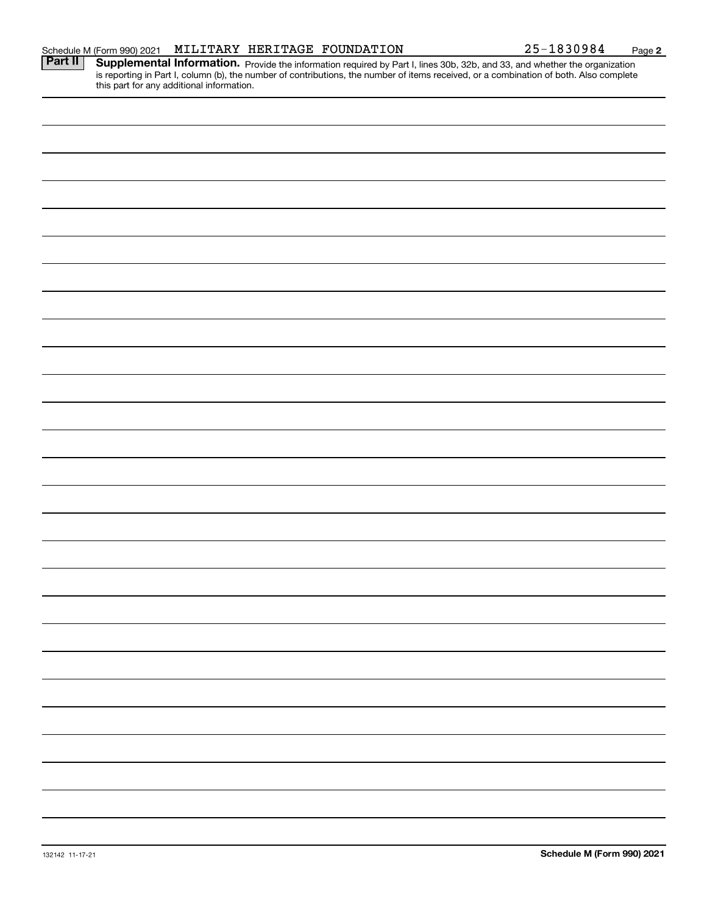|         | Schedule M (Form 990) 2021                | MILITARY HERITAGE FOUNDATION                                                                                                           | 25-1830984<br>Page 2 |
|---------|-------------------------------------------|----------------------------------------------------------------------------------------------------------------------------------------|----------------------|
| Part II |                                           | Supplemental Information. Provide the information required by Part I, lines 30b, 32b, and 33, and whether the organization             |                      |
|         |                                           | is reporting in Part I, column (b), the number of contributions, the number of items received, or a combination of both. Also complete |                      |
|         | this part for any additional information. |                                                                                                                                        |                      |
|         |                                           |                                                                                                                                        |                      |
|         |                                           |                                                                                                                                        |                      |
|         |                                           |                                                                                                                                        |                      |
|         |                                           |                                                                                                                                        |                      |
|         |                                           |                                                                                                                                        |                      |
|         |                                           |                                                                                                                                        |                      |
|         |                                           |                                                                                                                                        |                      |
|         |                                           |                                                                                                                                        |                      |
|         |                                           |                                                                                                                                        |                      |
|         |                                           |                                                                                                                                        |                      |
|         |                                           |                                                                                                                                        |                      |
|         |                                           |                                                                                                                                        |                      |
|         |                                           |                                                                                                                                        |                      |
|         |                                           |                                                                                                                                        |                      |
|         |                                           |                                                                                                                                        |                      |
|         |                                           |                                                                                                                                        |                      |
|         |                                           |                                                                                                                                        |                      |
|         |                                           |                                                                                                                                        |                      |
|         |                                           |                                                                                                                                        |                      |
|         |                                           |                                                                                                                                        |                      |
|         |                                           |                                                                                                                                        |                      |
|         |                                           |                                                                                                                                        |                      |
|         |                                           |                                                                                                                                        |                      |
|         |                                           |                                                                                                                                        |                      |
|         |                                           |                                                                                                                                        |                      |
|         |                                           |                                                                                                                                        |                      |
|         |                                           |                                                                                                                                        |                      |
|         |                                           |                                                                                                                                        |                      |
|         |                                           |                                                                                                                                        |                      |
|         |                                           |                                                                                                                                        |                      |
|         |                                           |                                                                                                                                        |                      |
|         |                                           |                                                                                                                                        |                      |
|         |                                           |                                                                                                                                        |                      |
|         |                                           |                                                                                                                                        |                      |
|         |                                           |                                                                                                                                        |                      |
|         |                                           |                                                                                                                                        |                      |
|         |                                           |                                                                                                                                        |                      |
|         |                                           |                                                                                                                                        |                      |
|         |                                           |                                                                                                                                        |                      |
|         |                                           |                                                                                                                                        |                      |
|         |                                           |                                                                                                                                        |                      |
|         |                                           |                                                                                                                                        |                      |
|         |                                           |                                                                                                                                        |                      |
|         |                                           |                                                                                                                                        |                      |
|         |                                           |                                                                                                                                        |                      |
|         |                                           |                                                                                                                                        |                      |
|         |                                           |                                                                                                                                        |                      |
|         |                                           |                                                                                                                                        |                      |
|         |                                           |                                                                                                                                        |                      |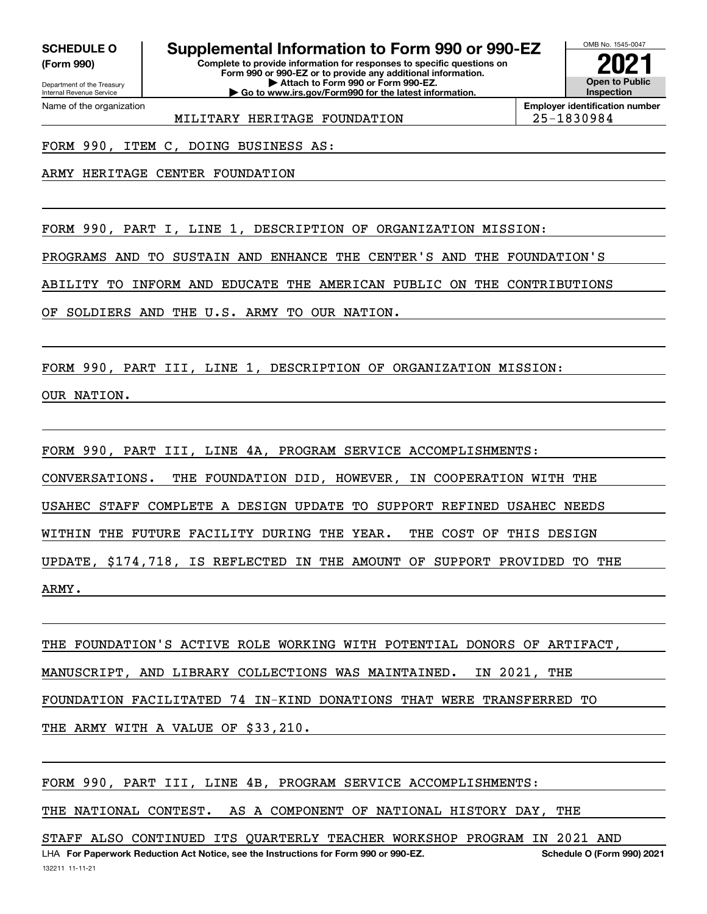**(Form 990)**

Department of the Treasury Internal Revenue Service

Name of the organization

# **SCHEDULE O Supplemental Information to Form 990 or 990-EZ**

**Complete to provide information for responses to specific questions on Form 990 or 990-EZ or to provide any additional information. | Attach to Form 990 or Form 990-EZ. | Go to www.irs.gov/Form990 for the latest information.**



MILITARY HERITAGE FOUNDATION 25-1830984

**Employer identification number**

FORM 990, ITEM C, DOING BUSINESS AS:

ARMY HERITAGE CENTER FOUNDATION

FORM 990, PART I, LINE 1, DESCRIPTION OF ORGANIZATION MISSION:

PROGRAMS AND TO SUSTAIN AND ENHANCE THE CENTER'S AND THE FOUNDATION'S

ABILITY TO INFORM AND EDUCATE THE AMERICAN PUBLIC ON THE CONTRIBUTIONS

OF SOLDIERS AND THE U.S. ARMY TO OUR NATION.

FORM 990, PART III, LINE 1, DESCRIPTION OF ORGANIZATION MISSION:

OUR NATION.

FORM 990, PART III, LINE 4A, PROGRAM SERVICE ACCOMPLISHMENTS: CONVERSATIONS. THE FOUNDATION DID, HOWEVER, IN COOPERATION WITH THE USAHEC STAFF COMPLETE A DESIGN UPDATE TO SUPPORT REFINED USAHEC NEEDS WITHIN THE FUTURE FACILITY DURING THE YEAR. THE COST OF THIS DESIGN UPDATE, \$174,718, IS REFLECTED IN THE AMOUNT OF SUPPORT PROVIDED TO THE ARMY.

THE FOUNDATION'S ACTIVE ROLE WORKING WITH POTENTIAL DONORS OF ARTIFACT, MANUSCRIPT, AND LIBRARY COLLECTIONS WAS MAINTAINED. IN 2021, THE FOUNDATION FACILITATED 74 IN-KIND DONATIONS THAT WERE TRANSFERRED TO THE ARMY WITH A VALUE OF \$33,210.

FORM 990, PART III, LINE 4B, PROGRAM SERVICE ACCOMPLISHMENTS:

THE NATIONAL CONTEST. AS A COMPONENT OF NATIONAL HISTORY DAY, THE

STAFF ALSO CONTINUED ITS QUARTERLY TEACHER WORKSHOP PROGRAM IN 2021 AND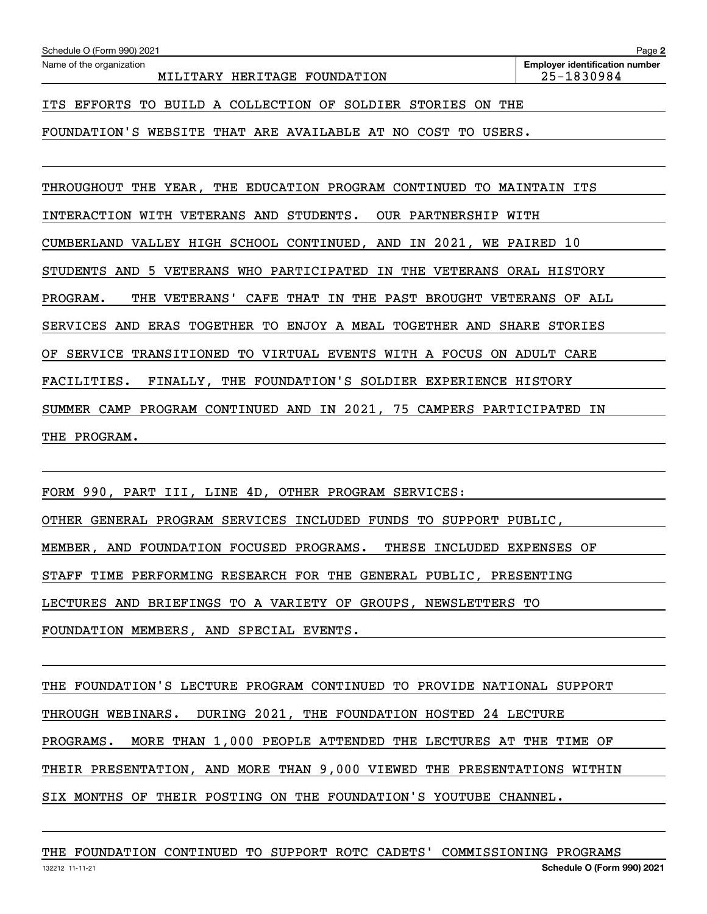THROUGHOUT THE YEAR, THE EDUCATION PROGRAM CONTINUED TO MAINTAIN ITS INTERACTION WITH VETERANS AND STUDENTS. OUR PARTNERSHIP WITH CUMBERLAND VALLEY HIGH SCHOOL CONTINUED, AND IN 2021, WE PAIRED 10 STUDENTS AND 5 VETERANS WHO PARTICIPATED IN THE VETERANS ORAL HISTORY PROGRAM. THE VETERANS' CAFE THAT IN THE PAST BROUGHT VETERANS OF ALL SERVICES AND ERAS TOGETHER TO ENJOY A MEAL TOGETHER AND SHARE STORIES OF SERVICE TRANSITIONED TO VIRTUAL EVENTS WITH A FOCUS ON ADULT CARE FACILITIES. FINALLY, THE FOUNDATION'S SOLDIER EXPERIENCE HISTORY SUMMER CAMP PROGRAM CONTINUED AND IN 2021, 75 CAMPERS PARTICIPATED IN THE PROGRAM.

FORM 990, PART III, LINE 4D, OTHER PROGRAM SERVICES: OTHER GENERAL PROGRAM SERVICES INCLUDED FUNDS TO SUPPORT PUBLIC, MEMBER, AND FOUNDATION FOCUSED PROGRAMS. THESE INCLUDED EXPENSES OF STAFF TIME PERFORMING RESEARCH FOR THE GENERAL PUBLIC, PRESENTING LECTURES AND BRIEFINGS TO A VARIETY OF GROUPS, NEWSLETTERS TO FOUNDATION MEMBERS, AND SPECIAL EVENTS.

THE FOUNDATION'S LECTURE PROGRAM CONTINUED TO PROVIDE NATIONAL SUPPORT THROUGH WEBINARS. DURING 2021, THE FOUNDATION HOSTED 24 LECTURE PROGRAMS. MORE THAN 1,000 PEOPLE ATTENDED THE LECTURES AT THE TIME OF THEIR PRESENTATION, AND MORE THAN 9,000 VIEWED THE PRESENTATIONS WITHIN SIX MONTHS OF THEIR POSTING ON THE FOUNDATION'S YOUTUBE CHANNEL.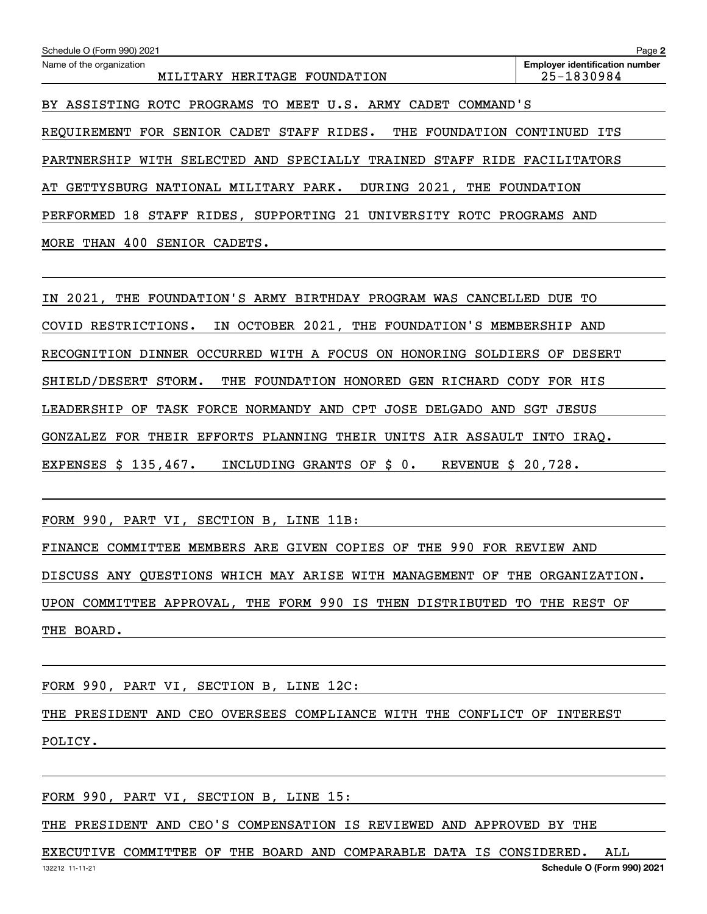| Schedule O (Form 990) 2021                                                       | Page 2                                |
|----------------------------------------------------------------------------------|---------------------------------------|
| Name of the organization                                                         | <b>Employer identification number</b> |
| MILITARY HERITAGE<br>FOUNDATION                                                  | 25-1830984                            |
| ASSISTING ROTC PROGRAMS TO MEET U.S. ARMY<br>CADET<br>COMMAND'S<br>BY.           |                                       |
| CADET STAFF RIDES.<br>REQUIREMENT FOR SENIOR<br>THE FOUNDATION                   | CONTINUED<br>ITS                      |
| SELECTED AND<br>SPECIALLY TRAINED<br>STAFF<br>PARTNERSHIP<br>WITH<br>RIDE        | FACILITATORS                          |
| 2021,<br>NATIONAL<br>MILITARY PARK.<br><b>DURING</b><br>THE<br>GETTYSBURG<br>AT. | FOUNDATION                            |
| 18 STAFF RIDES, SUPPORTING 21 UNIVERSITY ROTC PROGRAMS AND<br>PERFORMED          |                                       |
| 400<br>THAN<br>SENIOR<br>MORE<br>CADETS.                                         |                                       |

IN 2021, THE FOUNDATION'S ARMY BIRTHDAY PROGRAM WAS CANCELLED DUE TO COVID RESTRICTIONS. IN OCTOBER 2021, THE FOUNDATION'S MEMBERSHIP AND RECOGNITION DINNER OCCURRED WITH A FOCUS ON HONORING SOLDIERS OF DESERT SHIELD/DESERT STORM. THE FOUNDATION HONORED GEN RICHARD CODY FOR HIS LEADERSHIP OF TASK FORCE NORMANDY AND CPT JOSE DELGADO AND SGT JESUS GONZALEZ FOR THEIR EFFORTS PLANNING THEIR UNITS AIR ASSAULT INTO IRAQ. EXPENSES \$ 135,467. INCLUDING GRANTS OF \$ 0. REVENUE \$ 20,728.

FORM 990, PART VI, SECTION B, LINE 11B:

FINANCE COMMITTEE MEMBERS ARE GIVEN COPIES OF THE 990 FOR REVIEW AND DISCUSS ANY QUESTIONS WHICH MAY ARISE WITH MANAGEMENT OF THE ORGANIZATION. UPON COMMITTEE APPROVAL, THE FORM 990 IS THEN DISTRIBUTED TO THE REST OF THE BOARD.

FORM 990, PART VI, SECTION B, LINE 12C:

THE PRESIDENT AND CEO OVERSEES COMPLIANCE WITH THE CONFLICT OF INTEREST POLICY.

FORM 990, PART VI, SECTION B, LINE 15:

THE PRESIDENT AND CEO'S COMPENSATION IS REVIEWED AND APPROVED BY THE

132212 11-11-21 EXECUTIVE COMMITTEE OF THE BOARD AND COMPARABLE DATA IS CONSIDERED. ALL